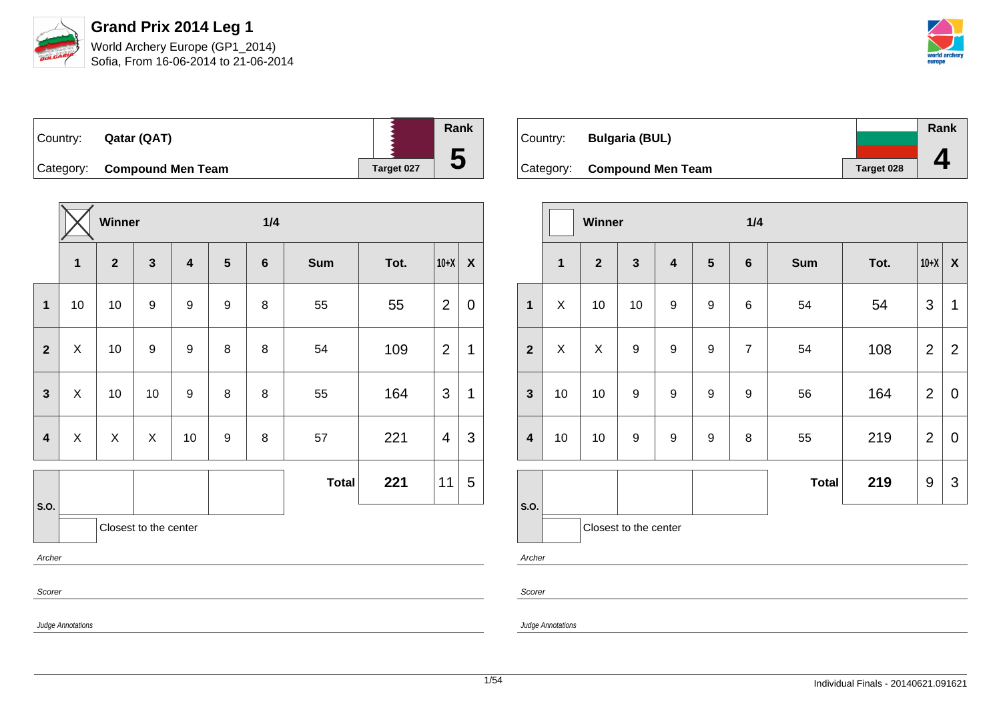

Judge Annotations

**Grand Prix 2014 Leg 1** World Archery Europe (GP1\_2014) Sofia, From 16-06-2014 to 21-06-2014



| Country: | Qatar (QAT)                 |            | Rank |
|----------|-----------------------------|------------|------|
|          | Category: Compound Men Team | Target 027 | 5    |

|                         |                       | Winner         |                  |                         | 1/4            |                |              |      |                |                           |
|-------------------------|-----------------------|----------------|------------------|-------------------------|----------------|----------------|--------------|------|----------------|---------------------------|
|                         | $\mathbf{1}$          | $\overline{2}$ | $\mathbf{3}$     | $\overline{\mathbf{4}}$ | $5\phantom{1}$ | $6\phantom{1}$ | <b>Sum</b>   | Tot. | $10+X$         | $\boldsymbol{\mathsf{X}}$ |
| $\mathbf 1$             | 10                    | 10             | $\boldsymbol{9}$ | 9                       | 9              | 8              | 55           | 55   | 2              | $\mathbf 0$               |
| $\mathbf{2}$            | X                     | 10             | $\boldsymbol{9}$ | $\boldsymbol{9}$        | 8              | 8              | 54           | 109  | $\overline{2}$ | 1                         |
| $\mathbf{3}$            | $\pmb{\times}$        | 10             | 10               | 9                       | 8              | 8              | 55           | 164  | 3              | 1                         |
| $\overline{\mathbf{4}}$ | $\pmb{\times}$        | $\mathsf{X}$   | $\mathsf{X}$     | 10                      | 9              | 8              | 57           | 221  | 4              | 3                         |
|                         |                       |                |                  |                         |                |                | <b>Total</b> | 221  | 11             | 5                         |
| S.O.                    | Closest to the center |                |                  |                         |                |                |              |      |                |                           |
| Archer                  |                       |                |                  |                         |                |                |              |      |                |                           |
| Scorer                  |                       |                |                  |                         |                |                |              |      |                |                           |

| Country:  | <b>Bulgaria (BUL)</b>    |            | Rank |
|-----------|--------------------------|------------|------|
|           |                          |            |      |
| Category: | <b>Compound Men Team</b> | Target 028 |      |

|                         |    | Winner         |                       |                         |                  | 1/4              |              |      |                  |                  |  |
|-------------------------|----|----------------|-----------------------|-------------------------|------------------|------------------|--------------|------|------------------|------------------|--|
|                         | 1  | $\overline{2}$ | $\mathbf{3}$          | $\overline{\mathbf{4}}$ | $5\phantom{1}$   | $6\phantom{1}$   | <b>Sum</b>   | Tot. | $10+X$           | $\boldsymbol{X}$ |  |
| $\mathbf{1}$            | X  | 10             | 10                    | $\boldsymbol{9}$        | $\mathsf g$      | $\,6$            | 54           | 54   | 3                | 1                |  |
| $\overline{2}$          | X  | X              | 9                     | $\boldsymbol{9}$        | $\boldsymbol{9}$ | $\overline{7}$   | 54           | 108  | $\overline{2}$   | $\overline{2}$   |  |
| $\mathbf{3}$            | 10 | 10             | $\boldsymbol{9}$      | 9                       | $\mathsf g$      | $\boldsymbol{9}$ | 56           | 164  | $\overline{2}$   | $\mathbf 0$      |  |
| $\overline{\mathbf{4}}$ | 10 | 10             | 9                     | $\boldsymbol{9}$        | $\mathsf g$      | 8                | 55           | 219  | $\overline{2}$   | $\mathbf 0$      |  |
|                         |    |                |                       |                         |                  |                  | <b>Total</b> | 219  | $\boldsymbol{9}$ | 3                |  |
| S.O.                    |    |                | Closest to the center |                         |                  |                  |              |      |                  |                  |  |
| Archer                  |    |                |                       |                         |                  |                  |              |      |                  |                  |  |

Scorer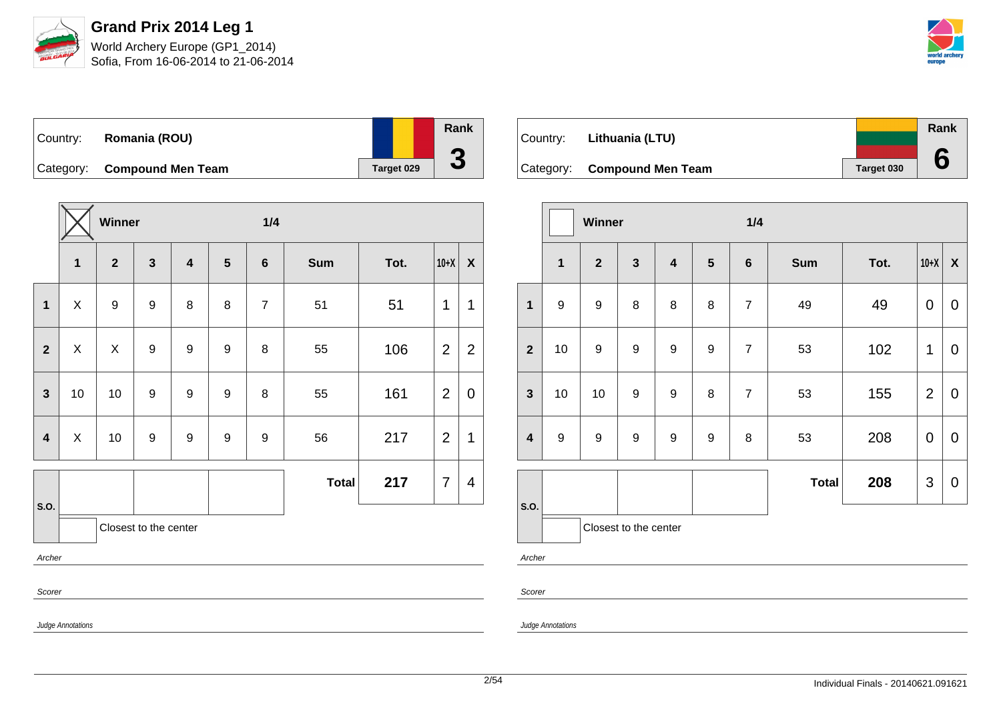

Judge Annotations

**Grand Prix 2014 Leg 1** World Archery Europe (GP1\_2014)

Sofia, From 16-06-2014 to 21-06-2014



| Country: | Romania (ROU)               |            | Rank |
|----------|-----------------------------|------------|------|
|          | Category: Compound Men Team | Target 029 | u    |

|                         |              | Winner           |                       |                         |                  | 1/4              |              |      |                |                           |
|-------------------------|--------------|------------------|-----------------------|-------------------------|------------------|------------------|--------------|------|----------------|---------------------------|
|                         | $\mathbf{1}$ | $\overline{2}$   | $\mathbf{3}$          | $\overline{\mathbf{4}}$ | $5\phantom{.0}$  | $6\phantom{1}$   | <b>Sum</b>   | Tot. | $10+X$         | $\boldsymbol{\mathsf{X}}$ |
| $\mathbf 1$             | X            | $\boldsymbol{9}$ | $\boldsymbol{9}$      | 8                       | 8                | $\overline{7}$   | 51           | 51   | 1              | $\mathbf 1$               |
| $\overline{2}$          | X            | X                | $\boldsymbol{9}$      | 9                       | $\boldsymbol{9}$ | $\, 8$           | 55           | 106  | 2              | $\overline{2}$            |
| $\overline{\mathbf{3}}$ | 10           | 10               | 9                     | 9                       | 9                | 8                | 55           | 161  | 2              | $\mathbf 0$               |
| $\overline{\mathbf{4}}$ | X            | 10               | 9                     | $\boldsymbol{9}$        | $\boldsymbol{9}$ | $\boldsymbol{9}$ | 56           | 217  | $\overline{2}$ | 1                         |
|                         |              |                  |                       |                         |                  |                  | <b>Total</b> | 217  | $\overline{7}$ | $\overline{4}$            |
| S.O.                    |              |                  | Closest to the center |                         |                  |                  |              |      |                |                           |
| Archer                  |              |                  |                       |                         |                  |                  |              |      |                |                           |
| Scorer                  |              |                  |                       |                         |                  |                  |              |      |                |                           |

|          |                             |            | Rank |
|----------|-----------------------------|------------|------|
| Country: | Lithuania (LTU)             |            |      |
|          |                             |            |      |
|          | Category: Compound Men Team | Target 030 |      |

|                         |              | Winner           |                       |                         |            | 1/4            |              |      |                           |                           |
|-------------------------|--------------|------------------|-----------------------|-------------------------|------------|----------------|--------------|------|---------------------------|---------------------------|
|                         | $\mathbf{1}$ | $\overline{2}$   | $\mathbf{3}$          | $\overline{\mathbf{4}}$ | $\sqrt{5}$ | $\bf 6$        | <b>Sum</b>   | Tot. | $10+X$                    | $\boldsymbol{\mathsf{X}}$ |
| $\mathbf{1}$            | 9            | $\boldsymbol{9}$ | 8                     | 8                       | 8          | $\overline{7}$ | 49           | 49   | $\mathbf 0$               | $\mathbf 0$               |
| $\overline{2}$          | 10           | $\boldsymbol{9}$ | $\boldsymbol{9}$      | 9                       | 9          | $\overline{7}$ | 53           | 102  | 1                         | 0                         |
| $\mathbf{3}$            | 10           | 10               | $\boldsymbol{9}$      | 9                       | 8          | $\overline{7}$ | 53           | 155  | $\overline{2}$            | $\mathbf 0$               |
| $\overline{\mathbf{4}}$ | 9            | $\boldsymbol{9}$ | $\boldsymbol{9}$      | 9                       | 9          | 8              | 53           | 208  | $\mathbf 0$               | $\mathbf 0$               |
|                         |              |                  |                       |                         |            |                | <b>Total</b> | 208  | $\ensuremath{\mathsf{3}}$ | $\mathbf 0$               |
| S.O.                    |              |                  | Closest to the center |                         |            |                |              |      |                           |                           |
| $\sim$ $\sim$           |              |                  |                       |                         |            |                |              |      |                           |                           |

Archer

Scorer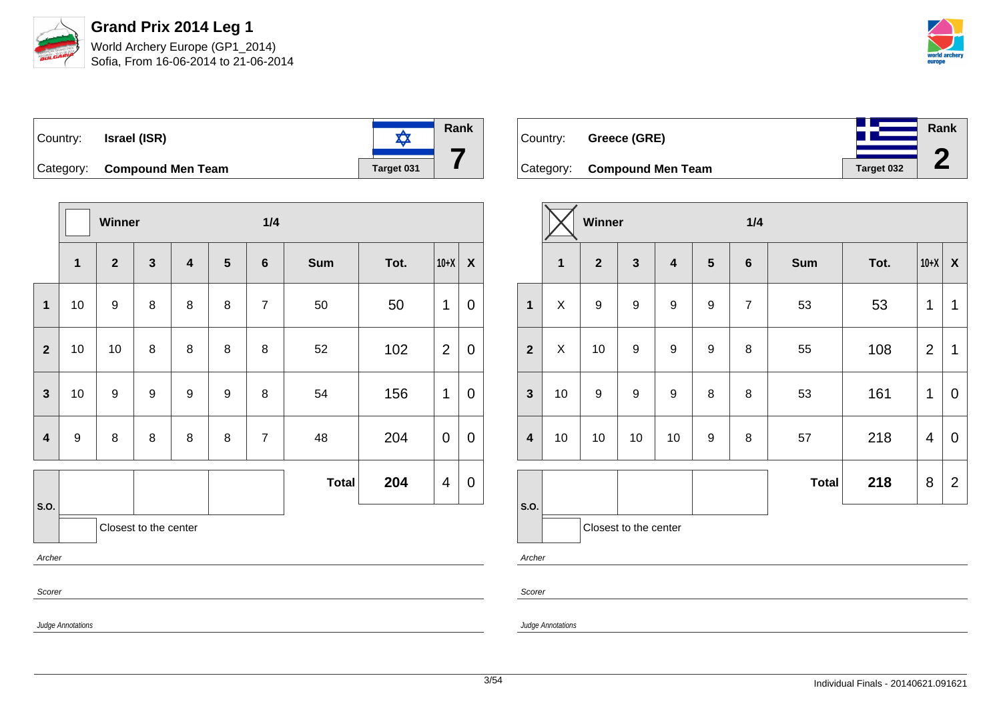

**Rank**

**2**

| ∣Country: | <b>Israel (ISR)</b>         |            | Rank |
|-----------|-----------------------------|------------|------|
|           | Category: Compound Men Team | Target 031 |      |

|                         |                   | Winner         |                       |                         | 1/4            |                |              |      |                |                  |
|-------------------------|-------------------|----------------|-----------------------|-------------------------|----------------|----------------|--------------|------|----------------|------------------|
|                         | $\mathbf{1}$      | $\overline{2}$ | $\mathbf{3}$          | $\overline{\mathbf{4}}$ | $5\phantom{1}$ | $6\phantom{1}$ | <b>Sum</b>   | Tot. | $10+X$         | $\boldsymbol{X}$ |
| $\mathbf 1$             | 10                | 9              | 8                     | 8                       | 8              | $\overline{7}$ | 50           | 50   | 1              | 0                |
| $\overline{2}$          | 10                | 10             | 8                     | 8                       | 8              | 8              | 52           | 102  | $\overline{2}$ | $\mathbf 0$      |
| $\mathbf{3}$            | 10                | 9              | $\boldsymbol{9}$      | 9                       | 9              | 8              | 54           | 156  | 1              | $\overline{0}$   |
| $\overline{\mathbf{4}}$ | 9                 | 8              | 8                     | 8                       | 8              | $\overline{7}$ | 48           | 204  | 0              | $\mathbf 0$      |
|                         |                   |                |                       |                         |                |                | <b>Total</b> | 204  | 4              | $\mathbf 0$      |
| S.O.                    |                   |                | Closest to the center |                         |                |                |              |      |                |                  |
| Archer                  |                   |                |                       |                         |                |                |              |      |                |                  |
| Scorer                  |                   |                |                       |                         |                |                |              |      |                |                  |
|                         | Judge Annotations |                |                       |                         |                |                |              |      |                |                  |

| Country: Greece (GRE)       |            |
|-----------------------------|------------|
| Category: Compound Men Team | Target 032 |

|                         |              | Winner           |                         |                         |                  | 1/4            |              |      |                         |                    |
|-------------------------|--------------|------------------|-------------------------|-------------------------|------------------|----------------|--------------|------|-------------------------|--------------------|
|                         | $\mathbf{1}$ | $\overline{2}$   | $\overline{\mathbf{3}}$ | $\overline{\mathbf{4}}$ | $5\phantom{1}$   | $\bf 6$        | <b>Sum</b>   | Tot. | $10+X$                  | $\pmb{\mathsf{X}}$ |
| $\mathbf{1}$            | X            | 9                | 9                       | 9                       | $\mathsf g$      | $\overline{7}$ | 53           | 53   | 1                       | 1                  |
| $\overline{2}$          | X            | 10               | $\boldsymbol{9}$        | $\overline{9}$          | $\boldsymbol{9}$ | 8              | 55           | 108  | $\overline{2}$          | 1                  |
| $\mathbf{3}$            | 10           | $\boldsymbol{9}$ | $\boldsymbol{9}$        | $\boldsymbol{9}$        | 8                | 8              | 53           | 161  | 1                       | $\overline{0}$     |
| $\overline{\mathbf{4}}$ | 10           | 10               | 10                      | 10                      | 9                | 8              | 57           | 218  | $\overline{\mathbf{4}}$ | $\mathbf 0$        |
| S.O.                    |              |                  |                         |                         |                  |                | <b>Total</b> | 218  | 8                       | $\overline{2}$     |
| $\mathbf{A}$            |              |                  | Closest to the center   |                         |                  |                |              |      |                         |                    |

Archer

Scorer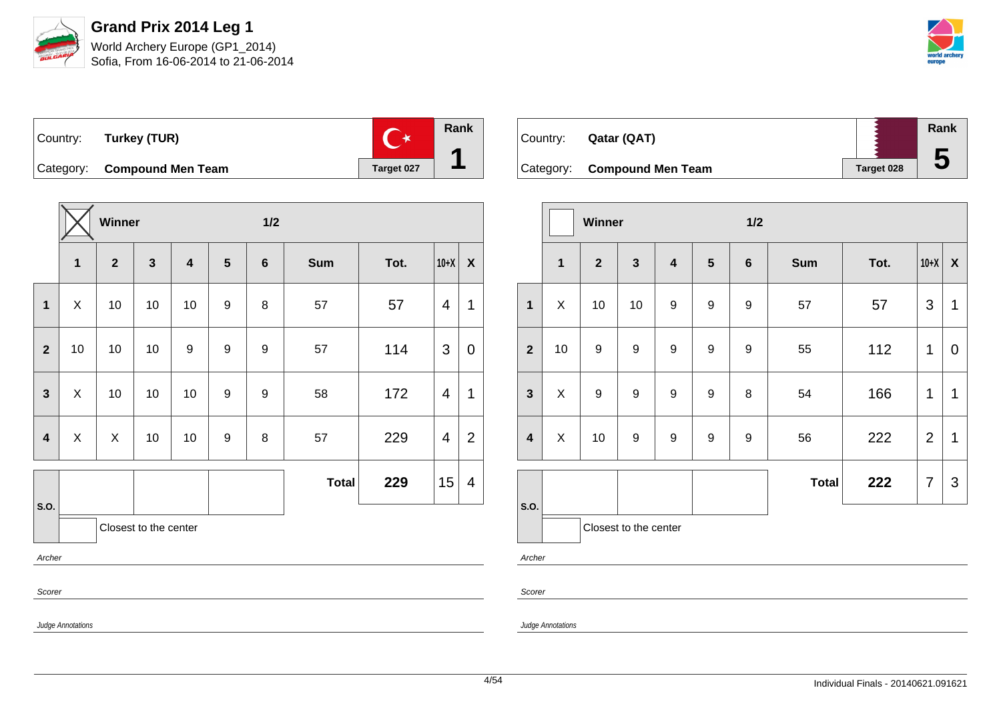



**Rank**  $\mathbf{C}^{\star}$ Country: **Turkey (TUR) 1** Category: **Compound Men Team Target 027** 

|                |                       | Winner         |              |                         |                  | $1/2$            |              |      |                |                           |  |
|----------------|-----------------------|----------------|--------------|-------------------------|------------------|------------------|--------------|------|----------------|---------------------------|--|
|                | $\mathbf{1}$          | $\overline{2}$ | $\mathbf{3}$ | $\overline{\mathbf{4}}$ | $5\phantom{1}$   | $6\phantom{a}$   | <b>Sum</b>   | Tot. | $10+X$         | $\boldsymbol{\mathsf{X}}$ |  |
| $\mathbf{1}$   | $\pmb{\times}$        | 10             | 10           | 10                      | 9                | 8                | 57           | 57   | $\overline{4}$ | 1                         |  |
| $\overline{2}$ | 10                    | 10             | 10           | $\boldsymbol{9}$        | $\boldsymbol{9}$ | $\boldsymbol{9}$ | 57           | 114  | 3              | $\mathbf 0$               |  |
| 3              | X                     | 10             | 10           | 10                      | $\boldsymbol{9}$ | 9                | 58           | 172  | $\overline{4}$ | 1                         |  |
| 4              | X                     | X              | 10           | 10                      | $\boldsymbol{9}$ | $\bf 8$          | 57           | 229  | $\overline{4}$ | $\overline{2}$            |  |
|                |                       |                |              |                         |                  |                  | <b>Total</b> | 229  | 15             | 4                         |  |
| S.O.           | Closest to the center |                |              |                         |                  |                  |              |      |                |                           |  |
| Archer         |                       |                |              |                         |                  |                  |              |      |                |                           |  |
| Scorer         |                       |                |              |                         |                  |                  |              |      |                |                           |  |

| Country: | Qatar (QAT)                 |            | Rank |
|----------|-----------------------------|------------|------|
|          |                             |            | Đ    |
|          | Category: Compound Men Team | Target 028 |      |

|                         |              | Winner           |                       |                         |                  | 1/2     |              |      |                |                    |  |  |
|-------------------------|--------------|------------------|-----------------------|-------------------------|------------------|---------|--------------|------|----------------|--------------------|--|--|
|                         | $\mathbf 1$  | $\overline{2}$   | $\mathbf{3}$          | $\overline{\mathbf{4}}$ | $5\phantom{.0}$  | $\bf 6$ | <b>Sum</b>   | Tot. | $10+X$         | $\pmb{\mathsf{X}}$ |  |  |
| $\mathbf{1}$            | X            | 10               | 10                    | 9                       | $\boldsymbol{9}$ | 9       | 57           | 57   | 3              | 1                  |  |  |
| $\overline{2}$          | 10           | $\boldsymbol{9}$ | $\boldsymbol{9}$      | $\boldsymbol{9}$        | 9                | 9       | 55           | 112  | 1              | $\mathbf 0$        |  |  |
| $\mathbf{3}$            | $\mathsf{X}$ | 9                | $\boldsymbol{9}$      | $\boldsymbol{9}$        | $\mathsf g$      | 8       | 54           | 166  | 1              | $\mathbf 1$        |  |  |
| $\overline{\mathbf{4}}$ | X            | 10               | 9                     | 9                       | 9                | 9       | 56           | 222  | $\overline{2}$ | 1                  |  |  |
| S.O.                    |              |                  |                       |                         |                  |         | <b>Total</b> | 222  | 7              | 3                  |  |  |
|                         |              |                  | Closest to the center |                         |                  |         |              |      |                |                    |  |  |

Archer

Scorer

Judge Annotations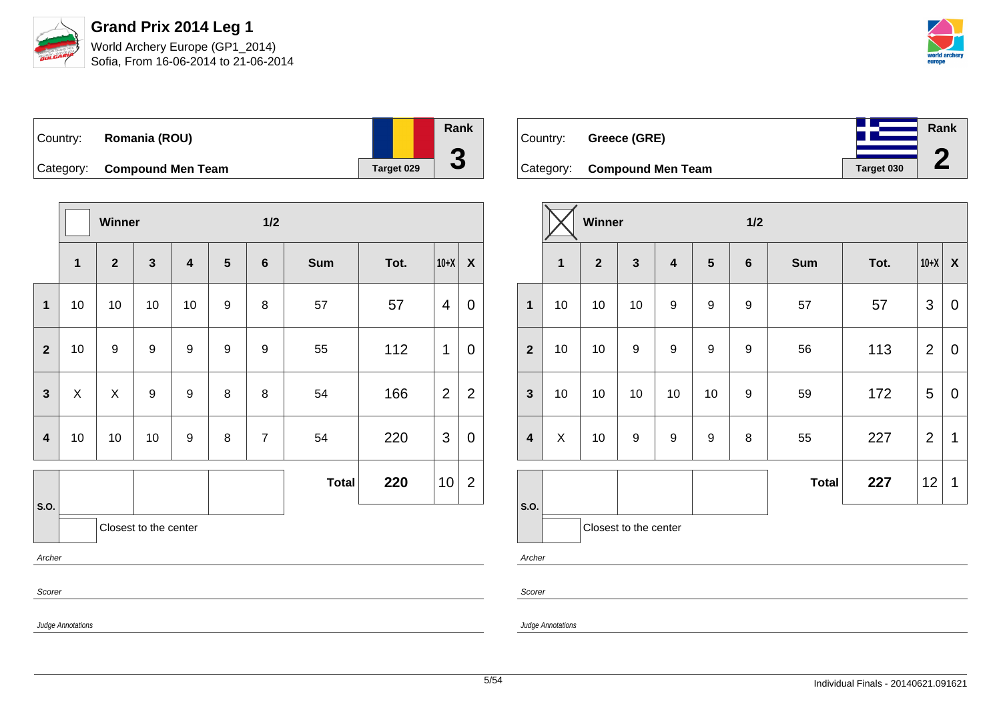

Sofia, From 16-06-2014 to 21-06-2014



| ∣Country: | Romania (ROU)               |            | Rank |
|-----------|-----------------------------|------------|------|
|           | Category: Compound Men Team | Target 029 | w    |

|                               |                           | Winner         |                  |                         |                         | 1/2              |              |      |                |                  |  |
|-------------------------------|---------------------------|----------------|------------------|-------------------------|-------------------------|------------------|--------------|------|----------------|------------------|--|
|                               | $\mathbf{1}$              | $\mathbf{2}$   | $\mathbf{3}$     | $\overline{\mathbf{4}}$ | $\overline{\mathbf{5}}$ | $\bf 6$          | <b>Sum</b>   | Tot. | $10+X$         | $\boldsymbol{X}$ |  |
| $\mathbf{1}$                  | 10                        | 10             | 10               | 10                      | $\boldsymbol{9}$        | 8                | 57           | 57   | 4              | $\mathbf 0$      |  |
| $\overline{2}$                | $10$                      | 9              | $\boldsymbol{9}$ | 9                       | $\boldsymbol{9}$        | $\boldsymbol{9}$ | 55           | 112  | 1              | $\overline{0}$   |  |
| $\overline{\mathbf{3}}$       | $\boldsymbol{\mathsf{X}}$ | $\pmb{\times}$ | $\boldsymbol{9}$ | 9                       | 8                       | 8                | 54           | 166  | $\overline{2}$ | $\overline{2}$   |  |
| 4                             | 10                        | 10             | 10               | 9                       | 8                       | $\overline{7}$   | 54           | 220  | 3              | $\mathbf 0$      |  |
|                               |                           |                |                  |                         |                         |                  | <b>Total</b> | 220  | 10             | $\overline{2}$   |  |
| S.O.<br>Closest to the center |                           |                |                  |                         |                         |                  |              |      |                |                  |  |
| Archer                        |                           |                |                  |                         |                         |                  |              |      |                |                  |  |
| Scorer                        |                           |                |                  |                         |                         |                  |              |      |                |                  |  |
|                               | Judge Annotations         |                |                  |                         |                         |                  |              |      |                |                  |  |



Category: **Compound Men Team Tanget 030** 

|                         |    | Winner       |                       |                         |                  | 1/2              |              |      |                |             |
|-------------------------|----|--------------|-----------------------|-------------------------|------------------|------------------|--------------|------|----------------|-------------|
|                         | 1  | $\mathbf{2}$ | $\mathbf{3}$          | $\overline{\mathbf{4}}$ | $5\phantom{1}$   | $\bf 6$          | <b>Sum</b>   | Tot. | $10+X$         | X           |
| $\mathbf{1}$            | 10 | 10           | 10                    | 9                       | $\boldsymbol{9}$ | $\boldsymbol{9}$ | 57           | 57   | $\mathfrak{S}$ | $\mathbf 0$ |
| $\overline{2}$          | 10 | 10           | $\boldsymbol{9}$      | $\boldsymbol{9}$        | $\boldsymbol{9}$ | 9                | 56           | 113  | $\overline{2}$ | $\mathbf 0$ |
| $\mathbf{3}$            | 10 | 10           | 10                    | 10                      | 10               | $\boldsymbol{9}$ | 59           | 172  | 5              | $\mathbf 0$ |
| $\overline{\mathbf{4}}$ | X  | 10           | 9                     | $\boldsymbol{9}$        | $\boldsymbol{9}$ | 8                | 55           | 227  | $\overline{2}$ | 1           |
| S.O.                    |    |              |                       |                         |                  |                  | <b>Total</b> | 227  | 12             | 1           |
|                         |    |              | Closest to the center |                         |                  |                  |              |      |                |             |

Archer

Scorer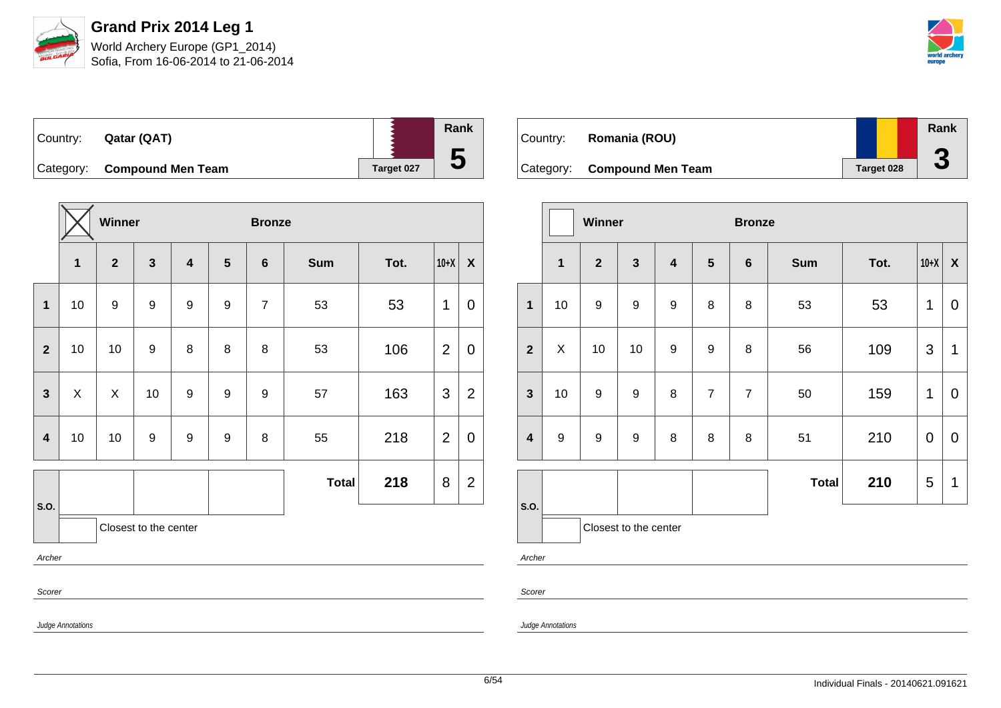



| Country: | Qatar (QAT)                 |            | Rank |
|----------|-----------------------------|------------|------|
|          | Category: Compound Men Team | Target 027 | 5    |

|                |                   | Winner           |                       |                         |                  | <b>Bronze</b>  |              |      |                |                  |
|----------------|-------------------|------------------|-----------------------|-------------------------|------------------|----------------|--------------|------|----------------|------------------|
|                | $\mathbf 1$       | $\overline{2}$   | $\mathbf{3}$          | $\overline{\mathbf{4}}$ | $5\phantom{1}$   | $6\phantom{1}$ | <b>Sum</b>   | Tot. | $10+X$         | $\boldsymbol{X}$ |
| $\mathbf{1}$   | 10                | $\boldsymbol{9}$ | $\boldsymbol{9}$      | $\boldsymbol{9}$        | $\boldsymbol{9}$ | $\overline{7}$ | 53           | 53   | 1              | $\overline{0}$   |
| $\overline{2}$ | 10                | 10               | 9                     | 8                       | 8                | 8              | 53           | 106  | $\overline{2}$ | $\mathbf 0$      |
| $\mathbf{3}$   | X                 | X                | 10                    | 9                       | 9                | 9              | 57           | 163  | 3              | $\overline{2}$   |
| $\overline{4}$ | 10                | 10               | 9                     | $\boldsymbol{9}$        | 9                | 8              | 55           | 218  | $\overline{2}$ | $\mathbf 0$      |
|                |                   |                  |                       |                         |                  |                | <b>Total</b> | 218  | 8              | $\overline{2}$   |
| S.O.           |                   |                  | Closest to the center |                         |                  |                |              |      |                |                  |
| Archer         |                   |                  |                       |                         |                  |                |              |      |                |                  |
|                | Scorer            |                  |                       |                         |                  |                |              |      |                |                  |
|                | Judge Annotations |                  |                       |                         |                  |                |              |      |                |                  |

| Country: | Romania (ROU)               |                   | Rank<br>m |
|----------|-----------------------------|-------------------|-----------|
|          | Category: Compound Men Team | <b>Target 028</b> | J         |

|                         |                       | Winner         |                  |                         |                | <b>Bronze</b>  |              |      |                |                    |  |  |
|-------------------------|-----------------------|----------------|------------------|-------------------------|----------------|----------------|--------------|------|----------------|--------------------|--|--|
|                         | $\mathbf{1}$          | $\overline{2}$ | $\mathbf{3}$     | $\overline{\mathbf{4}}$ | $5\phantom{1}$ | $\bf 6$        | <b>Sum</b>   | Tot. | $10+X$         | $\pmb{\mathsf{X}}$ |  |  |
| 1                       | 10                    | 9              | $\boldsymbol{9}$ | $\boldsymbol{9}$        | 8              | 8              | 53           | 53   | 1              | $\mathbf 0$        |  |  |
| $\overline{\mathbf{2}}$ | X                     | 10             | 10               | 9                       | 9              | 8              | 56           | 109  | $\mathfrak{S}$ | $\mathbf{1}$       |  |  |
| $\mathbf{3}$            | 10                    | 9              | 9                | 8                       | $\overline{7}$ | $\overline{7}$ | 50           | 159  | 1              | $\mathbf 0$        |  |  |
| $\overline{\mathbf{4}}$ | $\boldsymbol{9}$      | 9              | $\boldsymbol{9}$ | 8                       | 8              | 8              | 51           | 210  | $\pmb{0}$      | $\mathbf 0$        |  |  |
|                         |                       |                |                  |                         |                |                | <b>Total</b> | 210  | 5              | 1                  |  |  |
| S.O.                    | Closest to the center |                |                  |                         |                |                |              |      |                |                    |  |  |
| Archer                  |                       |                |                  |                         |                |                |              |      |                |                    |  |  |

Scorer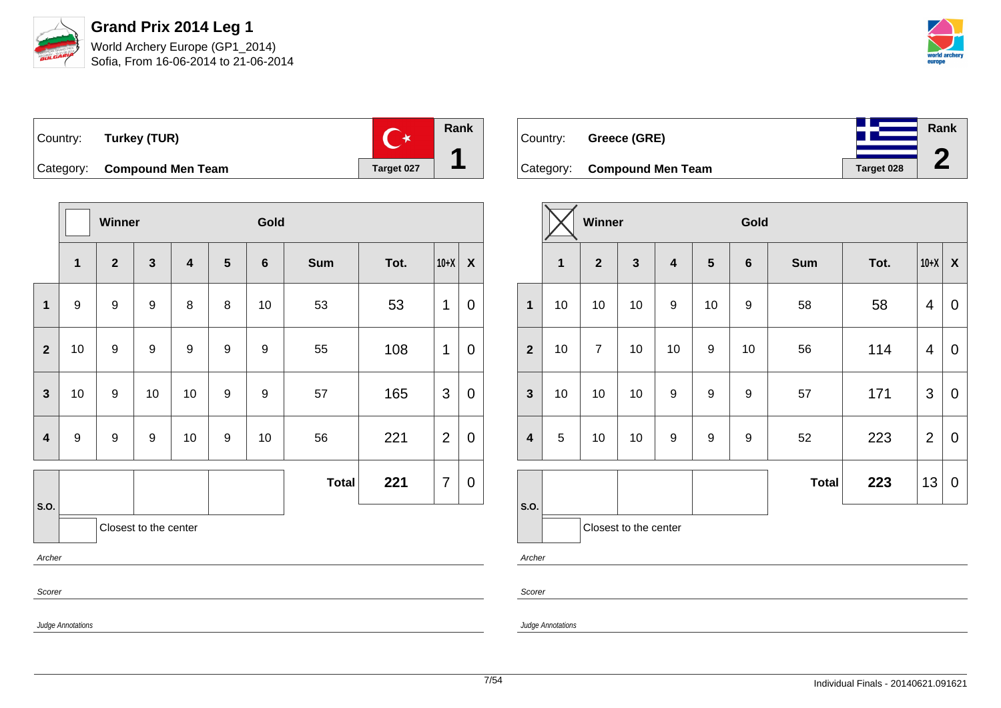



**Rank**

**2**

| Country: Turkey (TUR)       |            | Rank |
|-----------------------------|------------|------|
| Category: Compound Men Team | Target 027 |      |

|                         |                   | Winner           |                       |                         |                         | Gold    |              |      |                |             |
|-------------------------|-------------------|------------------|-----------------------|-------------------------|-------------------------|---------|--------------|------|----------------|-------------|
|                         | $\mathbf{1}$      | $\boldsymbol{2}$ | $\mathbf{3}$          | $\overline{\mathbf{4}}$ | $\overline{\mathbf{5}}$ | $\bf 6$ | <b>Sum</b>   | Tot. | $10+X$         | X           |
| 1                       | $\boldsymbol{9}$  | $\boldsymbol{9}$ | 9                     | 8                       | 8                       | 10      | 53           | 53   | 1              | 0           |
| $\mathbf{2}$            | 10                | 9                | 9                     | 9                       | 9                       | 9       | 55           | 108  | 1              | 0           |
| $\overline{\mathbf{3}}$ | 10                | $\boldsymbol{9}$ | 10                    | 10                      | 9                       | 9       | 57           | 165  | 3              | 0           |
| $\overline{\mathbf{4}}$ | $\boldsymbol{9}$  | $\boldsymbol{9}$ | $\boldsymbol{9}$      | 10                      | 9                       | 10      | 56           | 221  | $\overline{2}$ | $\mathbf 0$ |
|                         |                   |                  |                       |                         |                         |         | <b>Total</b> | 221  | $\overline{7}$ | 0           |
| S.O.                    |                   |                  | Closest to the center |                         |                         |         |              |      |                |             |
| Archer                  |                   |                  |                       |                         |                         |         |              |      |                |             |
|                         | Scorer            |                  |                       |                         |                         |         |              |      |                |             |
|                         | Judge Annotations |                  |                       |                         |                         |         |              |      |                |             |

| Country: Greece (GRE)       |            |
|-----------------------------|------------|
| Category: Compound Men Team | Target 028 |

|                  | Winner |                |                         |                         |                  | Gold    |              |      |                         |                           |
|------------------|--------|----------------|-------------------------|-------------------------|------------------|---------|--------------|------|-------------------------|---------------------------|
|                  | 1      | $\overline{2}$ | $\overline{\mathbf{3}}$ | $\overline{\mathbf{4}}$ | $5\phantom{1}$   | $\bf 6$ | <b>Sum</b>   | Tot. | $10+X$                  | $\boldsymbol{\mathsf{X}}$ |
| $\mathbf{1}$     | 10     | 10             | 10                      | $\boldsymbol{9}$        | 10               | 9       | 58           | 58   | 4                       | $\pmb{0}$                 |
| $\overline{2}$   | 10     | $\overline{7}$ | 10                      | 10                      | 9                | 10      | 56           | 114  | $\overline{\mathbf{4}}$ | 0                         |
| $\mathbf{3}$     | 10     | 10             | 10                      | $\boldsymbol{9}$        | 9                | 9       | 57           | 171  | $\mathfrak{S}$          | $\boldsymbol{0}$          |
| $\boldsymbol{4}$ | 5      | 10             | 10                      | $\boldsymbol{9}$        | $\boldsymbol{9}$ | 9       | 52           | 223  | $\overline{2}$          | $\pmb{0}$                 |
|                  |        |                |                         |                         |                  |         | <b>Total</b> | 223  | 13                      | $\boldsymbol{0}$          |
| S.O.             |        |                | Closest to the center   |                         |                  |         |              |      |                         |                           |
| Archer           |        |                |                         |                         |                  |         |              |      |                         |                           |

Scorer

Judge Annotations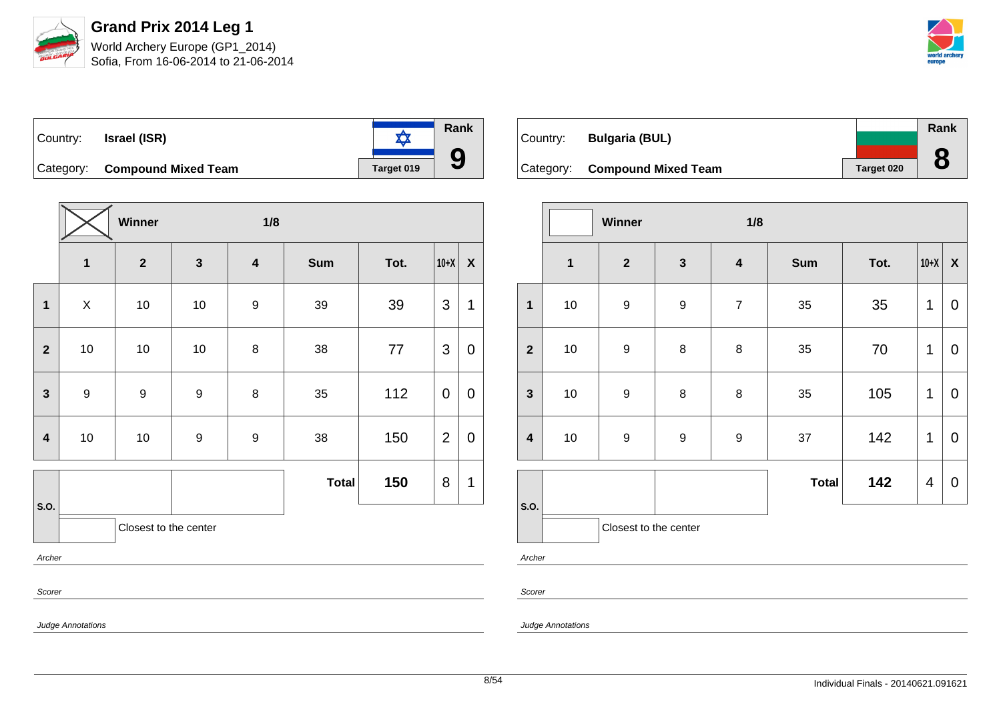



**Rank**  $\frac{1}{\sqrt{2}}$ Country: **Israel (ISR) 9** Category: **Compound Mixed Team Target 019** 

|                         |                       | Winner           |                  | 1/8              |              |      |                |                           |
|-------------------------|-----------------------|------------------|------------------|------------------|--------------|------|----------------|---------------------------|
|                         | $\mathbf{1}$          | $\mathbf{2}$     | $\mathbf{3}$     | 4                | <b>Sum</b>   | Tot. | $10+X$         | $\boldsymbol{\mathsf{X}}$ |
| 1                       | $\pmb{\times}$        | $10$             | $10$             | $\boldsymbol{9}$ | 39           | 39   | 3              | 1                         |
| $\overline{2}$          | 10                    | 10               | 10               | 8                | 38           | 77   | 3              | $\mathbf 0$               |
| $\mathbf{3}$            | $\boldsymbol{9}$      | $\boldsymbol{9}$ | $\boldsymbol{9}$ | 8                | 35           | 112  | 0              | $\mathbf 0$               |
| $\overline{\mathbf{4}}$ | 10                    | 10               | $\boldsymbol{9}$ | $\boldsymbol{9}$ | 38           | 150  | $\overline{2}$ | $\mathbf 0$               |
|                         |                       |                  |                  |                  | <b>Total</b> | 150  | 8              | 1                         |
| S.O.                    | Closest to the center |                  |                  |                  |              |      |                |                           |
| Archer                  |                       |                  |                  |                  |              |      |                |                           |
| Scorer                  |                       |                  |                  |                  |              |      |                |                           |

|          |                               |            | Rank |
|----------|-------------------------------|------------|------|
| Country: | <b>Bulgaria (BUL)</b>         |            |      |
|          | Category: Compound Mixed Team | Target 020 |      |

|                         |              | Winner<br>1/8         |                  |                         |              |      |                |                  |  |
|-------------------------|--------------|-----------------------|------------------|-------------------------|--------------|------|----------------|------------------|--|
|                         | $\mathbf{1}$ | $\mathbf{2}$          | $\mathbf{3}$     | $\overline{\mathbf{4}}$ | <b>Sum</b>   | Tot. | $10+X$         | $\boldsymbol{X}$ |  |
| $\mathbf{1}$            | 10           | $\boldsymbol{9}$      | $\boldsymbol{9}$ | $\overline{7}$          | 35           | 35   | 1              | 0                |  |
| $\overline{2}$          | 10           | $\boldsymbol{9}$      | 8                | 8                       | 35           | 70   | 1              | $\overline{0}$   |  |
| $\mathbf{3}$            | 10           | $\boldsymbol{9}$      | 8                | $\bf 8$                 | 35           | 105  | 1              | 0                |  |
| $\overline{\mathbf{4}}$ | $10\,$       | $\boldsymbol{9}$      | $\boldsymbol{9}$ | $\boldsymbol{9}$        | 37           | 142  | 1              | 0                |  |
|                         |              |                       |                  |                         | <b>Total</b> | 142  | $\overline{4}$ | $\mathbf 0$      |  |
| S.O.                    |              | Closest to the center |                  |                         |              |      |                |                  |  |

Archer

Scorer

Judge Annotations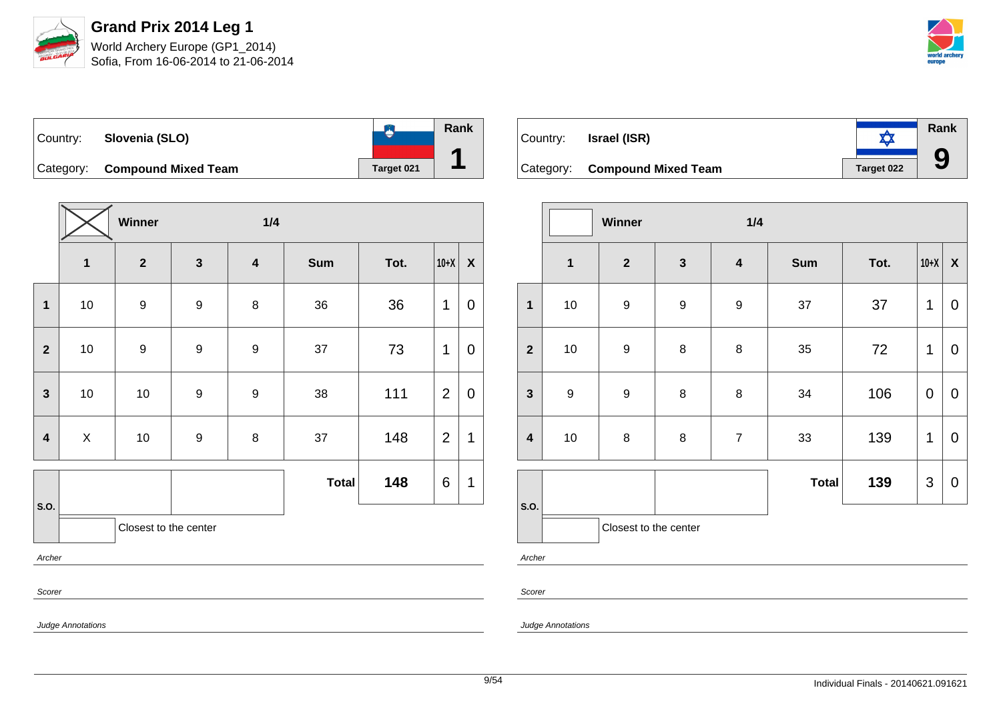

Sofia, From 16-06-2014 to 21-06-2014



**Rank**  $\bullet$ Country: **Slovenia (SLO) 1** Category: **Compound Mixed Team Target 021** 

|                         |                       | Winner           |                  | 1/4                     |              |      |                |              |
|-------------------------|-----------------------|------------------|------------------|-------------------------|--------------|------|----------------|--------------|
|                         | $\mathbf{1}$          | $\mathbf{2}$     | $\mathbf{3}$     | $\overline{\mathbf{4}}$ | Sum          | Tot. | $10+X$         | $\pmb{\chi}$ |
| 1                       | 10                    | $\boldsymbol{9}$ | $\boldsymbol{9}$ | $\bf 8$                 | 36           | 36   | $\mathbf 1$    | $\mathbf 0$  |
| $\mathbf{2}$            | $10$                  | $\boldsymbol{9}$ | 9                | $\boldsymbol{9}$        | 37           | 73   | 1              | $\mathbf 0$  |
| $\mathbf{3}$            | 10                    | 10               | $\boldsymbol{9}$ | $\boldsymbol{9}$        | 38           | 111  | $\overline{2}$ | $\mathbf 0$  |
| $\overline{\mathbf{4}}$ | $\pmb{\times}$        | 10               | 9                | 8                       | 37           | 148  | $\overline{2}$ | $\mathbf{1}$ |
|                         |                       |                  |                  |                         | <b>Total</b> | 148  | $\,6$          | $\mathbf{1}$ |
| S.O.                    | Closest to the center |                  |                  |                         |              |      |                |              |
| Archer                  |                       |                  |                  |                         |              |      |                |              |
| Scorer                  |                       |                  |                  |                         |              |      |                |              |

| Country: | <b>Israel (ISR)</b>           |            | <b>Rank</b> |
|----------|-------------------------------|------------|-------------|
|          | Category: Compound Mixed Team | Target 022 |             |

|                         |                  | Winner                |              | 1/4                     |              |      |             |                    |
|-------------------------|------------------|-----------------------|--------------|-------------------------|--------------|------|-------------|--------------------|
|                         | $\mathbf 1$      | $\mathbf{2}$          | $\mathbf{3}$ | $\overline{\mathbf{4}}$ | Sum          | Tot. | $10+X$      | $\pmb{\mathsf{X}}$ |
| 1                       | $10$             | $\boldsymbol{9}$      | $\mathsf g$  | $\boldsymbol{9}$        | 37           | 37   | 1           | $\pmb{0}$          |
| $\overline{2}$          | 10               | $\boldsymbol{9}$      | $\bf 8$      | $\bf 8$                 | 35           | 72   | $\mathbf 1$ | $\pmb{0}$          |
| $\mathbf{3}$            | $\boldsymbol{9}$ | $\boldsymbol{9}$      | $\,8\,$      | $\bf 8$                 | 34           | 106  | $\mathbf 0$ | $\mathbf 0$        |
| $\overline{\mathbf{4}}$ | $10$             | 8                     | 8            | $\overline{7}$          | 33           | 139  | 1           | $\mathbf 0$        |
|                         |                  |                       |              |                         | <b>Total</b> | 139  | 3           | $\pmb{0}$          |
| S.O.                    |                  | Closest to the center |              |                         |              |      |             |                    |

Archer

Scorer

Judge Annotations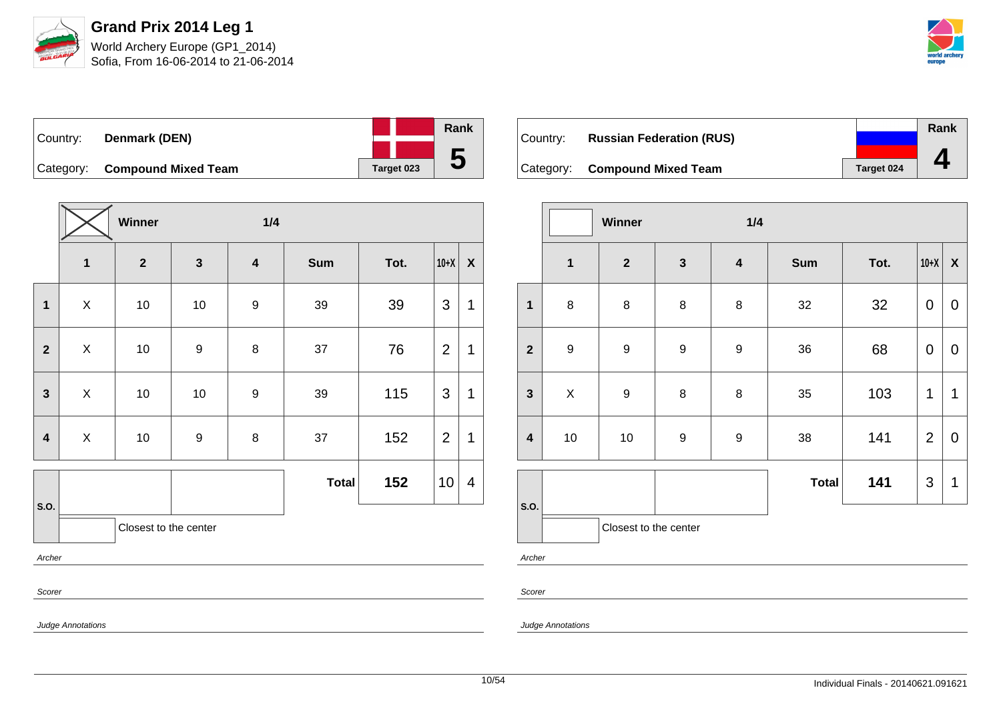

Sofia, From 16-06-2014 to 21-06-2014



| Country: | Denmark (DEN)                 |  |            | Rank |
|----------|-------------------------------|--|------------|------|
|          |                               |  |            |      |
|          | Category: Compound Mixed Team |  | Target 023 | b    |

|                         |                           | Winner                  |                         | 1/4                     |              |      |                 |                           |
|-------------------------|---------------------------|-------------------------|-------------------------|-------------------------|--------------|------|-----------------|---------------------------|
|                         | $\overline{1}$            | $\overline{\mathbf{2}}$ | $\overline{\mathbf{3}}$ | $\overline{\mathbf{4}}$ | <b>Sum</b>   | Tot. | $10+X$          | $\boldsymbol{\mathsf{X}}$ |
| 1                       | $\mathsf X$               | 10                      | 10                      | $\boldsymbol{9}$        | 39           | 39   | 3               | 1                         |
| $\mathbf{2}$            | $\boldsymbol{\mathsf{X}}$ | $10$                    | $\boldsymbol{9}$        | $\bf 8$                 | 37           | 76   | $\overline{2}$  | 1                         |
| $\mathbf{3}$            | $\pmb{\times}$            | 10                      | $10$                    | $\boldsymbol{9}$        | 39           | 115  | 3               | 1                         |
| $\overline{\mathbf{4}}$ | X                         | 10                      | $\boldsymbol{9}$        | 8                       | 37           | 152  | $\overline{2}$  | $\mathbf 1$               |
|                         |                           |                         |                         |                         | <b>Total</b> | 152  | 10 <sup>1</sup> | $\overline{\mathcal{A}}$  |
| S.O.                    |                           | Closest to the center   |                         |                         |              |      |                 |                           |
| Archer                  |                           |                         |                         |                         |              |      |                 |                           |
| Scorer                  |                           |                         |                         |                         |              |      |                 |                           |

| ∣Country: | <b>Russian Federation (RUS)</b> |            | Rank |
|-----------|---------------------------------|------------|------|
|           | Category: Compound Mixed Team   | Target 024 |      |

|                         | 1/4<br>Winner           |                       |                  |                         |              |      |                |                           |
|-------------------------|-------------------------|-----------------------|------------------|-------------------------|--------------|------|----------------|---------------------------|
|                         | $\overline{\mathbf{1}}$ | $\mathbf{2}$          | $\mathbf{3}$     | $\overline{\mathbf{4}}$ | <b>Sum</b>   | Tot. | $10+X$         | $\boldsymbol{\mathsf{X}}$ |
| $\mathbf{1}$            | 8                       | 8                     | 8                | $\bf 8$                 | 32           | 32   | $\mathbf 0$    | 0                         |
| $\overline{2}$          | $\boldsymbol{9}$        | $\boldsymbol{9}$      | $\boldsymbol{9}$ | $\boldsymbol{9}$        | 36           | 68   | $\pmb{0}$      | $\mathbf 0$               |
| $\mathbf{3}$            | X                       | $\boldsymbol{9}$      | 8                | $\bf 8$                 | 35           | 103  | 1              | 1                         |
| $\overline{\mathbf{4}}$ | 10                      | 10                    | $\boldsymbol{9}$ | $\boldsymbol{9}$        | 38           | 141  | $\overline{2}$ | 0                         |
|                         |                         |                       |                  |                         | <b>Total</b> | 141  | $\mathfrak{S}$ | 1                         |
| S.O.                    |                         | Closest to the center |                  |                         |              |      |                |                           |

Archer

Scorer

Judge Annotations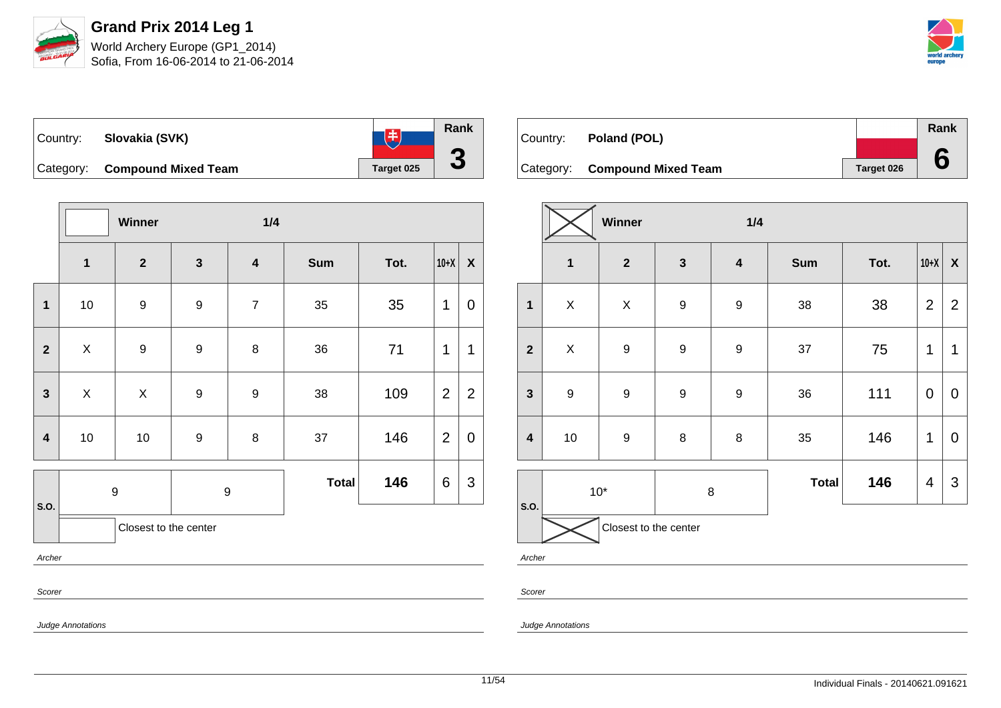



| Country: | Slovakia (SVK)                | 中          | Rank |
|----------|-------------------------------|------------|------|
|          | Category: Compound Mixed Team | Target 025 | J    |

|                         |                           | Winner                |                         | 1/4                     |              |      |                |                    |
|-------------------------|---------------------------|-----------------------|-------------------------|-------------------------|--------------|------|----------------|--------------------|
|                         | $\overline{\mathbf{1}}$   | $\overline{2}$        | $\overline{\mathbf{3}}$ | $\overline{\mathbf{4}}$ | <b>Sum</b>   | Tot. | $10+X$         | $\pmb{\mathsf{X}}$ |
| $\mathbf{1}$            | 10                        | $\boldsymbol{9}$      | 9                       | $\overline{7}$          | 35           | 35   | 1              | $\mathbf 0$        |
| $\mathbf{2}$            | $\boldsymbol{\mathsf{X}}$ | $\boldsymbol{9}$      | $\boldsymbol{9}$        | $\bf 8$                 | 36           | 71   | 1              | 1                  |
| $\mathbf{3}$            | X                         | $\mathsf X$           | $\boldsymbol{9}$        | 9                       | 38           | 109  | $\overline{2}$ | $\overline{2}$     |
| $\overline{\mathbf{4}}$ | 10                        | $10$                  | 9                       | $\bf 8$                 | 37           | 146  | $\overline{2}$ | $\pmb{0}$          |
| S.O.                    |                           | $\boldsymbol{9}$      | $\boldsymbol{9}$        |                         | <b>Total</b> | 146  | 6              | $\mathfrak{S}$     |
|                         |                           | Closest to the center |                         |                         |              |      |                |                    |
| Archer                  |                           |                       |                         |                         |              |      |                |                    |
| Scorer                  |                           |                       |                         |                         |              |      |                |                    |

| Country: <b>Poland (POL)</b>  |            | <b>Rank</b> |
|-------------------------------|------------|-------------|
|                               |            |             |
| Category: Compound Mixed Team | Target 026 |             |

|                         | Winner<br>1/4    |                       |                  |                  |              |      |                |                  |
|-------------------------|------------------|-----------------------|------------------|------------------|--------------|------|----------------|------------------|
|                         | $\mathbf{1}$     | $\overline{2}$        | $\mathbf{3}$     | $\boldsymbol{4}$ | <b>Sum</b>   | Tot. | $10+X$         | $\boldsymbol{X}$ |
| $\mathbf{1}$            | Χ                | $\sf X$               | $\mathsf g$      | $\boldsymbol{9}$ | 38           | 38   | $\overline{2}$ | $\overline{2}$   |
| $\overline{2}$          | $\mathsf{X}$     | $\boldsymbol{9}$      | $\boldsymbol{9}$ | $\boldsymbol{9}$ | 37           | 75   | $\mathbf 1$    | 1                |
| $\mathbf{3}$            | $\boldsymbol{9}$ | $\mathsf g$           | $\mathsf g$      | $\boldsymbol{9}$ | 36           | 111  | $\mathbf 0$    | $\mathbf 0$      |
| $\overline{\mathbf{4}}$ | $10$             | 9                     | 8                | 8                | 35           | 146  | 1              | $\mathbf 0$      |
|                         |                  | $10*$                 | 8                |                  | <b>Total</b> | 146  | 4              | $\mathfrak{S}$   |
| S.O.                    |                  | Closest to the center |                  |                  |              |      |                |                  |

Archer

Scorer

Judge Annotations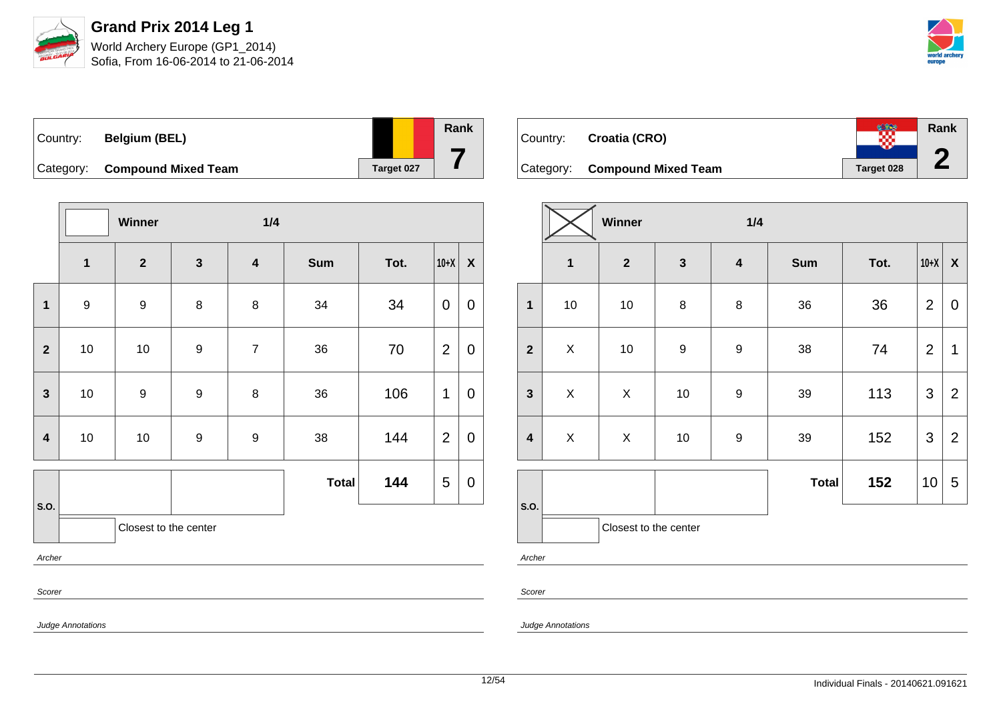

Sofia, From 16-06-2014 to 21-06-2014



| Country: | <b>Belgium (BEL)</b>          |            | Rank |
|----------|-------------------------------|------------|------|
|          | Category: Compound Mixed Team | Target 027 |      |

|                |                  | Winner                |                  | 1/4                     |              |      |                |                  |
|----------------|------------------|-----------------------|------------------|-------------------------|--------------|------|----------------|------------------|
|                | $\mathbf{1}$     | $\overline{2}$        | $\mathbf{3}$     | $\overline{\mathbf{4}}$ | <b>Sum</b>   | Tot. | $10+X$         | $\boldsymbol{X}$ |
| $\mathbf{1}$   | $\boldsymbol{9}$ | $\boldsymbol{9}$      | 8                | 8                       | 34           | 34   | $\mathbf 0$    | $\mathbf 0$      |
| $\overline{2}$ | 10               | 10                    | $\boldsymbol{9}$ | $\overline{7}$          | 36           | 70   | $\overline{2}$ | $\mathbf 0$      |
| $\mathbf{3}$   | 10               | $\boldsymbol{9}$      | $\boldsymbol{9}$ | 8                       | 36           | 106  | 1              | $\mathbf 0$      |
| 4              | 10               | 10                    | $\boldsymbol{9}$ | 9                       | 38           | 144  | $\overline{2}$ | $\mathbf 0$      |
|                |                  |                       |                  |                         | <b>Total</b> | 144  | 5              | $\mathbf 0$      |
| S.O.           |                  | Closest to the center |                  |                         |              |      |                |                  |
| Archer         |                  |                       |                  |                         |              |      |                |                  |
| Scorer         |                  |                       |                  |                         |              |      |                |                  |

| Country: | Croatia (CRO)                 | ∞          | <b>Rank</b> |
|----------|-------------------------------|------------|-------------|
|          | Category: Compound Mixed Team | Target 028 |             |

|                         |              | Winner                |                  | 1/4              |              |      |                |                    |  |  |  |
|-------------------------|--------------|-----------------------|------------------|------------------|--------------|------|----------------|--------------------|--|--|--|
|                         | $\mathbf{1}$ | $\mathbf{2}$          | $\mathbf{3}$     | $\boldsymbol{4}$ | <b>Sum</b>   | Tot. | $10+X$         | $\pmb{\mathsf{X}}$ |  |  |  |
| $\overline{\mathbf{1}}$ | $10$         | $10$                  | 8                | $\bf 8$          | 36           | 36   | $\overline{2}$ | $\mathbf 0$        |  |  |  |
| $\overline{2}$          | X            | $10$                  | $\boldsymbol{9}$ | $\boldsymbol{9}$ | 38           | 74   | $\overline{2}$ | 1                  |  |  |  |
| $\mathbf{3}$            | X            | Χ                     | $10$             | $\boldsymbol{9}$ | 39           | 113  | $\mathfrak{S}$ | $\overline{2}$     |  |  |  |
| $\overline{\mathbf{4}}$ | $\mathsf X$  | $\mathsf X$           | $10$             | $\boldsymbol{9}$ | 39           | 152  | $\mathfrak{S}$ | $\overline{2}$     |  |  |  |
|                         |              |                       |                  |                  | <b>Total</b> | 152  | 10             | 5                  |  |  |  |
| S.O.                    |              | Closest to the center |                  |                  |              |      |                |                    |  |  |  |

Archer

Scorer

Judge Annotations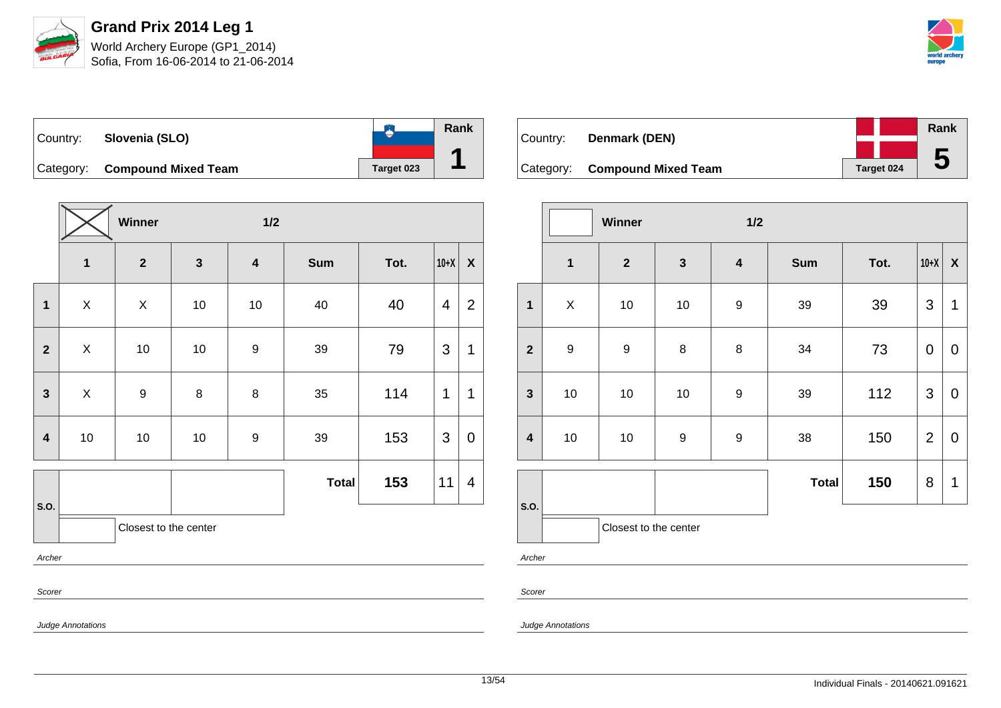

Sofia, From 16-06-2014 to 21-06-2014



**Rank**  $\bullet$ Country: **Slovenia (SLO) 1** Category: **Compound Mixed Team Target 023** 

|                | Winner<br>$1/2$           |                       |                         |                         |              |      |                |                |
|----------------|---------------------------|-----------------------|-------------------------|-------------------------|--------------|------|----------------|----------------|
|                | $\mathbf{1}$              | $\mathbf{2}$          | $\overline{\mathbf{3}}$ | $\overline{\mathbf{4}}$ | <b>Sum</b>   | Tot. | $10+X$         | $\pmb{\chi}$   |
| 1              | $\boldsymbol{\mathsf{X}}$ | X                     | 10                      | 10                      | 40           | 40   | $\overline{4}$ | $\overline{2}$ |
| $\mathbf{2}$   | X                         | 10                    | $10$                    | $\boldsymbol{9}$        | 39           | 79   | $\mathfrak{S}$ | 1              |
| $\overline{3}$ | X                         | $\boldsymbol{9}$      | 8                       | $\bf 8$                 | 35           | 114  | 1              | 1              |
| 4              | 10                        | 10                    | 10                      | 9                       | 39           | 153  | $\mathfrak{S}$ | $\mathbf 0$    |
|                |                           |                       |                         |                         | <b>Total</b> | 153  | 11             | 4              |
| S.O.           |                           | Closest to the center |                         |                         |              |      |                |                |
| Archer         |                           |                       |                         |                         |              |      |                |                |
| Scorer         |                           |                       |                         |                         |              |      |                |                |

| Country: | Denmark (DEN)                 |                   | Rank |
|----------|-------------------------------|-------------------|------|
|          |                               |                   |      |
|          | Category: Compound Mixed Team | <b>Target 024</b> | b    |

|                         |                         | Winner                |                  | 1/2                     |              |      |                |                    |
|-------------------------|-------------------------|-----------------------|------------------|-------------------------|--------------|------|----------------|--------------------|
|                         | $\overline{\mathbf{1}}$ | $\mathbf{2}$          | $\mathbf{3}$     | $\overline{\mathbf{4}}$ | <b>Sum</b>   | Tot. | $10+X$         | $\pmb{\mathsf{X}}$ |
| $\mathbf{1}$            | $\mathsf X$             | 10                    | $10$             | 9                       | 39           | 39   | 3              | 1                  |
| $\overline{2}$          | $\boldsymbol{9}$        | $\boldsymbol{9}$      | 8                | 8                       | 34           | 73   | $\mathbf 0$    | $\mathbf 0$        |
| $\mathbf{3}$            | $10$                    | 10                    | $10$             | $\boldsymbol{9}$        | 39           | 112  | 3              | $\mathbf 0$        |
| $\overline{\mathbf{4}}$ | $10$                    | 10                    | $\boldsymbol{9}$ | $\boldsymbol{9}$        | 38           | 150  | $\overline{2}$ | $\mathbf 0$        |
|                         |                         |                       |                  |                         | <b>Total</b> | 150  | 8              | 1                  |
| S.O.                    |                         | Closest to the center |                  |                         |              |      |                |                    |

Archer

Scorer

Judge Annotations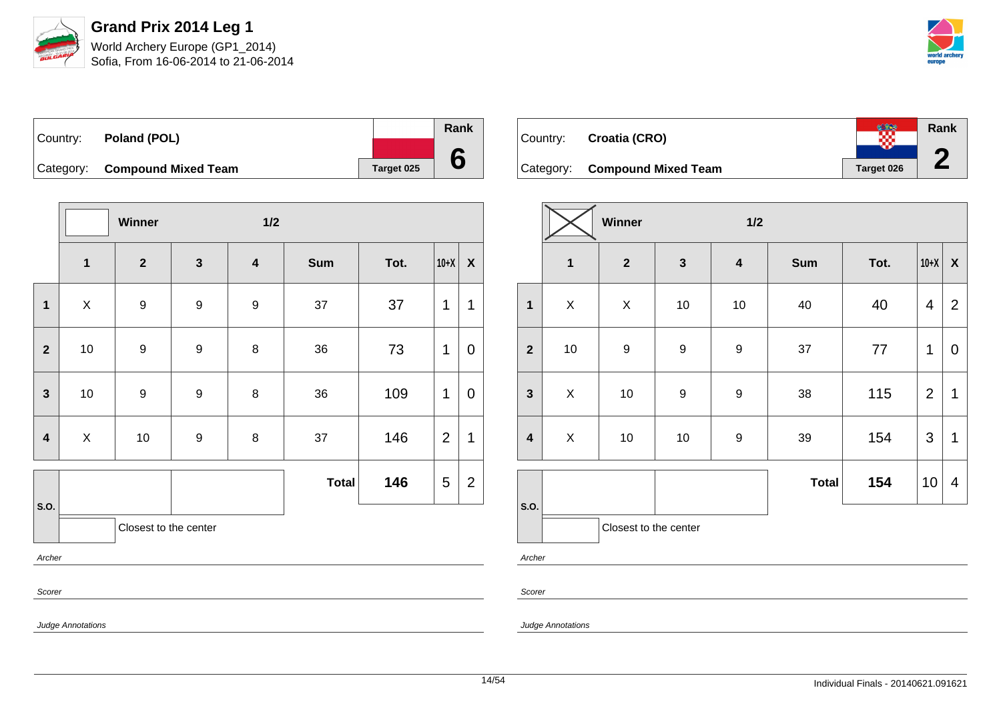

Sofia, From 16-06-2014 to 21-06-2014



| Country: | Poland (POL)                  |            | Rank |
|----------|-------------------------------|------------|------|
|          |                               |            |      |
|          | Category: Compound Mixed Team | Target 025 |      |

|                         |                       | Winner           |                  | $1/2$            |              |      |                |                  |
|-------------------------|-----------------------|------------------|------------------|------------------|--------------|------|----------------|------------------|
|                         | $\mathbf{1}$          | $\mathbf{2}$     | $\mathbf{3}$     | $\boldsymbol{4}$ | <b>Sum</b>   | Tot. | $10+X$         | $\boldsymbol{X}$ |
| $\mathbf{1}$            | X                     | 9                | $\boldsymbol{9}$ | 9                | 37           | 37   | $\mathbf 1$    | 1                |
| $\mathbf{2}$            | 10                    | $\boldsymbol{9}$ | $\boldsymbol{9}$ | 8                | 36           | 73   | 1              | 0                |
| $\mathbf{3}$            | 10                    | $\boldsymbol{9}$ | 9                | 8                | 36           | 109  | $\mathbf 1$    | $\mathbf 0$      |
| $\overline{\mathbf{4}}$ | X                     | 10               | 9                | 8                | 37           | 146  | $\overline{2}$ | 1                |
|                         |                       |                  |                  |                  | <b>Total</b> | 146  | 5              | $\overline{2}$   |
| S.O.                    | Closest to the center |                  |                  |                  |              |      |                |                  |
| Archer                  |                       |                  |                  |                  |              |      |                |                  |
| Scorer                  |                       |                  |                  |                  |              |      |                |                  |

| Country: | Croatia (CRO)                 |                   | <b>Rank</b> |
|----------|-------------------------------|-------------------|-------------|
|          | Category: Compound Mixed Team | <b>Target 026</b> |             |

|                         | Winner<br>1/2           |              |                  |                         |              |      |                |                           |
|-------------------------|-------------------------|--------------|------------------|-------------------------|--------------|------|----------------|---------------------------|
|                         | $\overline{\mathbf{1}}$ | $\mathbf{2}$ | $\mathbf{3}$     | $\overline{\mathbf{4}}$ | <b>Sum</b>   | Tot. | $10+X$         | $\boldsymbol{\mathsf{X}}$ |
| $\mathbf 1$             | $\pmb{\times}$          | X            | $10$             | 10                      | 40           | 40   | $\overline{4}$ | $\overline{2}$            |
| $\overline{2}$          | $10$                    | 9            | $\boldsymbol{9}$ | $\boldsymbol{9}$        | 37           | 77   | 1              | $\mathbf 0$               |
| $\mathbf{3}$            | X                       | $10$         | $\boldsymbol{9}$ | $\boldsymbol{9}$        | 38           | 115  | $\overline{2}$ | 1                         |
| $\overline{\mathbf{4}}$ | $\mathsf X$             | $10$         | $10$             | 9                       | 39           | 154  | $\mathfrak{S}$ | $\mathbf 1$               |
|                         |                         |              |                  |                         | <b>Total</b> | 154  | 10             | $\overline{4}$            |
| S.O.                    | Closest to the center   |              |                  |                         |              |      |                |                           |
| Archer                  |                         |              |                  |                         |              |      |                |                           |

Scorer

Judge Annotations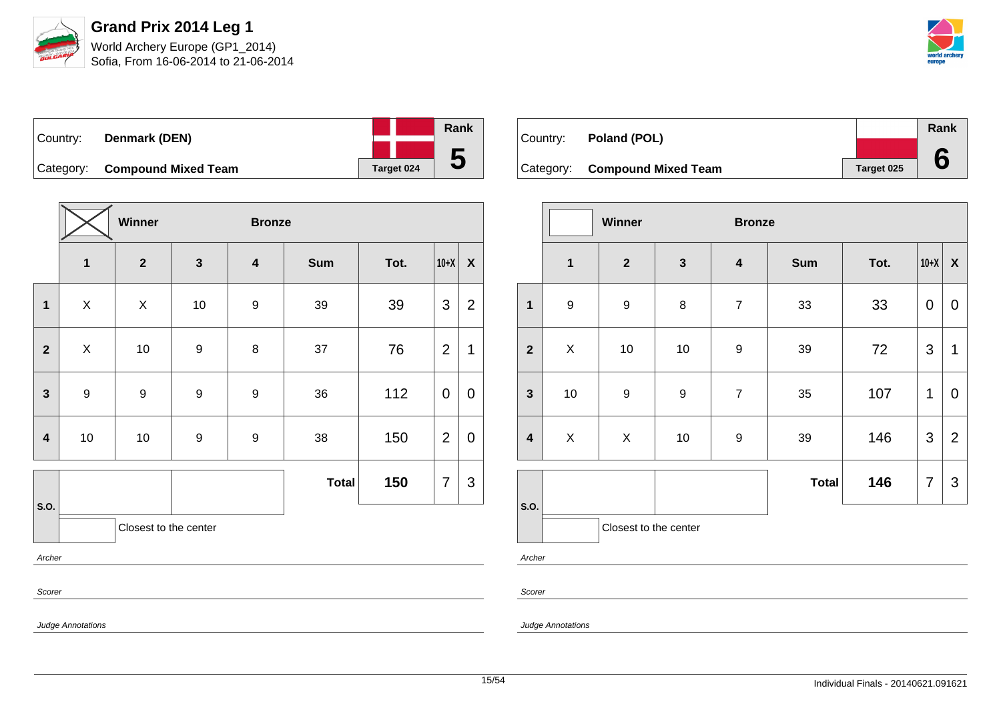

Sofia, From 16-06-2014 to 21-06-2014



| Country: | Denmark (DEN)                 |            | Rank |
|----------|-------------------------------|------------|------|
|          |                               |            |      |
|          | Category: Compound Mixed Team | Target 024 | b    |

|                         | Winner<br><b>Bronze</b> |                         |                  |                         |              |      |                |                |
|-------------------------|-------------------------|-------------------------|------------------|-------------------------|--------------|------|----------------|----------------|
|                         | $\overline{\mathbf{1}}$ | $\overline{\mathbf{2}}$ | $\mathbf{3}$     | $\overline{\mathbf{4}}$ | <b>Sum</b>   | Tot. | $10+X$         | $\pmb{\chi}$   |
| $\mathbf{1}$            | $\pmb{\times}$          | X                       | 10               | 9                       | 39           | 39   | 3              | $\overline{2}$ |
| $\overline{\mathbf{2}}$ | $\pmb{\times}$          | 10                      | $\boldsymbol{9}$ | 8                       | 37           | 76   | $\overline{2}$ | 1              |
| $\mathbf{3}$            | 9                       | $\boldsymbol{9}$        | $\boldsymbol{9}$ | $\boldsymbol{9}$        | 36           | 112  | $\mathbf 0$    | $\mathbf 0$    |
| $\overline{\mathbf{4}}$ | $10\,$                  | 10                      | $\boldsymbol{9}$ | $\boldsymbol{9}$        | 38           | 150  | $\overline{2}$ | $\pmb{0}$      |
|                         |                         |                         |                  |                         | <b>Total</b> | 150  | $\overline{7}$ | 3              |
| S.O.                    |                         | Closest to the center   |                  |                         |              |      |                |                |
| Archer                  |                         |                         |                  |                         |              |      |                |                |
| Scorer                  |                         |                         |                  |                         |              |      |                |                |

| Country: | Poland (POL)                  |            | Rank |
|----------|-------------------------------|------------|------|
|          |                               |            |      |
|          | Category: Compound Mixed Team | Target 025 |      |

|                         | Winner<br><b>Bronze</b> |                       |                  |                  |              |      |                |                           |
|-------------------------|-------------------------|-----------------------|------------------|------------------|--------------|------|----------------|---------------------------|
|                         | $\mathbf{1}$            | $\boldsymbol{2}$      | $\mathbf{3}$     | $\boldsymbol{4}$ | <b>Sum</b>   | Tot. | $10+X$         | $\boldsymbol{\mathsf{X}}$ |
| $\mathbf{1}$            | $\boldsymbol{9}$        | $\boldsymbol{9}$      | 8                | $\overline{7}$   | 33           | 33   | $\pmb{0}$      | 0                         |
| $\overline{2}$          | $\mathsf{X}$            | 10                    | 10               | $\boldsymbol{9}$ | 39           | 72   | 3              | 1                         |
| $\overline{\mathbf{3}}$ | 10                      | $\boldsymbol{9}$      | $\boldsymbol{9}$ | $\overline{7}$   | 35           | 107  | 1              | $\mathbf 0$               |
| $\overline{\mathbf{4}}$ | $\pmb{\times}$          | $\mathsf X$           | 10               | $\boldsymbol{9}$ | 39           | 146  | $\mathfrak{S}$ | $\overline{2}$            |
|                         |                         |                       |                  |                  | <b>Total</b> | 146  | $\overline{7}$ | 3                         |
| S.O.                    |                         | Closest to the center |                  |                  |              |      |                |                           |

Archer

Scorer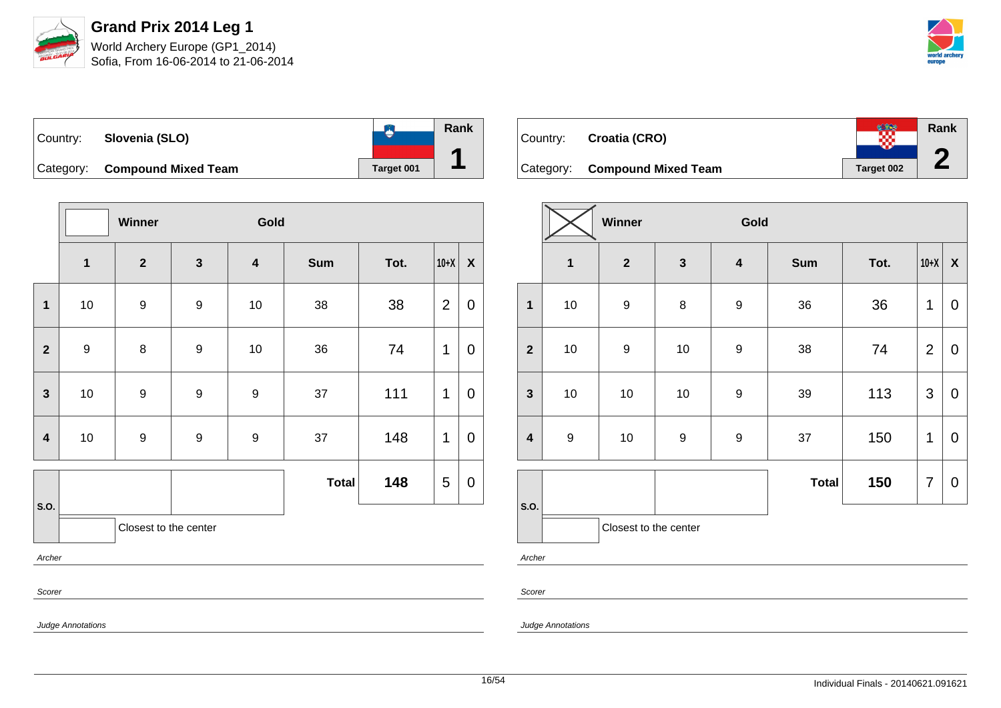

Sofia, From 16-06-2014 to 21-06-2014



| Country: | Slovenia (SLO)                |                   | Rank |
|----------|-------------------------------|-------------------|------|
|          | Category: Compound Mixed Team | <b>Target 001</b> |      |

|                         |                  | Winner                |                  | Gold                    |              |      |                |                  |
|-------------------------|------------------|-----------------------|------------------|-------------------------|--------------|------|----------------|------------------|
|                         | $\mathbf{1}$     | $\mathbf{2}$          | $\mathbf{3}$     | $\overline{\mathbf{4}}$ | <b>Sum</b>   | Tot. | $10+X$         | $\boldsymbol{X}$ |
| 1                       | 10               | 9                     | $\boldsymbol{9}$ | 10                      | 38           | 38   | $\overline{2}$ | $\pmb{0}$        |
| $\overline{2}$          | $\boldsymbol{9}$ | $\bf 8$               | $\boldsymbol{9}$ | 10                      | 36           | 74   | 1              | $\overline{0}$   |
| $\mathbf{3}$            | 10               | 9                     | $\boldsymbol{9}$ | 9                       | 37           | 111  | $\mathbf 1$    | 0                |
| $\overline{\mathbf{4}}$ | 10               | $\boldsymbol{9}$      | $\boldsymbol{9}$ | $\boldsymbol{9}$        | 37           | 148  | 1              | $\mathbf 0$      |
|                         |                  |                       |                  |                         | <b>Total</b> | 148  | 5              | $\pmb{0}$        |
| S.O.                    |                  | Closest to the center |                  |                         |              |      |                |                  |
| Archer                  |                  |                       |                  |                         |              |      |                |                  |
| Scorer                  |                  |                       |                  |                         |              |      |                |                  |

| Country: | Croatia (CRO)                        | ∞          | <b>Rank</b> |
|----------|--------------------------------------|------------|-------------|
|          | Category: <b>Compound Mixed Team</b> | Target 002 |             |

|                         |                  | Winner                |                  | Gold                    |              |      |                |                           |
|-------------------------|------------------|-----------------------|------------------|-------------------------|--------------|------|----------------|---------------------------|
|                         | $\mathbf{1}$     | $\mathbf{2}$          | $\mathbf{3}$     | $\overline{\mathbf{4}}$ | <b>Sum</b>   | Tot. | $10+X$         | $\boldsymbol{\mathsf{X}}$ |
| $\mathbf{1}$            | $10$             | $\boldsymbol{9}$      | 8                | $\boldsymbol{9}$        | 36           | 36   | 1              | $\mathbf 0$               |
| $\mathbf{2}$            | 10               | $\boldsymbol{9}$      | 10               | $\boldsymbol{9}$        | 38           | 74   | $\overline{2}$ | $\mathbf 0$               |
| $\mathbf{3}$            | 10               | 10                    | 10               | $\boldsymbol{9}$        | 39           | 113  | $\mathfrak{S}$ | $\pmb{0}$                 |
| $\overline{\mathbf{4}}$ | $\boldsymbol{9}$ | 10                    | $\boldsymbol{9}$ | $\boldsymbol{9}$        | 37           | 150  | 1              | 0                         |
|                         |                  |                       |                  |                         | <b>Total</b> | 150  | 7              | $\mathbf 0$               |
| S.O.                    |                  | Closest to the center |                  |                         |              |      |                |                           |

Archer

Scorer

Judge Annotations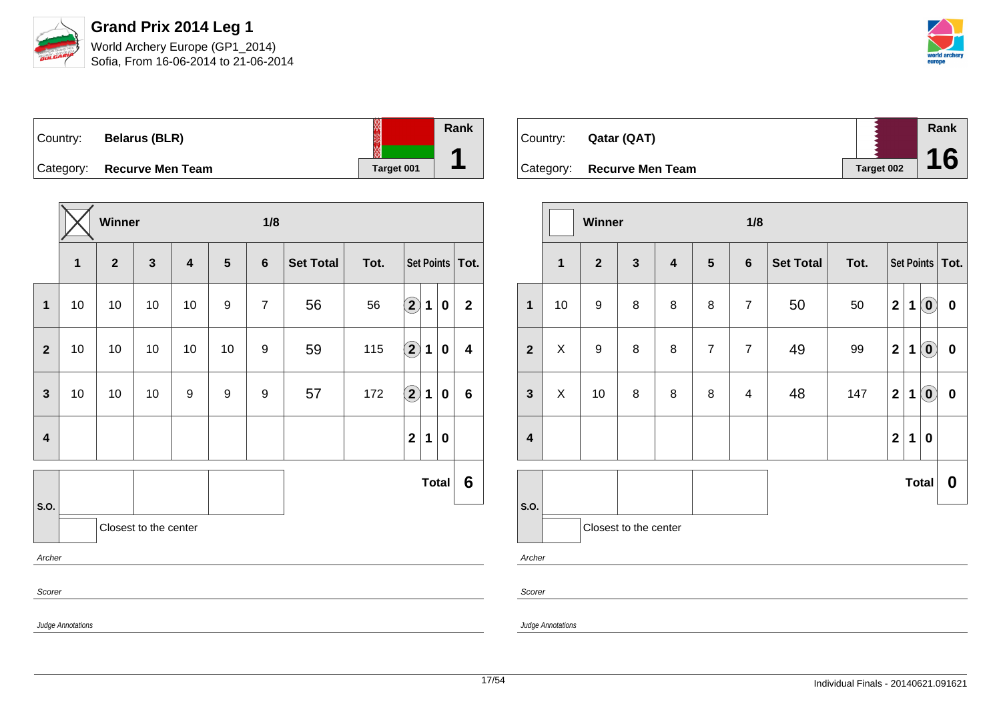

Sofia, From 16-06-2014 to 21-06-2014



| Country: | <b>Belarus (BLR)</b>       |            | Rank |
|----------|----------------------------|------------|------|
|          | Category: Recurve Men Team | Target 001 |      |

|        |                   |              |                         |                       | 1/8            |                  |      |             |             |                                               |                                   |  |
|--------|-------------------|--------------|-------------------------|-----------------------|----------------|------------------|------|-------------|-------------|-----------------------------------------------|-----------------------------------|--|
| 1      | $\overline{2}$    | $\mathbf{3}$ | $\overline{\mathbf{4}}$ | 5                     | $6\phantom{1}$ | <b>Set Total</b> | Tot. |             |             |                                               |                                   |  |
| 10     | 10                | 10           | 10                      | 9                     | $\overline{7}$ | 56               | 56   |             | $\mathbf 1$ | $\mathbf 0$                                   | $\mathbf{2}$                      |  |
| 10     | 10                | 10           | 10                      | 10                    | 9              | 59               | 115  |             | 1           | 0                                             | $\overline{\mathbf{4}}$           |  |
| 10     | 10                | 10           | 9                       | 9                     | 9              | 57               | 172  |             | 1           | 0                                             | $6\phantom{1}$                    |  |
|        |                   |              |                         |                       |                |                  |      | $\mathbf 2$ | $\mathbf 1$ | 0                                             |                                   |  |
|        |                   |              |                         |                       |                |                  |      |             |             |                                               | 6                                 |  |
|        |                   |              |                         |                       |                |                  |      |             |             |                                               |                                   |  |
| Archer |                   |              |                         |                       |                |                  |      |             |             |                                               |                                   |  |
| Scorer |                   |              |                         |                       |                |                  |      |             |             |                                               |                                   |  |
|        | Ludes Annotations |              | Winner                  | Closest to the center |                |                  |      |             |             | $\odot$<br>$\Large{\textbf{2}}$<br>$\Large 2$ | Set Points   Tot.<br><b>Total</b> |  |

| Country: | Qatar (QAT)                |            | Rank |
|----------|----------------------------|------------|------|
|          |                            |            |      |
|          | Category: Recurve Men Team | Target 002 | 16   |

|                         |                                                | Winner           |                       |                         |                | 1/8            |                  |      |                         |   |                                                |                  |  |
|-------------------------|------------------------------------------------|------------------|-----------------------|-------------------------|----------------|----------------|------------------|------|-------------------------|---|------------------------------------------------|------------------|--|
|                         | $\mathbf{1}$<br>$\overline{2}$<br>$\mathbf{3}$ |                  |                       | $\overline{\mathbf{4}}$ | $5\phantom{1}$ | $\bf 6$        | <b>Set Total</b> | Tot. | Set Points   Tot.       |   |                                                |                  |  |
| $\mathbf{1}$            | 10                                             | $\boldsymbol{9}$ | 8                     | 8                       | 8              | $\overline{7}$ | 50               | 50   | $\overline{\mathbf{2}}$ | 1 | $\left( \text{\textbf{0}}\right)$              | $\pmb{0}$        |  |
| $\overline{2}$          | X                                              | $\boldsymbol{9}$ | 8                     | 8                       | $\overline{7}$ | $\overline{7}$ | 49               | 99   | $\mathbf 2$             | 1 | $\left( \mathbf{0}\right)$                     | $\pmb{0}$        |  |
| $\mathbf{3}$            | X                                              | 10               | 8                     | 8                       | 8              | $\overline{4}$ | 48               | 147  | $\overline{\mathbf{2}}$ | 1 | $\left( \begin{matrix} 0 \end{matrix} \right)$ | $\pmb{0}$        |  |
| $\overline{\mathbf{4}}$ |                                                |                  |                       |                         |                |                |                  |      | $\mathbf 2$             | 1 | $\boldsymbol{0}$                               |                  |  |
| S.O.                    |                                                |                  |                       |                         |                |                |                  |      |                         |   | <b>Total</b>                                   | $\boldsymbol{0}$ |  |
|                         |                                                |                  | Closest to the center |                         |                |                |                  |      |                         |   |                                                |                  |  |
| Archer                  |                                                |                  |                       |                         |                |                |                  |      |                         |   |                                                |                  |  |

Scorer

Judge Annotations

Judge Annotations

17/54 Individual Finals - 20140621.091621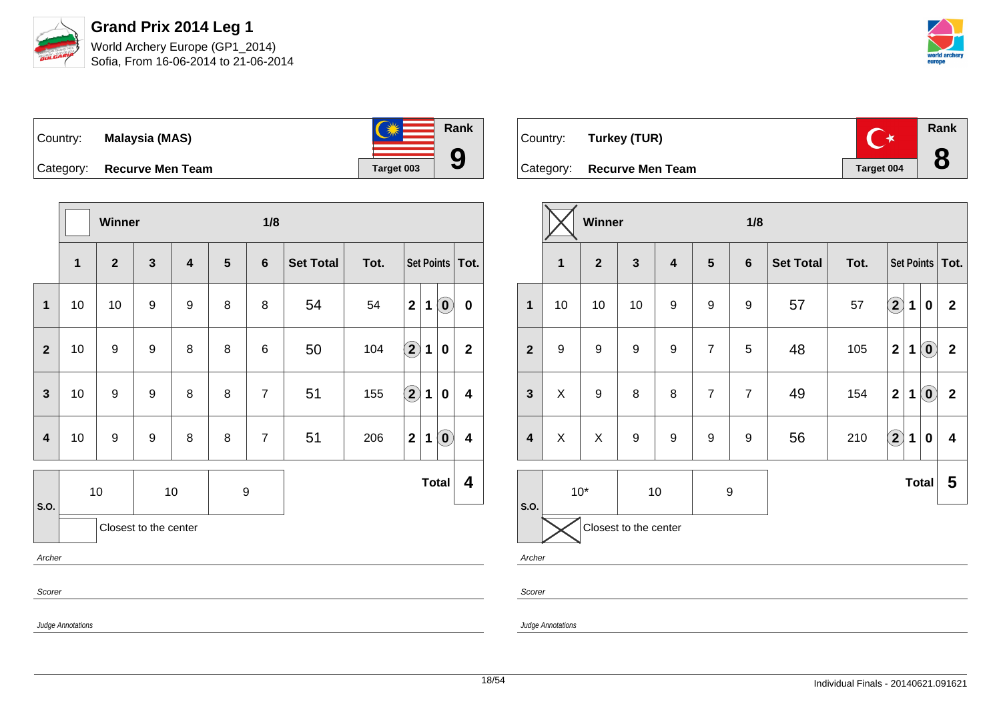



| Country:  | <b>Malaysia (MAS)</b>   | <b>AVZ</b> | Rank |
|-----------|-------------------------|------------|------|
|           |                         |            |      |
| Category: | <b>Recurve Men Team</b> | Target 003 |      |

|                         |                   | Winner                  |                       |                         |                  | 1/8             |                  |      |                      |   |                                                     |                         |
|-------------------------|-------------------|-------------------------|-----------------------|-------------------------|------------------|-----------------|------------------|------|----------------------|---|-----------------------------------------------------|-------------------------|
|                         | $\mathbf{1}$      | $\overline{\mathbf{2}}$ | $\mathbf{3}$          | $\overline{\mathbf{4}}$ | 5                | $6\phantom{1}$  | <b>Set Total</b> | Tot. |                      |   |                                                     | Set Points Tot.         |
| 1                       | 10                | 10                      | $\boldsymbol{9}$      | 9                       | 8                | 8               | 54               | 54   | $\mathbf{2}$         | 1 | $\left( \begin{matrix} 0 \\ 0 \end{matrix} \right)$ | $\pmb{0}$               |
| $\mathbf{2}$            | 10                | 9                       | 9                     | 8                       | 8                | $6\phantom{1}6$ | 50               | 104  | $\Large 2$           | 1 | 0                                                   | $\mathbf 2$             |
| $\mathbf{3}$            | 10                | 9                       | 9                     | 8                       | 8                | $\overline{7}$  | 51               | 155  | $\Large{\textbf{2}}$ | 1 | 0                                                   | $\overline{\mathbf{4}}$ |
| $\overline{\mathbf{4}}$ | 10                | 9                       | $\boldsymbol{9}$      | 8                       | 8                | $\overline{7}$  | 51               | 206  | $\mathbf{2}$         | 1 | $\left( \mathbf{0}\right)$                          | $\overline{\mathbf{4}}$ |
|                         |                   | $10$                    |                       | 10                      | $\boldsymbol{9}$ |                 |                  |      |                      |   | <b>Total</b>                                        | 4                       |
| S.O.                    |                   |                         | Closest to the center |                         |                  |                 |                  |      |                      |   |                                                     |                         |
| Archer                  |                   |                         |                       |                         |                  |                 |                  |      |                      |   |                                                     |                         |
| Scorer                  |                   |                         |                       |                         |                  |                 |                  |      |                      |   |                                                     |                         |
|                         | Judge Annotations |                         |                       |                         |                  |                 |                  |      |                      |   |                                                     |                         |

| Country: Turkey (TUR)      |            | Rank |
|----------------------------|------------|------|
| Category: Recurve Men Team | Target 004 |      |

|                         |                       | Winner                  |                  |                         |                  | 1/8              |                  |      |                            |             |                                                |                         |  |  |
|-------------------------|-----------------------|-------------------------|------------------|-------------------------|------------------|------------------|------------------|------|----------------------------|-------------|------------------------------------------------|-------------------------|--|--|
|                         | 1                     | $\overline{\mathbf{2}}$ | $\mathbf{3}$     | $\overline{\mathbf{4}}$ | $5\phantom{1}$   | $6\phantom{1}$   | <b>Set Total</b> | Tot. |                            |             |                                                | Set Points   Tot.       |  |  |
| $\mathbf{1}$            | 10                    | 10                      | 10               | 9                       | $\boldsymbol{9}$ | 9                | 57               | 57   | $\odot$                    | 1           | $\bf{0}$                                       | $\mathbf 2$             |  |  |
| $\overline{\mathbf{2}}$ | 9                     | $\boldsymbol{9}$        | 9                | 9                       | $\overline{7}$   | 5                | 48               | 105  | $\mathbf 2$                | 1           | $\left( \mathbf{0}\right)$                     | $\mathbf{2}$            |  |  |
| $\mathbf{3}$            | Χ                     | $\boldsymbol{9}$        | 8                | 8                       | $\overline{7}$   | $\overline{7}$   | 49               | 154  | $\mathbf 2$                | $\mathbf 1$ | $\left( \begin{matrix} 0 \end{matrix} \right)$ | $\mathbf{2}$            |  |  |
| $\overline{\mathbf{4}}$ | X                     | $\sf X$                 | $\boldsymbol{9}$ | $\boldsymbol{9}$        | $\boldsymbol{9}$ | $\boldsymbol{9}$ | 56               | 210  | $\left( \mathbf{2}\right)$ | 1           | 0                                              | $\overline{\mathbf{4}}$ |  |  |
| S.O.                    |                       | $10*$                   | $10$             |                         | $\boldsymbol{9}$ |                  |                  |      |                            |             | <b>Total</b>                                   | 5                       |  |  |
|                         | Closest to the center |                         |                  |                         |                  |                  |                  |      |                            |             |                                                |                         |  |  |
| Archer                  |                       |                         |                  |                         |                  |                  |                  |      |                            |             |                                                |                         |  |  |
| Scorer                  |                       |                         |                  |                         |                  |                  |                  |      |                            |             |                                                |                         |  |  |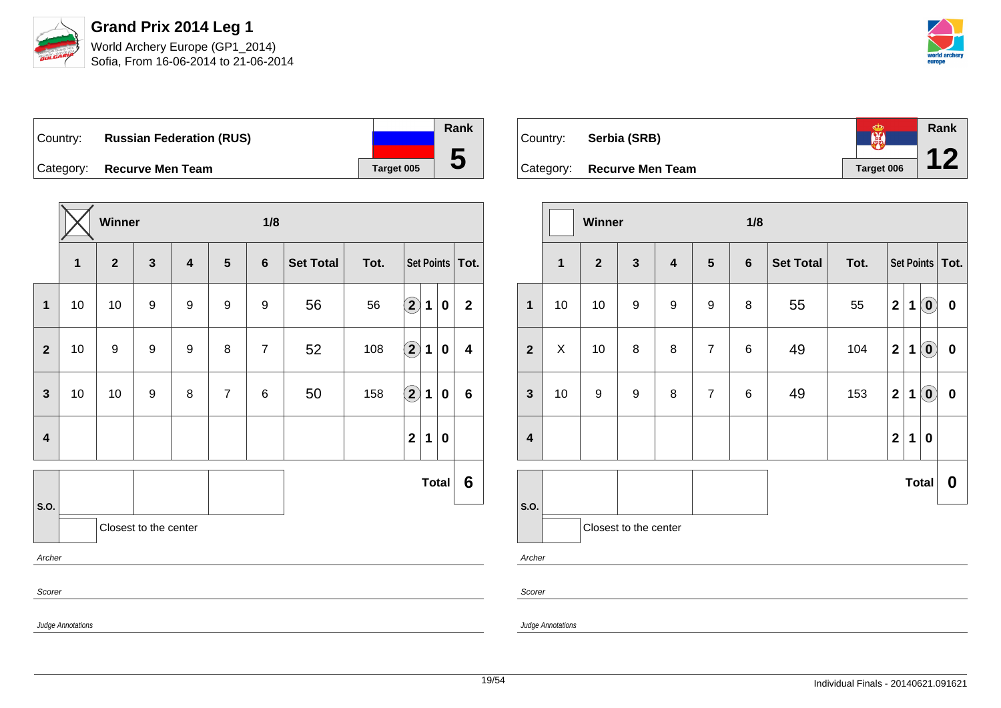

Sofia, From 16-06-2014 to 21-06-2014



Country: **Russian Federation (RUS)** Category: **Recurve Men Team Tanget 005** 

|                         |                   | Winner       |                       |                         |                | 1/8            |                  |                           |                            |             |              |                |
|-------------------------|-------------------|--------------|-----------------------|-------------------------|----------------|----------------|------------------|---------------------------|----------------------------|-------------|--------------|----------------|
|                         | 1                 | $\mathbf{2}$ | $\mathbf{3}$          | $\overline{\mathbf{4}}$ | $5\phantom{1}$ | $6\phantom{1}$ | <b>Set Total</b> | Tot.<br>Set Points   Tot. |                            |             |              |                |
| 1                       | 10                | 10           | 9                     | 9                       | 9              | 9              | 56               | 56                        | $\left( \bf{2}\right)$     | $\mathbf 1$ | 0            | $\mathbf{2}$   |
| $\mathbf{2}$            | 10                | 9            | 9                     | 9                       | 8              | $\overline{7}$ | 52               | 108                       | $\Large 2$                 | 1           | 0            | 4              |
| $\mathbf{3}$            | 10                | 10           | 9                     | 8                       | $\overline{7}$ | $\,6$          | 50               | 158                       | $\left( \mathbf{2}\right)$ | 1           | 0            | 6              |
| $\overline{\mathbf{4}}$ |                   |              |                       |                         |                |                |                  |                           | $\mathbf{2}$               | 1           | 0            |                |
|                         |                   |              |                       |                         |                |                |                  |                           |                            |             | <b>Total</b> | $6\phantom{1}$ |
| S.O.                    |                   |              | Closest to the center |                         |                |                |                  |                           |                            |             |              |                |
| Archer                  |                   |              |                       |                         |                |                |                  |                           |                            |             |              |                |
| Scorer                  |                   |              |                       |                         |                |                |                  |                           |                            |             |              |                |
|                         | Judge Annotations |              |                       |                         |                |                |                  |                           |                            |             |              |                |

**Rank** E Country: **Serbia (SRB) 12** Category: **Recurve Men Team Tanget 006** 

|                         |                                                           | Winner           |                       |                         | 1/8            |                |                  |      |                         |             |                                                |                  |
|-------------------------|-----------------------------------------------------------|------------------|-----------------------|-------------------------|----------------|----------------|------------------|------|-------------------------|-------------|------------------------------------------------|------------------|
|                         | $\overline{2}$<br>$\mathbf{3}$<br>$\overline{\mathbf{1}}$ |                  |                       | $\overline{\mathbf{4}}$ | $5\phantom{1}$ | $6\phantom{1}$ | <b>Set Total</b> | Tot. | Set Points   Tot.       |             |                                                |                  |
| $\mathbf{1}$            | 10                                                        | 10               | $\boldsymbol{9}$      | $\boldsymbol{9}$        | 9              | 8              | 55               | 55   | $\mathbf{2}$            | $\mathbf 1$ | $\left( \begin{matrix} 0 \end{matrix} \right)$ | $\pmb{0}$        |
| $\overline{2}$          | X                                                         | 10               | 8                     | 8                       | $\overline{7}$ | 6              | 49               | 104  | $\mathbf 2$             | 1           | $\left( \mathbf{0}\right)$                     | $\bf{0}$         |
| $\mathbf{3}$            | 10                                                        | $\boldsymbol{9}$ | $\boldsymbol{9}$      | 8                       | $\overline{7}$ | 6              | 49               | 153  | $\mathbf{2}$            | 1           | $\left( \begin{matrix} 0 \end{matrix} \right)$ | $\pmb{0}$        |
| $\overline{\mathbf{4}}$ |                                                           |                  |                       |                         |                |                |                  |      | $\overline{\mathbf{2}}$ | 1           | 0                                              |                  |
|                         |                                                           |                  |                       |                         |                |                |                  |      |                         |             | <b>Total</b>                                   | $\boldsymbol{0}$ |
| S.O.                    |                                                           |                  | Closest to the center |                         |                |                |                  |      |                         |             |                                                |                  |
| Archer                  |                                                           |                  |                       |                         |                |                |                  |      |                         |             |                                                |                  |

Judge Annotations

Scorer

**Rank**

**5**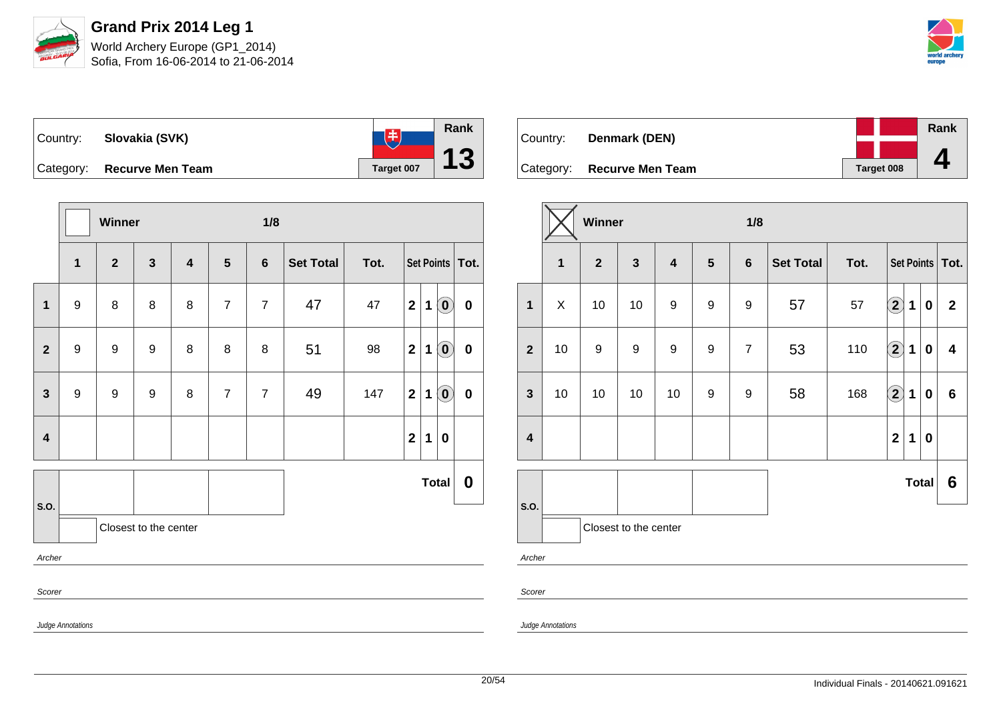



**Rank** 电 Country: **Slovakia (SVK) 13** Category: **Recurve Men Team Target 007** 

|                |                   | Winner         |                       |                         |                | 1/8            |                  |                           |              |   |                            |           |
|----------------|-------------------|----------------|-----------------------|-------------------------|----------------|----------------|------------------|---------------------------|--------------|---|----------------------------|-----------|
|                | $\mathbf{1}$      | $\overline{2}$ | $\mathbf{3}$          | $\overline{\mathbf{4}}$ | 5              | $6\phantom{a}$ | <b>Set Total</b> | Tot.<br>Set Points   Tot. |              |   |                            |           |
| $\mathbf 1$    | $\boldsymbol{9}$  | $\bf 8$        | $\bf 8$               | 8                       | $\overline{7}$ | $\overline{7}$ | 47               | 47                        | $\mathbf{2}$ | 1 | $\left( \mathbf{0}\right)$ | $\pmb{0}$ |
| $\overline{2}$ | $\boldsymbol{9}$  | 9              | 9                     | 8                       | 8              | 8              | 51               | 98                        | $\mathbf{2}$ | 1 | $\left( \mathbf{0}\right)$ | $\pmb{0}$ |
| $\mathbf{3}$   | 9                 | 9              | 9                     | 8                       | $\overline{7}$ | $\overline{7}$ | 49               | 147                       | $\mathbf{2}$ | 1 | $\left( \mathbf{0}\right)$ | $\pmb{0}$ |
| $\overline{4}$ |                   |                |                       |                         |                |                |                  |                           | $\mathbf{2}$ | 1 | $\boldsymbol{0}$           |           |
|                |                   |                |                       |                         |                |                |                  |                           |              |   | <b>Total</b>               | 0         |
| S.O.           |                   |                | Closest to the center |                         |                |                |                  |                           |              |   |                            |           |
| Archer         |                   |                |                       |                         |                |                |                  |                           |              |   |                            |           |
| Scorer         |                   |                |                       |                         |                |                |                  |                           |              |   |                            |           |
|                | Judge Annotations |                |                       |                         |                |                |                  |                           |              |   |                            |           |

| Country: | Denmark (DEN)              |            | Rank |
|----------|----------------------------|------------|------|
|          |                            |            |      |
|          | Category: Recurve Men Team | Target 008 |      |

|                         |              | Winner         |                         |                         |                  | 1/8              |                  |      |                            |              |                  |                   |
|-------------------------|--------------|----------------|-------------------------|-------------------------|------------------|------------------|------------------|------|----------------------------|--------------|------------------|-------------------|
|                         | $\mathbf{1}$ | $\overline{2}$ | $\overline{\mathbf{3}}$ | $\overline{\mathbf{4}}$ | $5\phantom{1}$   | $6\phantom{1}$   | <b>Set Total</b> | Tot. |                            |              |                  | Set Points   Tot. |
| $\mathbf{1}$            | X            | 10             | 10                      | $\boldsymbol{9}$        | $\boldsymbol{9}$ | 9                | 57               | 57   | $\bf \overline{2}$         | 1            | $\boldsymbol{0}$ | $\mathbf{2}$      |
| $\mathbf{2}$            | 10           | 9              | 9                       | $\boldsymbol{9}$        | 9                | $\overline{7}$   | 53               | 110  | $\Large{2}$                | 1            | $\mathbf 0$      | 4                 |
| $\mathbf{3}$            | 10           | 10             | 10                      | 10                      | $\boldsymbol{9}$ | $\boldsymbol{9}$ | 58               | 168  | $\left( \mathbf{2}\right)$ | 1            | $\bf{0}$         | $\bf 6$           |
| $\overline{\mathbf{4}}$ |              |                |                         |                         |                  |                  |                  |      | $\overline{\mathbf{2}}$    | 1            | $\mathbf 0$      |                   |
|                         |              |                |                         |                         |                  |                  |                  |      |                            | <b>Total</b> |                  | $6\phantom{1}6$   |
| S.O.                    |              |                | Closest to the center   |                         |                  |                  |                  |      |                            |              |                  |                   |
| Archer                  |              |                |                         |                         |                  |                  |                  |      |                            |              |                  |                   |

Scorer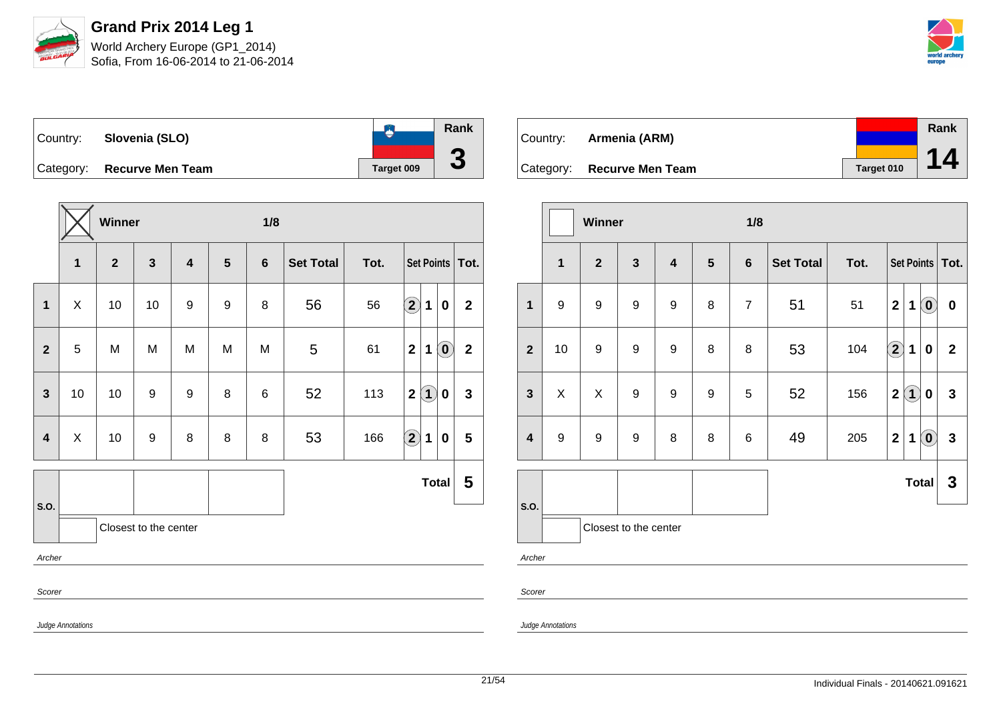

Sofia, From 16-06-2014 to 21-06-2014



**Rank**  $\bullet$ Country: **Slovenia (SLO) 3** Category: **Recurve Men Team Tanget 009** 

|                         |                   | Winner       |                       |                         |   | 1/8            |                  |      |                                            |                |
|-------------------------|-------------------|--------------|-----------------------|-------------------------|---|----------------|------------------|------|--------------------------------------------|----------------|
|                         | $\mathbf{1}$      | $\mathbf{2}$ | $\mathbf{3}$          | $\overline{\mathbf{4}}$ | 5 | $6\phantom{1}$ | <b>Set Total</b> | Tot. | Set Points   Tot.                          |                |
| $\mathbf{1}$            | X                 | 10           | 10                    | 9                       | 9 | 8              | 56               | 56   | $\bigcirc$<br>1<br>$\bf{0}$                | $\overline{2}$ |
| $\mathbf{2}$            | 5                 | M            | M                     | M                       | M | M              | 5                | 61   | $\overline{2}$<br>$\ddot{\mathbf{0}}$<br>1 | $\mathbf 2$    |
| $\mathbf{3}$            | 10                | 10           | 9                     | 9                       | 8 | $\,6$          | 52               | 113  | $\left( 1\right)$<br>$\mathbf{2}$<br>0     | 3              |
| $\overline{\mathbf{4}}$ | $\pmb{\times}$    | 10           | 9                     | 8                       | 8 | 8              | 53               | 166  | $\bigcirc \!\! 2$<br>$\mathbf 1$<br>0      | 5              |
|                         |                   |              |                       |                         |   |                |                  |      | <b>Total</b>                               | 5              |
| S.O.                    |                   |              | Closest to the center |                         |   |                |                  |      |                                            |                |
| Archer                  |                   |              |                       |                         |   |                |                  |      |                                            |                |
| Scorer                  |                   |              |                       |                         |   |                |                  |      |                                            |                |
|                         | Judge Annotations |              |                       |                         |   |                |                  |      |                                            |                |

| Country: <b>Armenia (ARM)</b> |            | Rank |
|-------------------------------|------------|------|
|                               |            |      |
| Category: Recurve Men Team    | Target 010 | 14   |

|              |              | Winner         |                       |                         |                | 1/8            |                  |      |                         |                   |                                                |                   |
|--------------|--------------|----------------|-----------------------|-------------------------|----------------|----------------|------------------|------|-------------------------|-------------------|------------------------------------------------|-------------------|
|              | $\mathbf{1}$ | $\overline{2}$ | $\mathbf{3}$          | $\overline{\mathbf{4}}$ | $5\phantom{1}$ | $6\phantom{1}$ | <b>Set Total</b> | Tot. |                         |                   |                                                | Set Points   Tot. |
| $\mathbf 1$  | 9            | 9              | $\boldsymbol{9}$      | 9                       | 8              | $\overline{7}$ | 51               | 51   | $\overline{\mathbf{2}}$ | $\mathbf 1$       | $\left( \mathbf{0}\right)$                     | $\pmb{0}$         |
| $\mathbf{2}$ | 10           | 9              | 9                     | 9                       | 8              | 8              | 53               | 104  | $\bigcirc$              | 1                 | 0                                              | $\boldsymbol{2}$  |
| $\mathbf{3}$ | X            | X              | 9                     | 9                       | 9              | 5              | 52               | 156  | $\mathbf 2$             | $\left( 1\right)$ | 0                                              | $\mathbf{3}$      |
| 4            | 9            | 9              | $\boldsymbol{9}$      | 8                       | 8              | 6              | 49               | 205  | $\mathbf 2$             | $\mathbf 1$       | $\left( \begin{matrix} 0 \end{matrix} \right)$ | $\mathbf{3}$      |
| S.O.         |              |                |                       |                         |                |                |                  |      |                         |                   | Total                                          | $\mathbf 3$       |
|              |              |                | Closest to the center |                         |                |                |                  |      |                         |                   |                                                |                   |
| Archer       |              |                |                       |                         |                |                |                  |      |                         |                   |                                                |                   |
| Scorer       |              |                |                       |                         |                |                |                  |      |                         |                   |                                                |                   |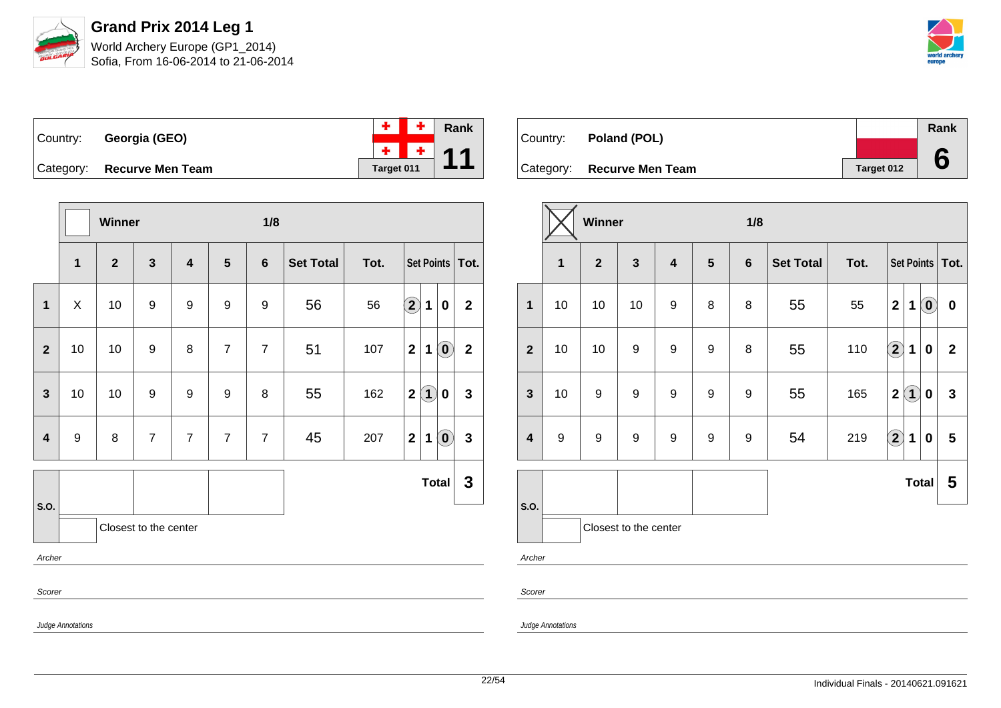



|                            |            | $+$ $+$ Rank |
|----------------------------|------------|--------------|
| Country: Georgia (GEO)     |            | $+$ $+$ 44   |
| Category: Recurve Men Team | Target 011 |              |

|                         |                   | Winner         |                       |                         |                  | 1/8            |                  |      |                    |             |                            |                   |
|-------------------------|-------------------|----------------|-----------------------|-------------------------|------------------|----------------|------------------|------|--------------------|-------------|----------------------------|-------------------|
|                         | $\mathbf{1}$      | $\overline{2}$ | $\mathbf{3}$          | $\overline{\mathbf{4}}$ | 5                | $6\phantom{1}$ | <b>Set Total</b> | Tot. |                    |             |                            | Set Points   Tot. |
| 1                       | X                 | 10             | $\boldsymbol{9}$      | 9                       | $\boldsymbol{9}$ | 9              | 56               | 56   | $\bf \overline{2}$ | 1           | 0                          | $\mathbf{2}$      |
| $\mathbf{2}$            | 10                | 10             | 9                     | 8                       | $\overline{7}$   | $\overline{7}$ | 51               | 107  | $\mathbf{2}$       | $\mathbf 1$ | $\left( \mathbf{0}\right)$ | $\mathbf{2}$      |
| $\overline{\mathbf{3}}$ | 10                | 10             | $\boldsymbol{9}$      | 9                       | 9                | 8              | 55               | 162  | $\mathbf{2}$       | $\bf(1)$    | 0                          | $\mathbf{3}$      |
| $\overline{\mathbf{4}}$ | $\boldsymbol{9}$  | 8              | $\overline{7}$        | $\overline{7}$          | $\overline{7}$   | $\overline{7}$ | 45               | 207  | $\mathbf{2}$       | $\mathbf 1$ | $\left( \mathbf{0}\right)$ | $\mathbf{3}$      |
|                         |                   |                |                       |                         |                  |                |                  |      |                    |             | <b>Total</b>               | $\mathbf{3}$      |
| S.O.                    |                   |                | Closest to the center |                         |                  |                |                  |      |                    |             |                            |                   |
| Archer                  |                   |                |                       |                         |                  |                |                  |      |                    |             |                            |                   |
| Scorer                  |                   |                |                       |                         |                  |                |                  |      |                    |             |                            |                   |
|                         | Judge Annotations |                |                       |                         |                  |                |                  |      |                    |             |                            |                   |

| Country: <b>Poland (POL)</b> |            | Rank |
|------------------------------|------------|------|
|                              |            |      |
| Category: Recurve Men Team   | Target 012 |      |

|                         |              | Winner           |                       |                         |                  | 1/8            |                  |      |                                       |                            |              |
|-------------------------|--------------|------------------|-----------------------|-------------------------|------------------|----------------|------------------|------|---------------------------------------|----------------------------|--------------|
|                         | $\mathbf{1}$ | $\overline{2}$   | $\mathbf{3}$          | $\overline{\mathbf{4}}$ | $5\phantom{1}$   | $6\phantom{1}$ | <b>Set Total</b> | Tot. | Set Points   Tot.                     |                            |              |
| $\mathbf 1$             | 10           | 10               | 10                    | 9                       | 8                | 8              | 55               | 55   | $\boldsymbol{2}$<br>1                 | $\left( \mathbf{0}\right)$ | $\pmb{0}$    |
| $\boldsymbol{2}$        | 10           | 10               | 9                     | $\boldsymbol{9}$        | 9                | 8              | 55               | 110  | $\hat{\mathbf{2}}$<br>1               | 0                          | $\mathbf{2}$ |
| $\mathbf{3}$            | 10           | $\boldsymbol{9}$ | $\boldsymbol{9}$      | $\boldsymbol{9}$        | $\boldsymbol{9}$ | 9              | 55               | 165  | $\left( 1\right)$<br>$\boldsymbol{2}$ | 0                          | $\mathbf{3}$ |
| $\overline{\mathbf{4}}$ | 9            | 9                | $\boldsymbol{9}$      | $\boldsymbol{9}$        | 9                | 9              | 54               | 219  | $\bf \overline{2}$<br>1               | $\pmb{0}$                  | 5            |
|                         |              |                  |                       |                         |                  |                |                  |      |                                       | <b>Total</b>               | 5            |
| S.O.                    |              |                  | Closest to the center |                         |                  |                |                  |      |                                       |                            |              |
| Archer                  |              |                  |                       |                         |                  |                |                  |      |                                       |                            |              |
| Scorer                  |              |                  |                       |                         |                  |                |                  |      |                                       |                            |              |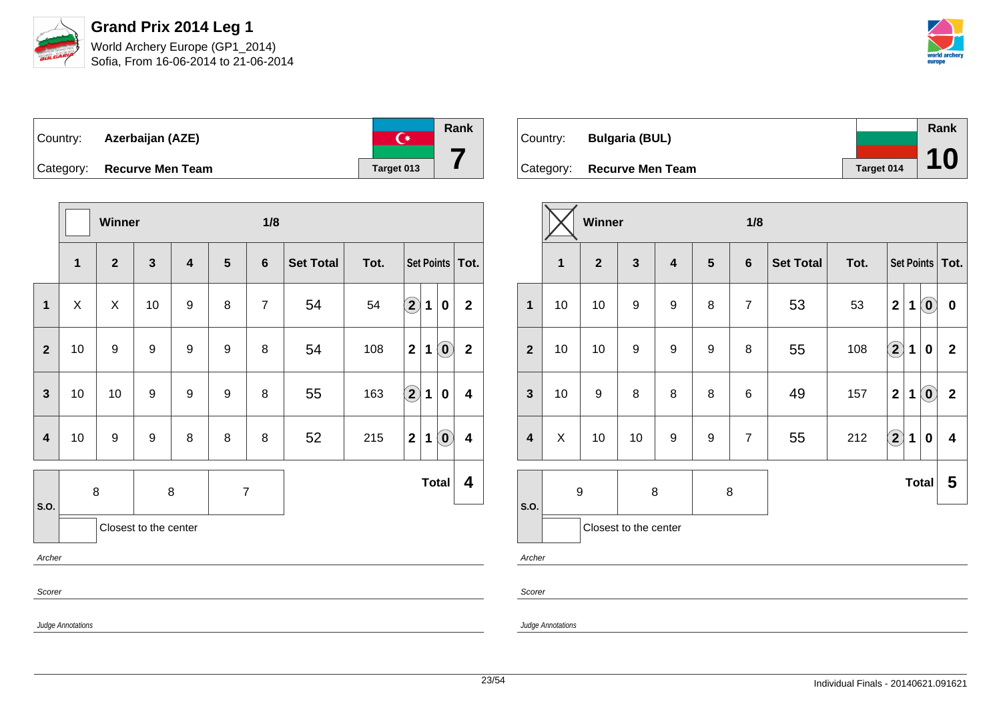

| Country: Azerbaijan (AZE)  | 半          | Rank |
|----------------------------|------------|------|
| Category: Recurve Men Team | Target 013 |      |

|                         |                   | Winner           |                       |                         |   | 1/8            |                  |      |                      |              |                            |                         |
|-------------------------|-------------------|------------------|-----------------------|-------------------------|---|----------------|------------------|------|----------------------|--------------|----------------------------|-------------------------|
|                         | $\mathbf{1}$      | $\mathbf{2}$     | $\mathbf{3}$          | $\overline{\mathbf{4}}$ | 5 | $6\phantom{1}$ | <b>Set Total</b> | Tot. |                      |              |                            | Set Points   Tot.       |
| 1                       | X                 | X                | 10                    | 9                       | 8 | $\overline{7}$ | 54               | 54   | $\mathbf{2}$         | $\mathbf{1}$ | 0                          | $\mathbf{2}$            |
| $\overline{2}$          | 10                | 9                | 9                     | 9                       | 9 | 8              | 54               | 108  | $\overline{2}$       | $\mathbf 1$  | $\left( \mathbf{0}\right)$ | $\mathbf{2}$            |
| $\overline{\mathbf{3}}$ | 10                | 10               | 9                     | 9                       | 9 | 8              | 55               | 163  | $\Large{\textbf{2}}$ | $\mathbf{1}$ | 0                          | $\overline{\mathbf{4}}$ |
| $\overline{\mathbf{4}}$ | 10                | $\boldsymbol{9}$ | $\boldsymbol{9}$      | 8                       | 8 | 8              | 52               | 215  | $\mathbf{2}$         | $\mathbf 1$  | $\left( \mathbf{0}\right)$ | $\overline{\mathbf{4}}$ |
|                         | 8                 |                  |                       | 8                       |   | $\overline{7}$ |                  |      |                      |              | <b>Total</b>               | 4                       |
| S.O.                    |                   |                  | Closest to the center |                         |   |                |                  |      |                      |              |                            |                         |
| Archer                  |                   |                  |                       |                         |   |                |                  |      |                      |              |                            |                         |
| Scorer                  |                   |                  |                       |                         |   |                |                  |      |                      |              |                            |                         |
|                         | Judge Annotations |                  |                       |                         |   |                |                  |      |                      |              |                            |                         |

|          |                            |            | <b>Rank</b> |
|----------|----------------------------|------------|-------------|
| Country: | <b>Bulgaria (BUL)</b>      |            |             |
|          |                            |            | <b>10</b>   |
|          | Category: Recurve Men Team | Target 014 |             |

|                         |                                                | Winner           |                  |                         |                  | 1/8            |                  |      |                                                            |                         |
|-------------------------|------------------------------------------------|------------------|------------------|-------------------------|------------------|----------------|------------------|------|------------------------------------------------------------|-------------------------|
|                         | $\overline{2}$<br>$\mathbf{3}$<br>$\mathbf{1}$ |                  |                  | $\overline{\mathbf{4}}$ | $5\phantom{1}$   | $6\phantom{1}$ | <b>Set Total</b> | Tot. | Set Points   Tot.                                          |                         |
| $\mathbf{1}$            | 10                                             | 10               | $\boldsymbol{9}$ | $\boldsymbol{9}$        | 8                | $\overline{7}$ | 53               | 53   | $\left( \mathbf{0}\right)$<br>$\overline{\mathbf{2}}$<br>1 | $\pmb{0}$               |
| $\overline{2}$          | 10                                             | 10               | $\boldsymbol{9}$ | 9                       | 9                | 8              | 55               | 108  | $\bf (2)$<br>1<br>0                                        | $\mathbf{2}$            |
| $\mathbf{3}$            | 10                                             | $\boldsymbol{9}$ | 8                | 8                       | 8                | 6              | 49               | 157  | $\overline{\mathbf{2}}$<br>$\left( \mathbf{0}\right)$<br>1 | $\overline{2}$          |
| $\overline{\mathbf{4}}$ | X                                              | 10               | 10               | $\boldsymbol{9}$        | $\boldsymbol{9}$ | $\overline{7}$ | 55               | 212  | $\bigcirc \!\! 2$<br>1<br>$\bf{0}$                         | $\overline{\mathbf{4}}$ |
| S.O.                    | $\boldsymbol{9}$                               |                  | $\bf 8$          |                         | 8                |                |                  |      | <b>Total</b>                                               | 5                       |
| Closest to the center   |                                                |                  |                  |                         |                  |                |                  |      |                                                            |                         |

Archer

Scorer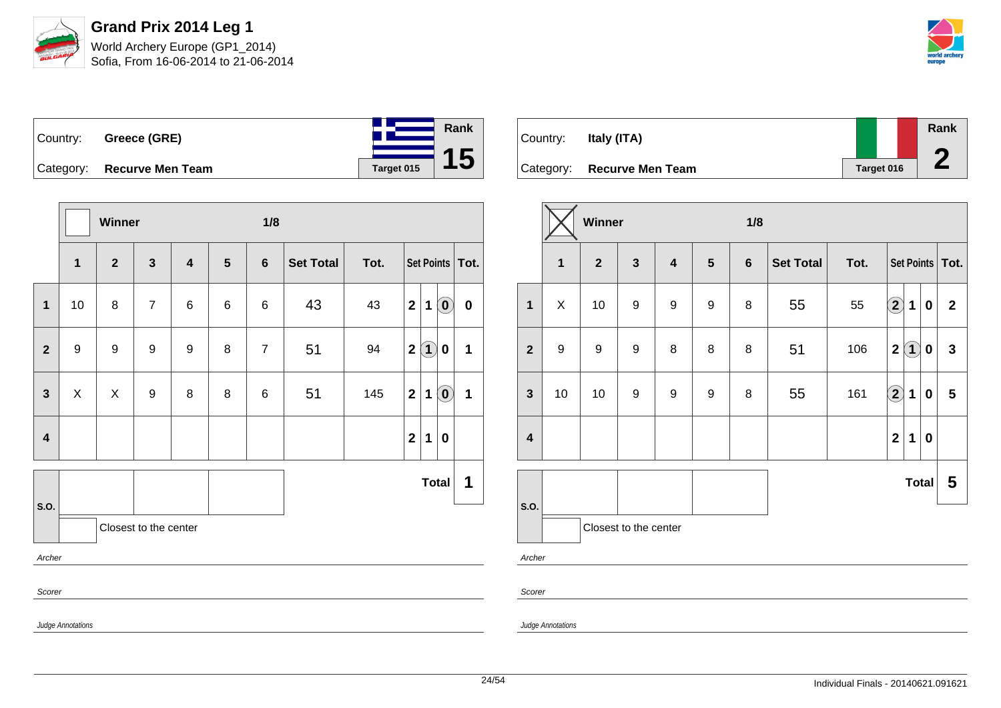



|           | Country: Greece (GRE)   |            | <b>Rank</b> |
|-----------|-------------------------|------------|-------------|
|           |                         |            |             |
| Category: | <b>Recurve Men Team</b> | Target 015 |             |

|                         |                   | Winner       |                         |                         |                 | 1/8            |           |      |                |             |                                                |                 |  |  |
|-------------------------|-------------------|--------------|-------------------------|-------------------------|-----------------|----------------|-----------|------|----------------|-------------|------------------------------------------------|-----------------|--|--|
|                         | $\mathbf{1}$      | $\mathbf{2}$ | $\overline{\mathbf{3}}$ | $\overline{\mathbf{4}}$ | $5\phantom{.0}$ | $6\phantom{1}$ | Set Total | Tot. |                |             |                                                | Set Points Tot. |  |  |
| $\mathbf{1}$            | 10                | 8            | $\overline{7}$          | 6                       | 6               | 6              | 43        | 43   | $\overline{2}$ | 1           | $\left( \mathbf{0}\right)$                     | $\mathbf 0$     |  |  |
| $\mathbf{2}$            | $\boldsymbol{9}$  | 9            | 9                       | 9                       | 8               | $\overline{7}$ | 51        | 94   | $\mathbf{2}$   | $\bf(1)$    | $\boldsymbol{0}$                               | 1               |  |  |
| $\mathbf{3}$            | X                 | X            | 9                       | 8                       | 8               | 6              | 51        | 145  | $\mathbf{2}$   | 1           | $\left[ \begin{matrix} 0 \end{matrix} \right]$ | 1               |  |  |
| $\overline{\mathbf{4}}$ |                   |              |                         |                         |                 |                |           |      | $\mathbf{2}$   | $\mathbf 1$ | $\mathbf 0$                                    |                 |  |  |
|                         |                   |              |                         |                         |                 |                |           |      |                |             | <b>Total</b>                                   | 1               |  |  |
| S.O.                    |                   |              | Closest to the center   |                         |                 |                |           |      |                |             |                                                |                 |  |  |
| Archer                  |                   |              |                         |                         |                 |                |           |      |                |             |                                                |                 |  |  |
| Scorer                  |                   |              |                         |                         |                 |                |           |      |                |             |                                                |                 |  |  |
|                         | Judge Annotations |              |                         |                         |                 |                |           |      |                |             |                                                |                 |  |  |

| Country: | Italy (ITA)                |            | Rank |
|----------|----------------------------|------------|------|
|          | Category: Recurve Men Team | Target 016 |      |

|                         |                                                           | Winner           |                  |                         |                | 1/8            |                  |      |                            |                   |                  |                   |
|-------------------------|-----------------------------------------------------------|------------------|------------------|-------------------------|----------------|----------------|------------------|------|----------------------------|-------------------|------------------|-------------------|
|                         | $\overline{\mathbf{3}}$<br>$\overline{2}$<br>$\mathbf{1}$ |                  |                  | $\overline{\mathbf{4}}$ | $5\phantom{1}$ | $6\phantom{1}$ | <b>Set Total</b> | Tot. |                            |                   |                  | Set Points   Tot. |
| $\mathbf{1}$            | X                                                         | 10               | 9                | $\boldsymbol{9}$        | 9              | 8              | 55               | 55   | $\left( \mathbf{2}\right)$ | 1                 | 0                | $\overline{2}$    |
| $\overline{\mathbf{2}}$ | $\boldsymbol{9}$                                          | $\boldsymbol{9}$ | $\boldsymbol{9}$ | 8                       | 8              | 8              | 51               | 106  | $\overline{\mathbf{2}}$    | $\left( 1\right)$ | 0                | $\mathbf{3}$      |
| $\mathbf{3}$            | 10                                                        | 10               | 9                | 9                       | 9              | 8              | 55               | 161  | $\left( \mathbf{2}\right)$ | 1                 | 0                | 5                 |
| $\overline{\mathbf{4}}$ |                                                           |                  |                  |                         |                |                |                  |      | $\mathbf{2}$               | 1                 | $\boldsymbol{0}$ |                   |
| S.O.                    |                                                           |                  |                  |                         |                |                |                  |      |                            | <b>Total</b>      |                  | 5                 |
|                         | Closest to the center                                     |                  |                  |                         |                |                |                  |      |                            |                   |                  |                   |
| Archer                  |                                                           |                  |                  |                         |                |                |                  |      |                            |                   |                  |                   |

Scorer

Judge Annotations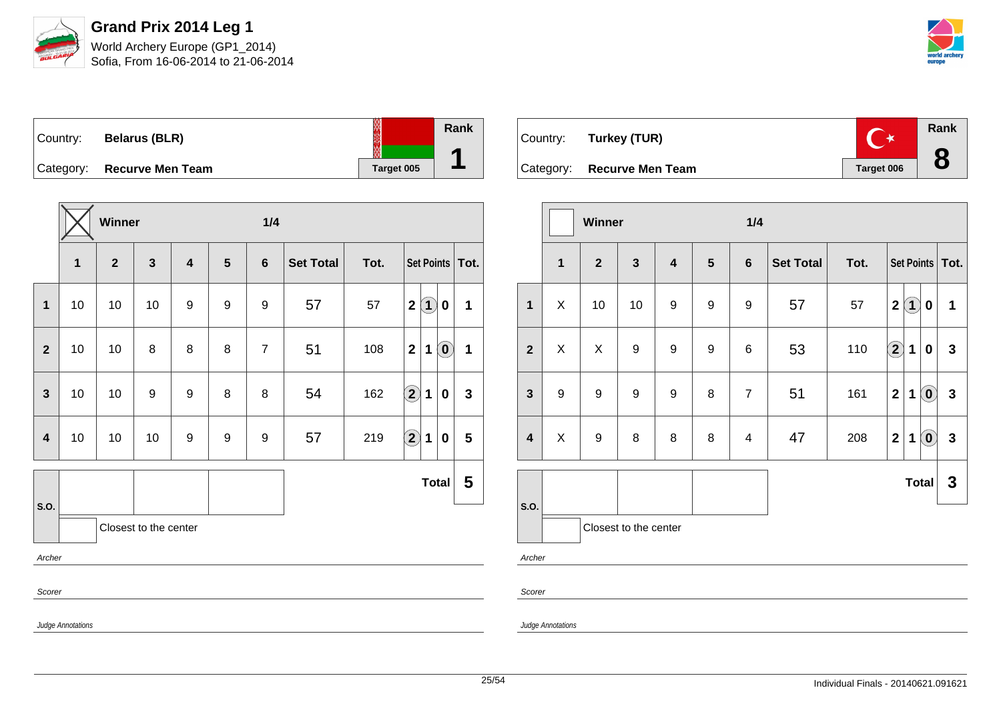

Sofia, From 16-06-2014 to 21-06-2014



| Country:  | <b>Belarus (BLR)</b>    | ₩          | Rank |
|-----------|-------------------------|------------|------|
| Category: | <b>Recurve Men Team</b> | Target 005 |      |

|                |                   | Winner       |                       |                         |                  | 1/4            |                  |      |                                                 |   |  |
|----------------|-------------------|--------------|-----------------------|-------------------------|------------------|----------------|------------------|------|-------------------------------------------------|---|--|
|                | 1                 | $\mathbf{2}$ | $\mathbf{3}$          | $\overline{\mathbf{4}}$ | 5                | $6\phantom{1}$ | <b>Set Total</b> | Tot. | Set Points   Tot.                               |   |  |
| 1              | 10                | 10           | 10                    | 9                       | 9                | 9              | 57               | 57   | $\bf(1)$<br>$\mathbf 2$<br>0                    | 1 |  |
| $\overline{2}$ | 10                | 10           | 8                     | 8                       | 8                | $\overline{7}$ | 51               | 108  | $\mathbf{2}$<br>$\left( \mathbf{0}\right)$<br>1 | 1 |  |
| $\mathbf{3}$   | 10                | 10           | $\boldsymbol{9}$      | 9                       | 8                | 8              | 54               | 162  | $\bigcirc$<br>$\mathbf{1}$<br>0                 | 3 |  |
| $\overline{4}$ | 10                | 10           | 10                    | 9                       | $\boldsymbol{9}$ | 9              | 57               | 219  | $\bigcirc$<br>$\mathbf 1$<br>$\bf{0}$           | 5 |  |
|                |                   |              |                       |                         |                  |                |                  |      | <b>Total</b>                                    | 5 |  |
| S.O.           |                   |              | Closest to the center |                         |                  |                |                  |      |                                                 |   |  |
|                | Archer            |              |                       |                         |                  |                |                  |      |                                                 |   |  |
|                | Scorer            |              |                       |                         |                  |                |                  |      |                                                 |   |  |
|                | Judge Annotations |              |                       |                         |                  |                |                  |      |                                                 |   |  |

| Country: Turkey (TUR)      |            | <b>Rank</b> |
|----------------------------|------------|-------------|
| Category: Recurve Men Team | Target 006 |             |

|                         |                                                           | Winner           |                  |   |                | 1/4             |                  |      |                         |             |                            |                   |
|-------------------------|-----------------------------------------------------------|------------------|------------------|---|----------------|-----------------|------------------|------|-------------------------|-------------|----------------------------|-------------------|
|                         | $\overline{\mathbf{1}}$<br>$\overline{2}$<br>$\mathbf{3}$ |                  |                  | 4 | $5\phantom{1}$ | $6\phantom{1}6$ | <b>Set Total</b> | Tot. |                         |             |                            | Set Points   Tot. |
| $\mathbf{1}$            | X                                                         | 10               | 10               | 9 | 9              | 9               | 57               | 57   | $\mathbf{2}$            | $\bf(1)$    | $\bf{0}$                   | $\mathbf 1$       |
| $\mathbf{2}$            | X                                                         | $\mathsf X$      | $\boldsymbol{9}$ | 9 | 9              | $\,6$           | 53               | 110  | $\Large 2$              | 1           | 0                          | $\mathbf{3}$      |
| $\overline{\mathbf{3}}$ | 9                                                         | $\boldsymbol{9}$ | 9                | 9 | 8              | $\overline{7}$  | 51               | 161  | $\mathbf 2$             | $\mathbf 1$ | $\left( \mathbf{0}\right)$ | $\mathbf{3}$      |
| $\overline{\mathbf{4}}$ | $\mathsf X$                                               | $\boldsymbol{9}$ | 8                | 8 | 8              | $\overline{4}$  | 47               | 208  | $\overline{\mathbf{2}}$ | 1           | $\left( \mathbf{0}\right)$ | $\mathbf{3}$      |
|                         |                                                           |                  |                  |   |                |                 |                  |      |                         |             | <b>Total</b>               | 3                 |
| S.O.                    | Closest to the center                                     |                  |                  |   |                |                 |                  |      |                         |             |                            |                   |
| Archer                  |                                                           |                  |                  |   |                |                 |                  |      |                         |             |                            |                   |
| Scorer                  |                                                           |                  |                  |   |                |                 |                  |      |                         |             |                            |                   |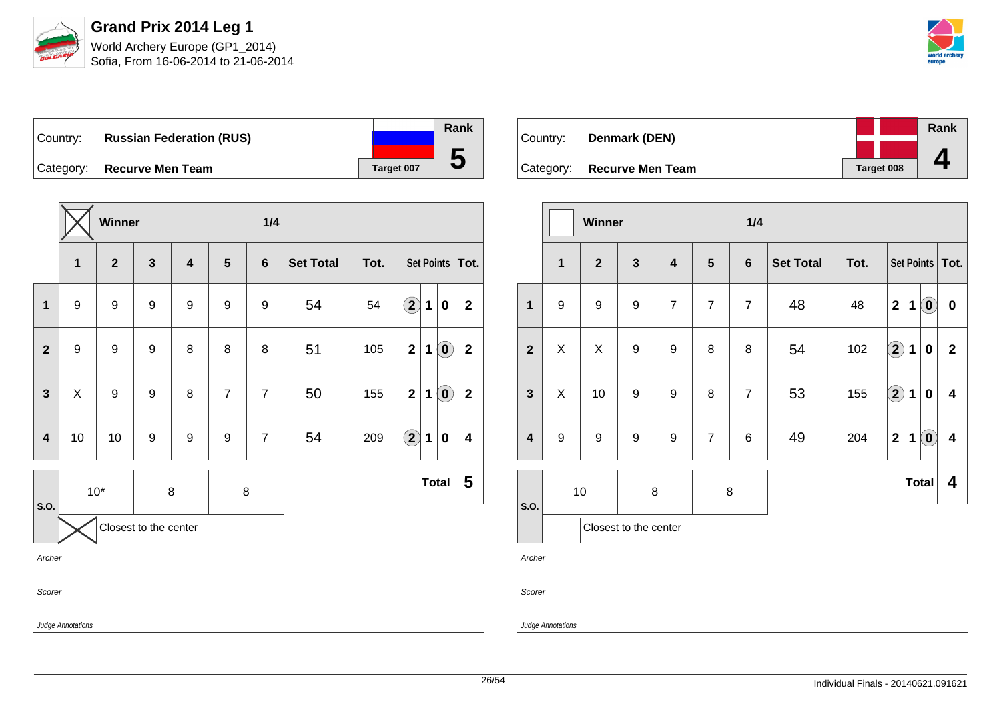

Sofia, From 16-06-2014 to 21-06-2014



Country: **Russian Federation (RUS)** Category: **Recurve Men Team Tanget 007** 

|                         |                   | Winner           |                       |                         |                  | 1/4            |                  |      |                      |             |                                                |                         |
|-------------------------|-------------------|------------------|-----------------------|-------------------------|------------------|----------------|------------------|------|----------------------|-------------|------------------------------------------------|-------------------------|
|                         | $\mathbf{1}$      | $\mathbf{2}$     | $\mathbf{3}$          | $\overline{\mathbf{4}}$ | 5                | $6\phantom{1}$ | <b>Set Total</b> | Tot. | Set Points   Tot.    |             |                                                |                         |
| $\mathbf{1}$            | 9                 | $\boldsymbol{9}$ | $\boldsymbol{9}$      | $\boldsymbol{9}$        | $\boldsymbol{9}$ | 9              | 54               | 54   | $\bigcirc$           | 1           | 0                                              | $\mathbf 2$             |
| $\mathbf{2}$            | 9                 | $\boldsymbol{9}$ | 9                     | 8                       | 8                | 8              | 51               | 105  | $\mathbf 2$          | 1           | $\left( \begin{matrix} 0 \end{matrix} \right)$ | $\mathbf{2}$            |
| $\mathbf{3}$            | X                 | $\boldsymbol{9}$ | 9                     | 8                       | $\overline{7}$   | $\overline{7}$ | 50               | 155  | $\mathbf 2$          | $\mathbf 1$ | $\left( \begin{matrix} 0 \end{matrix} \right)$ | $\mathbf 2$             |
| $\overline{\mathbf{4}}$ | 10                | 10               | 9                     | $\boldsymbol{9}$        | $\boldsymbol{9}$ | $\overline{7}$ | 54               | 209  | $\Large{\textbf{2}}$ | 1           | 0                                              | $\overline{\mathbf{4}}$ |
|                         | $10*$             |                  | 8                     |                         | $\bf 8$          |                |                  |      |                      |             | <b>Total</b>                                   | 5                       |
| S.O.                    |                   |                  | Closest to the center |                         |                  |                |                  |      |                      |             |                                                |                         |
|                         | Archer            |                  |                       |                         |                  |                |                  |      |                      |             |                                                |                         |
|                         | Scorer            |                  |                       |                         |                  |                |                  |      |                      |             |                                                |                         |
|                         | Judge Annotations |                  |                       |                         |                  |                |                  |      |                      |             |                                                |                         |

| Country:  | Denmark (DEN)           |            | Rank |
|-----------|-------------------------|------------|------|
|           |                         |            |      |
| Category: | <b>Recurve Men Team</b> | Target 008 |      |

|                         |                                                           | <b>Winner</b>         |                  |                                                             |                | 1/4              |      |            |                         |             |                            |                         |
|-------------------------|-----------------------------------------------------------|-----------------------|------------------|-------------------------------------------------------------|----------------|------------------|------|------------|-------------------------|-------------|----------------------------|-------------------------|
|                         | $\overline{\mathbf{3}}$<br>$\mathbf{1}$<br>$\overline{2}$ |                       |                  | $\overline{\mathbf{4}}$<br>$5\phantom{1}$<br>$6\phantom{1}$ |                | <b>Set Total</b> | Tot. | Set Points |                         |             | Tot.                       |                         |
| $\mathbf{1}$            | 9                                                         | 9                     | 9                | $\overline{7}$                                              | $\overline{7}$ | $\overline{7}$   | 48   | 48         | $\overline{\mathbf{2}}$ | 1           | $\left( \mathbf{0}\right)$ | $\pmb{0}$               |
| $\overline{2}$          | X                                                         | X                     | $\boldsymbol{9}$ | $\boldsymbol{9}$                                            | 8              | 8                | 54   | 102        | $\mathbf{2}$            | $\mathbf 1$ | $\bf{0}$                   | $\overline{2}$          |
| $\mathbf{3}$            | X                                                         | 10                    | $\boldsymbol{9}$ | $\boldsymbol{9}$                                            | 8              | $\overline{7}$   | 53   | 155        | $\bigcirc \!\! 2$       | $\mathbf 1$ | $\bf{0}$                   | $\overline{\mathbf{4}}$ |
| $\overline{\mathbf{4}}$ | 9                                                         | 9                     | 9                | 9                                                           | $\overline{7}$ | 6                | 49   | 204        | $\overline{\mathbf{2}}$ | 1           | $\left( \mathbf{0}\right)$ | 4                       |
| S.O.                    | $10$                                                      |                       | $\bf 8$          | 8                                                           |                |                  |      |            | <b>Total</b>            |             | 4                          |                         |
|                         |                                                           | Closest to the center |                  |                                                             |                |                  |      |            |                         |             |                            |                         |

Archer

Scorer

Judge Annotations

**Rank**

**5**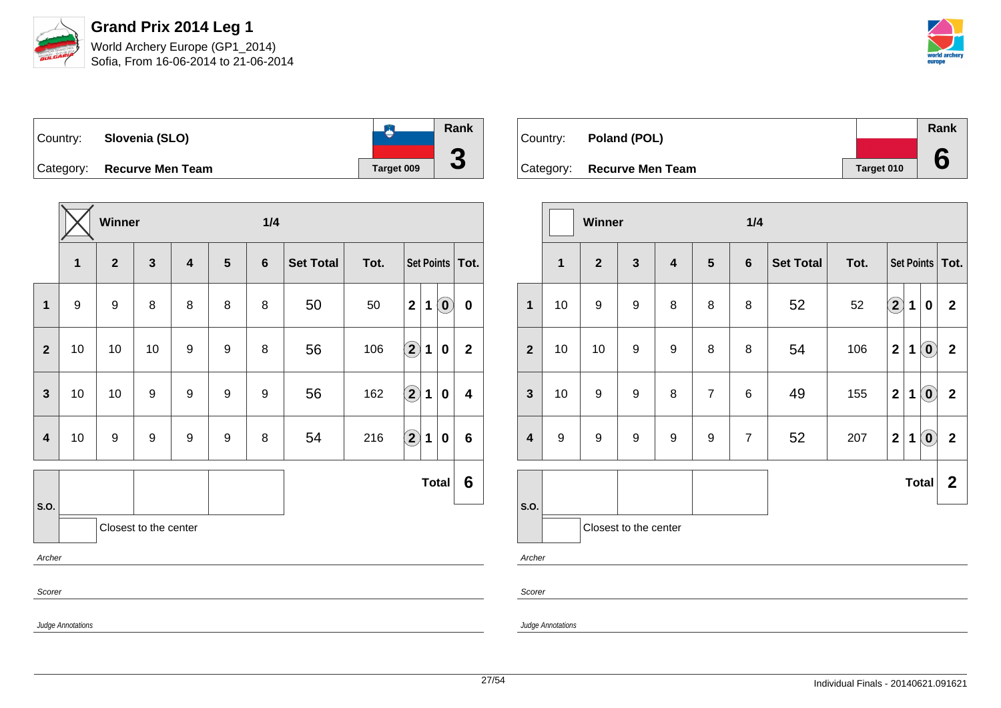

Sofia, From 16-06-2014 to 21-06-2014



**Rank**  $\bullet$ Country: **Slovenia (SLO) 3** Category: **Recurve Men Team Tanget 009** 

|                         |                          | Winner           |              |                         |                 | 1/4            |                  |      |                                                           |                |  |
|-------------------------|--------------------------|------------------|--------------|-------------------------|-----------------|----------------|------------------|------|-----------------------------------------------------------|----------------|--|
|                         | $\mathbf{1}$             | $\overline{2}$   | $\mathbf{3}$ | $\overline{\mathbf{4}}$ | $5\phantom{.0}$ | $6\phantom{1}$ | <b>Set Total</b> | Tot. | Set Points   Tot.                                         |                |  |
| $\mathbf 1$             | $\boldsymbol{9}$         | $\boldsymbol{9}$ | 8            | 8                       | 8               | 8              | 50               | 50   | $\mathbf{2}$<br>$\left( \mathbf{0}\right)$<br>$\mathbf 1$ | $\mathbf 0$    |  |
| $\mathbf{2}$            | 10                       | 10               | 10           | 9                       | 9               | 8              | 56               | 106  | $\Large 2$<br>$\mathbf 1$<br>0                            | $\overline{2}$ |  |
| $\mathbf{3}$            | 10                       | 10               | 9            | 9                       | 9               | 9              | 56               | 162  | $\bf (2)$<br>1<br>0                                       | 4              |  |
| $\overline{\mathbf{4}}$ | 10                       | $\boldsymbol{9}$ | 9            | 9                       | 9               | 8              | 54               | 216  | $\Large{\textbf{2}}$<br>$\mathbf 1$<br>0                  | 6              |  |
|                         |                          |                  |              |                         |                 |                |                  |      | <b>Total</b>                                              | 6              |  |
| S.O.                    | Closest to the center    |                  |              |                         |                 |                |                  |      |                                                           |                |  |
|                         | Archer                   |                  |              |                         |                 |                |                  |      |                                                           |                |  |
| Scorer                  |                          |                  |              |                         |                 |                |                  |      |                                                           |                |  |
|                         | <b>Judge Annotations</b> |                  |              |                         |                 |                |                  |      |                                                           |                |  |

| Country: Poland (POL)      |            | Rank |
|----------------------------|------------|------|
|                            |            |      |
| Category: Recurve Men Team | Target 010 |      |

|                         |                         | Winner           |                       |                         |                 | 1/4            |                  |      |                         |              |                                   |                |
|-------------------------|-------------------------|------------------|-----------------------|-------------------------|-----------------|----------------|------------------|------|-------------------------|--------------|-----------------------------------|----------------|
|                         | $\overline{\mathbf{1}}$ | $\boldsymbol{2}$ | $\mathbf{3}$          | $\overline{\mathbf{4}}$ | $5\phantom{.0}$ | $6\phantom{1}$ | <b>Set Total</b> | Tot. | Set Points   Tot.       |              |                                   |                |
| $\overline{\mathbf{1}}$ | 10                      | 9                | $\boldsymbol{9}$      | 8                       | 8               | 8              | 52               | 52   | $\Large{\textbf{2}}$    | $\mathbf{1}$ | $\mathbf 0$                       | $\overline{2}$ |
| $\mathbf{2}$            | 10                      | 10               | $\boldsymbol{9}$      | 9                       | 8               | 8              | 54               | 106  | $\overline{\mathbf{2}}$ | 1            | $\left( \text{\textbf{0}}\right)$ | $\mathbf{2}$   |
| $\mathbf{3}$            | 10                      | 9                | 9                     | 8                       | $\overline{7}$  | $\,6$          | 49               | 155  | $\mathbf{2}$            | 1            | $\left( \mathbf{0}\right)$        | $\mathbf{2}$   |
| $\overline{\mathbf{4}}$ | $\boldsymbol{9}$        | $\boldsymbol{9}$ | $\boldsymbol{9}$      | 9                       | 9               | $\overline{7}$ | 52               | 207  | $\mathbf 2$             | 1            | $\left( \mathbf{0}\right)$        | $\overline{2}$ |
|                         |                         |                  |                       |                         |                 |                |                  |      |                         |              | <b>Total</b>                      | $\overline{2}$ |
| S.O.                    |                         |                  | Closest to the center |                         |                 |                |                  |      |                         |              |                                   |                |
| Archer                  |                         |                  |                       |                         |                 |                |                  |      |                         |              |                                   |                |
| Scorer                  |                         |                  |                       |                         |                 |                |                  |      |                         |              |                                   |                |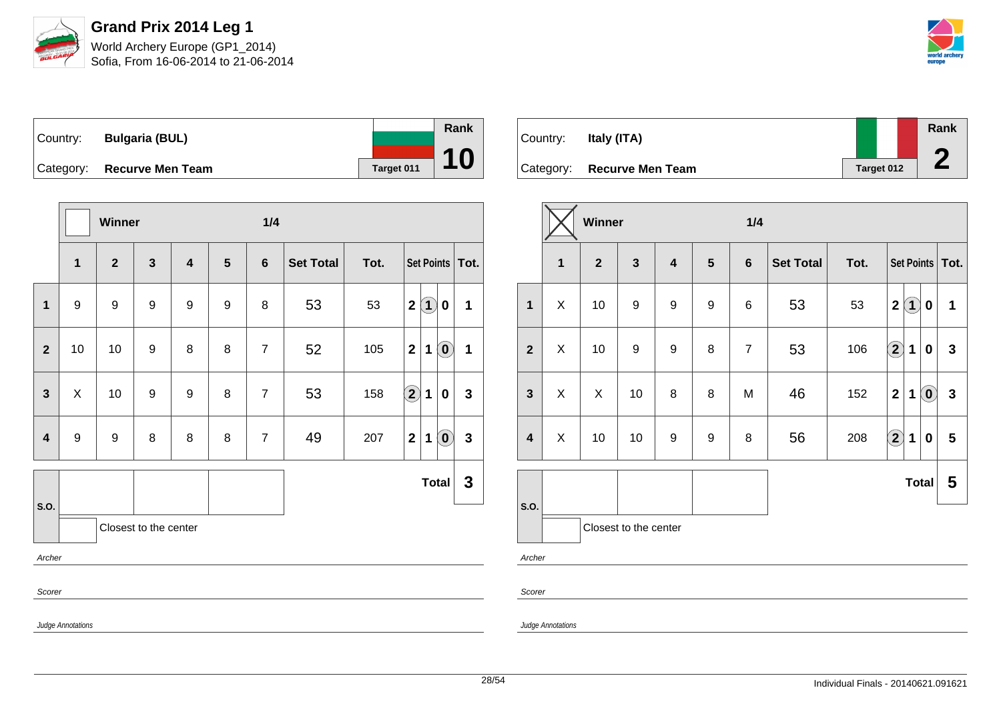

Sofia, From 16-06-2014 to 21-06-2014



Country: **Bulgaria (BUL)** Category: **Recurve Men Team Target 011 Rank 10**

|                         |                   | Winner                |                  |                         |                | 1/4            |                  |      |                      |                   |                            |              |
|-------------------------|-------------------|-----------------------|------------------|-------------------------|----------------|----------------|------------------|------|----------------------|-------------------|----------------------------|--------------|
|                         | $\mathbf{1}$      | $\mathbf{2}$          | $\mathbf{3}$     | $\overline{\mathbf{4}}$ | $5\phantom{1}$ | $6\phantom{1}$ | <b>Set Total</b> | Tot. |                      | Set Points   Tot. |                            |              |
| $\mathbf{1}$            | $\boldsymbol{9}$  | $\boldsymbol{9}$      | $\boldsymbol{9}$ | 9                       | 9              | 8              | 53               | 53   | $\mathbf{2}$         | $\left( 1\right)$ | 0                          | 1            |
| $\overline{2}$          | 10                | 10                    | $\boldsymbol{9}$ | 8                       | 8              | $\overline{7}$ | 52               | 105  | $\mathbf{2}$         | $\mathbf{1}$      | $\odot$                    | $\mathbf 1$  |
| $\mathbf{3}$            | $\mathsf X$       | 10                    | $\boldsymbol{9}$ | $\boldsymbol{9}$        | 8              | $\overline{7}$ | 53               | 158  | $\Large{\textbf{2}}$ | $\mathbf 1$       | 0                          | $\mathbf{3}$ |
| $\overline{\mathbf{4}}$ | $\boldsymbol{9}$  | $\boldsymbol{9}$      | 8                | 8                       | 8              | $\overline{7}$ | 49               | 207  | $\mathbf 2$          | $\mathbf{1}$      | $\left( \text{\o} \right)$ | $\mathbf{3}$ |
|                         |                   |                       |                  |                         |                |                |                  |      |                      |                   | <b>Total</b>               | $\mathbf 3$  |
| S.O.                    |                   | Closest to the center |                  |                         |                |                |                  |      |                      |                   |                            |              |
| Archer                  |                   |                       |                  |                         |                |                |                  |      |                      |                   |                            |              |
| Scorer                  |                   |                       |                  |                         |                |                |                  |      |                      |                   |                            |              |
|                         | Judge Annotations |                       |                  |                         |                |                |                  |      |                      |                   |                            |              |

| Country: | Italy (ITA)                |                   | Rank |
|----------|----------------------------|-------------------|------|
|          | Category: Recurve Men Team | <b>Target 012</b> |      |

|                         |              | Winner       |                       |                         |                | 1/4            |                  |      |               |                   |                            |                         |
|-------------------------|--------------|--------------|-----------------------|-------------------------|----------------|----------------|------------------|------|---------------|-------------------|----------------------------|-------------------------|
|                         | $\mathbf{1}$ | $\mathbf{2}$ | $\mathbf{3}$          | $\overline{\mathbf{4}}$ | $5\phantom{1}$ | $6\phantom{1}$ | <b>Set Total</b> | Tot. |               | Set Points   Tot. |                            |                         |
| $\mathbf{1}$            | X            | 10           | 9                     | $\boldsymbol{9}$        | 9              | 6              | 53               | 53   | 2(1)          |                   | 0                          | $\mathbf{1}$            |
| $\mathbf{2}$            | X            | 10           | $\boldsymbol{9}$      | $\boldsymbol{9}$        | 8              | $\overline{7}$ | 53               | 106  | $\boxed{2}$ 1 |                   | 0                          | $\overline{\mathbf{3}}$ |
| $\overline{\mathbf{3}}$ | X            | X            | 10                    | 8                       | 8              | M              | 46               | 152  | $\mathbf{2}$  | 1                 | $\left( \mathbf{0}\right)$ | $\mathbf{3}$            |
| $\overline{\mathbf{4}}$ | X            | 10           | 10                    | 9                       | 9              | 8              | 56               | 208  | $\boxed{2}$   | $\mathbf 1$       | $\bf{0}$                   | $5\phantom{.0}$         |
|                         |              |              |                       |                         |                |                |                  |      |               |                   | <b>Total</b>               | 5                       |
| S.O.                    |              |              | Closest to the center |                         |                |                |                  |      |               |                   |                            |                         |
| Archer                  |              |              |                       |                         |                |                |                  |      |               |                   |                            |                         |
| Scorer                  |              |              |                       |                         |                |                |                  |      |               |                   |                            |                         |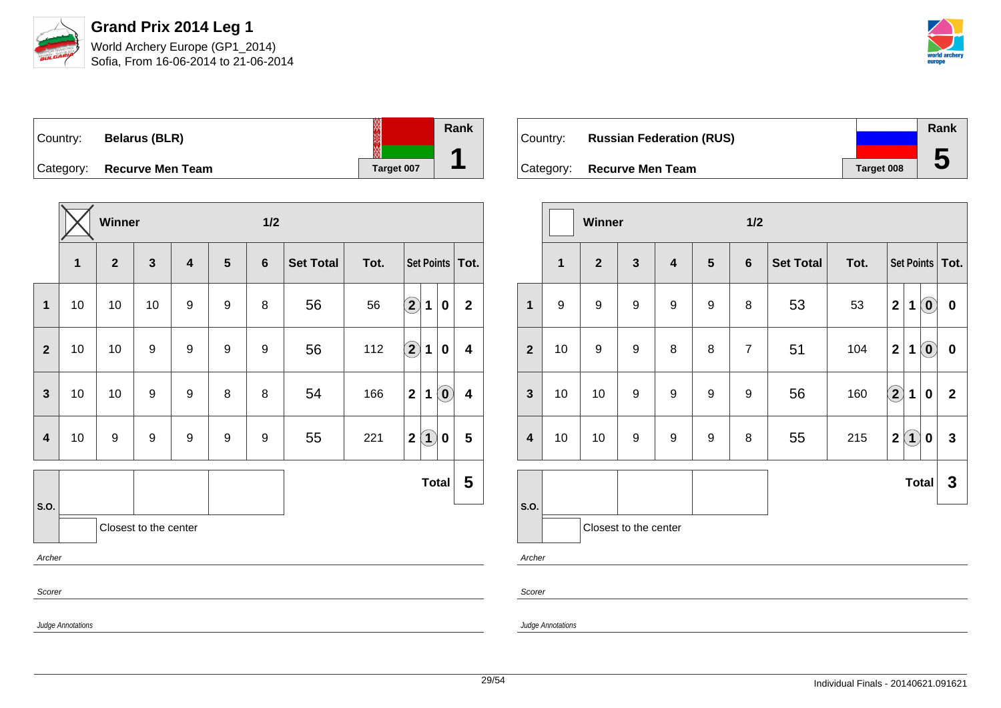

Sofia, From 16-06-2014 to 21-06-2014



| Country:  | <b>Belarus (BLR)</b>    | ₩          | Rank |
|-----------|-------------------------|------------|------|
| Category: | <b>Recurve Men Team</b> | Target 007 |      |

|                         |                       | Winner       |              |                         |                | 1/2            |                  |      |                                                 |                         |  |
|-------------------------|-----------------------|--------------|--------------|-------------------------|----------------|----------------|------------------|------|-------------------------------------------------|-------------------------|--|
|                         | 1                     | $\mathbf{2}$ | $\mathbf{3}$ | $\overline{\mathbf{4}}$ | $5\phantom{1}$ | $6\phantom{1}$ | <b>Set Total</b> | Tot. | Set Points   Tot.                               |                         |  |
| $\mathbf{1}$            | 10                    | 10           | 10           | 9                       | 9              | 8              | 56               | 56   | $\mathbf{2}$<br>1<br>0                          | $\mathbf{2}$            |  |
| $\overline{2}$          | 10                    | 10           | 9            | 9                       | 9              | 9              | 56               | 112  | $\bf \overline{2}$<br>1<br>0                    | 4                       |  |
| $\overline{\mathbf{3}}$ | 10                    | 10           | 9            | 9                       | 8              | 8              | 54               | 166  | $\mathbf{2}$<br>$\left( \mathbf{0}\right)$<br>1 | $\overline{\mathbf{4}}$ |  |
| $\overline{\mathbf{4}}$ | 10                    | 9            | 9            | 9                       | 9              | 9              | 55               | 221  | $\left( \mathbf{1}\right)$<br>$\mathbf 2$<br>0  | 5                       |  |
|                         |                       |              |              |                         |                |                |                  |      | Total                                           | 5                       |  |
| S.O.                    | Closest to the center |              |              |                         |                |                |                  |      |                                                 |                         |  |
|                         | Archer                |              |              |                         |                |                |                  |      |                                                 |                         |  |
| Scorer                  |                       |              |              |                         |                |                |                  |      |                                                 |                         |  |
|                         | Judge Annotations     |              |              |                         |                |                |                  |      |                                                 |                         |  |

| Country: | <b>Russian Federation (RUS)</b> |                   | Rank |
|----------|---------------------------------|-------------------|------|
|          |                                 |                   |      |
|          | Category: Recurve Men Team      | <b>Target 008</b> | b    |

|                               |              | Winner                  |                  |                         |                | 1/2            |                  |      |                            |                   |                            |                  |
|-------------------------------|--------------|-------------------------|------------------|-------------------------|----------------|----------------|------------------|------|----------------------------|-------------------|----------------------------|------------------|
|                               | $\mathbf{1}$ | $\overline{\mathbf{2}}$ | $\mathbf{3}$     | $\overline{\mathbf{4}}$ | $5\phantom{1}$ | $6\phantom{1}$ | <b>Set Total</b> | Tot. | Set Points   Tot.          |                   |                            |                  |
| $\mathbf{1}$                  | 9            | $\boldsymbol{9}$        | $\boldsymbol{9}$ | $\boldsymbol{9}$        | 9              | 8              | 53               | 53   | $\mathbf 2$                | 1                 | $\left( \mathbf{0}\right)$ | $\boldsymbol{0}$ |
| $\overline{2}$                | 10           | 9                       | $\boldsymbol{9}$ | 8                       | 8              | $\overline{7}$ | 51               | 104  | $\mathbf 2$                | 1                 | $\left( \mathbf{0}\right)$ | $\pmb{0}$        |
| $\mathbf{3}$                  | 10           | 10                      | 9                | 9                       | 9              | 9              | 56               | 160  | $\left( \mathbf{2}\right)$ | 1                 | $\pmb{0}$                  | $\overline{2}$   |
| $\overline{\mathbf{4}}$       | 10           | 10                      | $\boldsymbol{9}$ | $\boldsymbol{9}$        | 9              | 8              | 55               | 215  | $\mathbf 2$                | $\left( 1\right)$ | 0                          | $\mathbf{3}$     |
|                               |              |                         |                  |                         |                |                |                  |      |                            | <b>Total</b>      |                            | 3                |
| S.O.<br>Closest to the center |              |                         |                  |                         |                |                |                  |      |                            |                   |                            |                  |
| Archer                        |              |                         |                  |                         |                |                |                  |      |                            |                   |                            |                  |
| Scorer                        |              |                         |                  |                         |                |                |                  |      |                            |                   |                            |                  |

Judge Annotations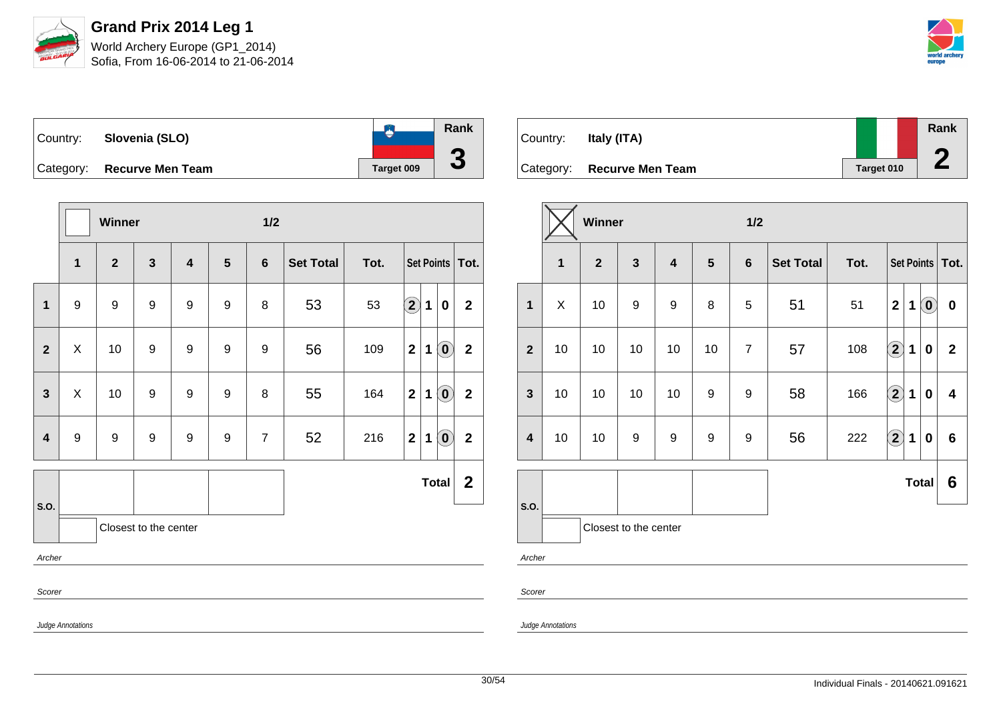

Sofia, From 16-06-2014 to 21-06-2014



| Country: | Slovenia (SLO)             |            | Rank |
|----------|----------------------------|------------|------|
|          | Category: Recurve Men Team | Target 009 | w    |

|                         |                       | Winner       |                  |                         |                  | 1/2            |                  |      |                            |                   |                                                |                  |
|-------------------------|-----------------------|--------------|------------------|-------------------------|------------------|----------------|------------------|------|----------------------------|-------------------|------------------------------------------------|------------------|
|                         | $\mathbf{1}$          | $\mathbf{2}$ | $\mathbf{3}$     | $\overline{\mathbf{4}}$ | 5                | $6\phantom{1}$ | <b>Set Total</b> | Tot. |                            | Set Points   Tot. |                                                |                  |
| $\mathbf{1}$            | 9                     | 9            | 9                | 9                       | 9                | 8              | 53               | 53   | $\left( \mathbf{2}\right)$ | 1                 | $\bf{0}$                                       | $\mathbf 2$      |
| $\overline{2}$          | X                     | 10           | $\boldsymbol{9}$ | 9                       | $\boldsymbol{9}$ | 9              | 56               | 109  | $\mathbf 2$                | $\mathbf 1$       | $\left( \text{\textbf{0}}\right)$              | $\mathbf{2}$     |
| $\overline{3}$          | $\mathsf X$           | 10           | $\boldsymbol{9}$ | $\boldsymbol{9}$        | 9                | 8              | 55               | 164  | $\mathbf 2$                | $\mathbf 1$       | $\left( \begin{matrix} 0 \end{matrix} \right)$ | $\mathbf 2$      |
| $\overline{\mathbf{4}}$ | $\boldsymbol{9}$      | 9            | $\boldsymbol{9}$ | $\boldsymbol{9}$        | $\boldsymbol{9}$ | $\overline{7}$ | 52               | 216  | $\mathbf 2$                | $\mathbf 1$       | $\left( \mathbf{0}\right)$                     | $\mathbf{2}$     |
|                         |                       |              |                  |                         |                  |                |                  |      |                            |                   | <b>Total</b>                                   | $\boldsymbol{2}$ |
| S.O.                    | Closest to the center |              |                  |                         |                  |                |                  |      |                            |                   |                                                |                  |
|                         | Archer                |              |                  |                         |                  |                |                  |      |                            |                   |                                                |                  |
| Scorer                  |                       |              |                  |                         |                  |                |                  |      |                            |                   |                                                |                  |
|                         | Judge Annotations     |              |                  |                         |                  |                |                  |      |                            |                   |                                                |                  |

| Country: | Italy (ITA)                |                   | Rank<br>$\bigcap$ |
|----------|----------------------------|-------------------|-------------------|
|          | Category: Recurve Men Team | <b>Target 010</b> |                   |

|                         |              | Winner                  |                         |                         |                | 1/2              |                  |      |                            |              |                                                |                         |
|-------------------------|--------------|-------------------------|-------------------------|-------------------------|----------------|------------------|------------------|------|----------------------------|--------------|------------------------------------------------|-------------------------|
|                         | $\mathbf{1}$ | $\overline{\mathbf{2}}$ | $\overline{\mathbf{3}}$ | $\overline{\mathbf{4}}$ | $5\phantom{1}$ | $6\phantom{a}$   | <b>Set Total</b> | Tot. |                            |              |                                                | Set Points   Tot.       |
| $\mathbf{1}$            | X            | 10                      | $\boldsymbol{9}$        | 9                       | 8              | 5                | 51               | 51   | $\mathbf{2}$               | 1            | $\left( \begin{matrix} 0 \end{matrix} \right)$ | $\pmb{0}$               |
| $\overline{2}$          | 10           | 10                      | 10                      | 10                      | 10             | $\overline{7}$   | 57               | 108  | $\bigcirc \!\! 2 \big)$    | 1            | $\bf{0}$                                       | $\overline{2}$          |
| $\mathbf{3}$            | 10           | 10                      | 10                      | 10                      | 9              | $\boldsymbol{9}$ | 58               | 166  | $\Large{\textbf{2}}$       | 1            | $\bf{0}$                                       | $\overline{\mathbf{4}}$ |
| $\overline{\mathbf{4}}$ | 10           | 10                      | $\boldsymbol{9}$        | 9                       | 9              | 9                | 56               | 222  | $\left( \mathbf{2}\right)$ | 1            | $\bf{0}$                                       | $6\phantom{1}$          |
| S.O.                    |              |                         |                         |                         |                |                  |                  |      |                            | <b>Total</b> |                                                | 6                       |
|                         |              |                         | Closest to the center   |                         |                |                  |                  |      |                            |              |                                                |                         |
| Archer                  |              |                         |                         |                         |                |                  |                  |      |                            |              |                                                |                         |

Scorer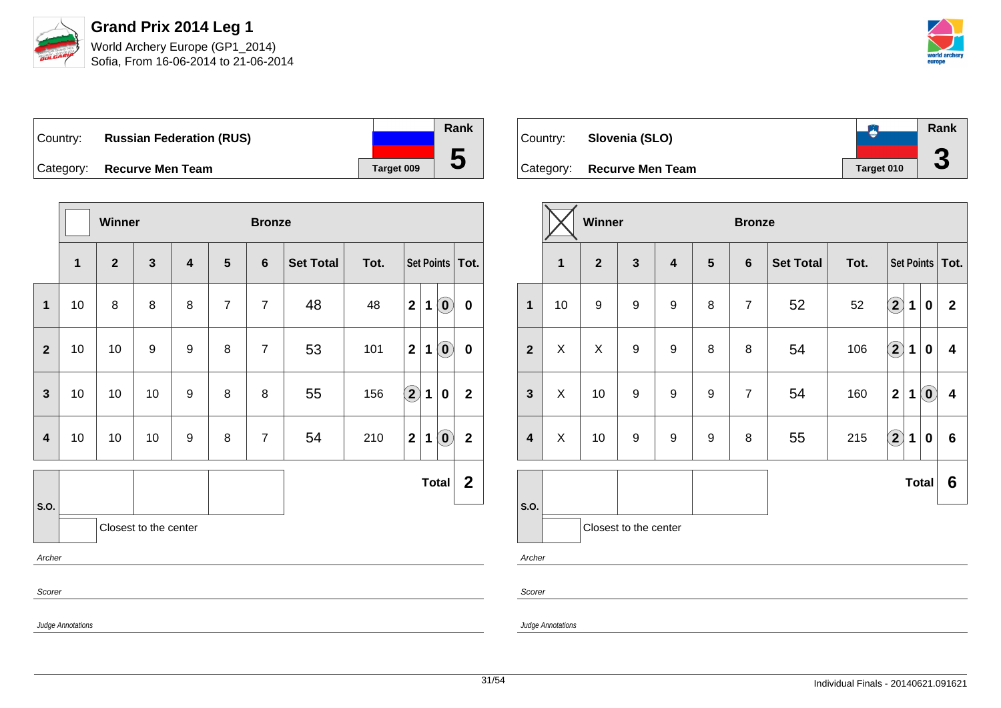

Sofia, From 16-06-2014 to 21-06-2014



| ∣Country: | <b>Russian Federation (RUS)</b> |            |
|-----------|---------------------------------|------------|
|           | Category: Recurve Men Team      | Target 009 |

|                         |                   | Winner         |                       |                         |                | <b>Bronze</b>  |                  |      |              |   |                                                         |                   |
|-------------------------|-------------------|----------------|-----------------------|-------------------------|----------------|----------------|------------------|------|--------------|---|---------------------------------------------------------|-------------------|
|                         | $\mathbf{1}$      | $\overline{2}$ | $\mathbf{3}$          | $\overline{\mathbf{4}}$ | 5              | $6\phantom{1}$ | <b>Set Total</b> | Tot. |              |   |                                                         | Set Points   Tot. |
| $\overline{\mathbf{1}}$ | 10                | 8              | 8                     | 8                       | $\overline{7}$ | $\overline{7}$ | 48               | 48   | $\mathbf 2$  | 1 | $\left( \mathbf{0}\right)$                              | $\pmb{0}$         |
| $\overline{2}$          | 10                | 10             | 9                     | 9                       | 8              | $\overline{7}$ | 53               | 101  | $\mathbf{2}$ | 1 | $\left( \begin{matrix} \textbf{0} \end{matrix} \right)$ | $\pmb{0}$         |
| $\mathbf{3}$            | 10                | 10             | 10                    | 9                       | 8              | 8              | 55               | 156  | $\Large 2$   | 1 | $\mathbf 0$                                             | $\mathbf{2}$      |
| $\overline{4}$          | 10                | 10             | 10                    | 9                       | 8              | $\overline{7}$ | 54               | 210  | $\mathbf{2}$ | 1 | $\left( \mathbf{0}\right)$                              | $\mathbf{2}$      |
|                         |                   |                |                       |                         |                |                |                  |      |              |   | <b>Total</b>                                            | $\mathbf{2}$      |
| S.O.                    |                   |                | Closest to the center |                         |                |                |                  |      |              |   |                                                         |                   |
| Archer                  |                   |                |                       |                         |                |                |                  |      |              |   |                                                         |                   |
| Scorer                  |                   |                |                       |                         |                |                |                  |      |              |   |                                                         |                   |
|                         | Judge Annotations |                |                       |                         |                |                |                  |      |              |   |                                                         |                   |

| Country: | Slovenia (SLO)             |            | Rank         |
|----------|----------------------------|------------|--------------|
|          | Category: Recurve Men Team | Target 010 | $\mathbf{C}$ |

|                         |                | Winner           |                       |                         |                  | <b>Bronze</b>  |                  |      |                         |             |                                   |                         |
|-------------------------|----------------|------------------|-----------------------|-------------------------|------------------|----------------|------------------|------|-------------------------|-------------|-----------------------------------|-------------------------|
|                         | $\mathbf{1}$   | $\overline{2}$   | $\mathbf{3}$          | $\overline{\mathbf{4}}$ | $5\phantom{1}$   | $6\phantom{1}$ | <b>Set Total</b> | Tot. |                         |             |                                   | Set Points   Tot.       |
| $\mathbf{1}$            | 10             | $\boldsymbol{9}$ | $\boldsymbol{9}$      | 9                       | 8                | $\overline{7}$ | 52               | 52   | $\left( \bf{2}\right)$  | $\mathbf 1$ | $\bf{0}$                          | $\mathbf{2}$            |
| $\overline{2}$          | X              | X                | 9                     | 9                       | 8                | 8              | 54               | 106  | $\Large 2$              | 1           | $\bf{0}$                          | 4                       |
| $\mathbf{3}$            | X              | 10               | $\boldsymbol{9}$      | 9                       | 9                | $\overline{7}$ | 54               | 160  | $\overline{\mathbf{2}}$ | 1           | $\left( \text{\textbf{0}}\right)$ | $\overline{\mathbf{4}}$ |
| $\overline{\mathbf{4}}$ | $\pmb{\times}$ | 10               | 9                     | $\boldsymbol{9}$        | $\boldsymbol{9}$ | 8              | 55               | 215  | $\Large{\textbf{2}}$    | $\mathbf 1$ | 0                                 | $6\phantom{a}$          |
|                         |                |                  |                       |                         |                  |                |                  |      |                         |             | <b>Total</b>                      | 6                       |
| S.O.                    |                |                  | Closest to the center |                         |                  |                |                  |      |                         |             |                                   |                         |
| Archer                  |                |                  |                       |                         |                  |                |                  |      |                         |             |                                   |                         |
| Scorer                  |                |                  |                       |                         |                  |                |                  |      |                         |             |                                   |                         |

Judge Annotations

**Rank**

**5**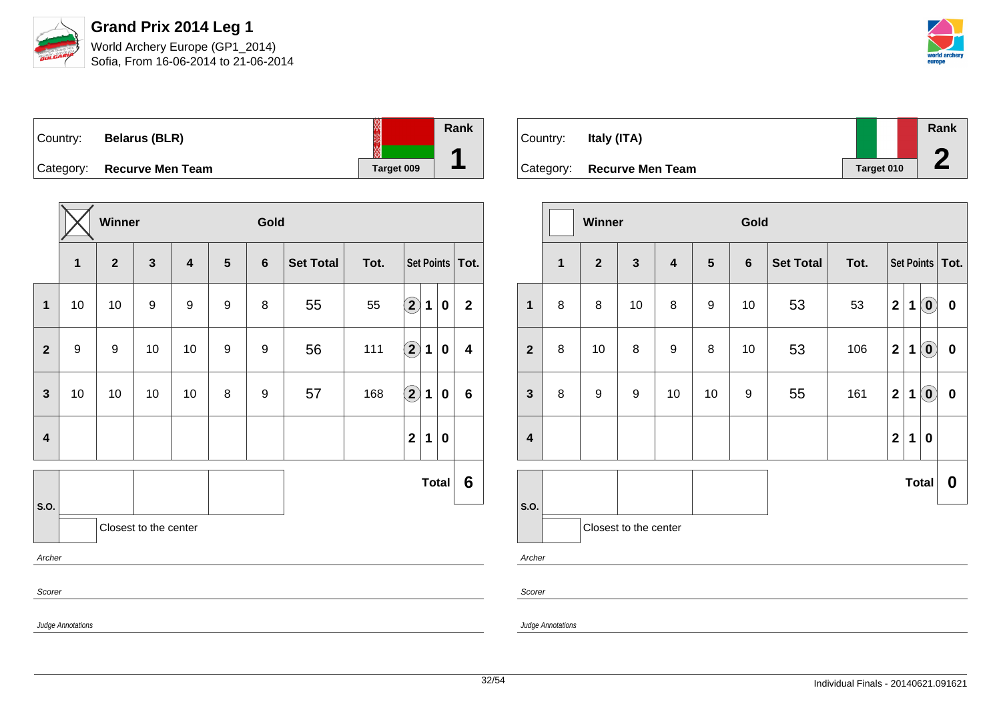

Sofia, From 16-06-2014 to 21-06-2014



| Country: | <b>Belarus (BLR)</b>       |            | Rank |
|----------|----------------------------|------------|------|
|          | Category: Recurve Men Team | Target 009 |      |

|                         |                   | Winner         |                       |                         |   | Gold             |                  |                           |                         |             |              |              |
|-------------------------|-------------------|----------------|-----------------------|-------------------------|---|------------------|------------------|---------------------------|-------------------------|-------------|--------------|--------------|
|                         | $\mathbf{1}$      | $\overline{2}$ | $\mathbf{3}$          | $\overline{\mathbf{4}}$ | 5 | $6\phantom{1}$   | <b>Set Total</b> | Tot.<br>Set Points   Tot. |                         |             |              |              |
| 1                       | 10                | 10             | 9                     | 9                       | 9 | 8                | 55               | 55                        | $\bf \overline{2}$      | 1           | $\pmb{0}$    | $\mathbf{2}$ |
| $\mathbf{2}$            | $\boldsymbol{9}$  | 9              | 10                    | 10                      | 9 | 9                | 56               | 111                       | $\Large{\textbf{2}}$    | $\mathbf 1$ | $\bf{0}$     | 4            |
| $\mathbf{3}$            | 10                | 10             | 10                    | 10                      | 8 | $\boldsymbol{9}$ | 57               | 168                       | $\Large{\textbf{2}}$    | 1           | $\bf{0}$     | 6            |
| $\overline{\mathbf{4}}$ |                   |                |                       |                         |   |                  |                  |                           | $\overline{\mathbf{2}}$ | $\mathbf 1$ | $\mathbf 0$  |              |
|                         |                   |                |                       |                         |   |                  |                  |                           |                         |             | <b>Total</b> | 6            |
| S.O.                    |                   |                | Closest to the center |                         |   |                  |                  |                           |                         |             |              |              |
| Archer                  |                   |                |                       |                         |   |                  |                  |                           |                         |             |              |              |
| Scorer                  |                   |                |                       |                         |   |                  |                  |                           |                         |             |              |              |
|                         | Judge Annotations |                |                       |                         |   |                  |                  |                           |                         |             |              |              |

| Country: | Italy (ITA)                |            | Rank |
|----------|----------------------------|------------|------|
|          | Category: Recurve Men Team | Target 010 |      |

|                         |              | Winner           |                         |                         |                | Gold           |                  |      |                         |             |                            |                   |
|-------------------------|--------------|------------------|-------------------------|-------------------------|----------------|----------------|------------------|------|-------------------------|-------------|----------------------------|-------------------|
|                         | $\mathbf{1}$ | $\overline{2}$   | $\overline{\mathbf{3}}$ | $\overline{\mathbf{4}}$ | $5\phantom{1}$ | $6\phantom{1}$ | <b>Set Total</b> | Tot. |                         |             |                            | Set Points   Tot. |
| $\mathbf{1}$            | 8            | 8                | 10                      | 8                       | 9              | 10             | 53               | 53   | $\mathbf{2}$            | 1           | $\left( \mathbf{0}\right)$ | $\pmb{0}$         |
| $\mathbf{2}$            | 8            | 10               | 8                       | $\boldsymbol{9}$        | 8              | 10             | 53               | 106  | $\mathbf{2}$            | 1           | $\left( \mathbf{0}\right)$ | $\pmb{0}$         |
| $\mathbf{3}$            | 8            | $\boldsymbol{9}$ | 9                       | 10                      | 10             | 9              | 55               | 161  | $\mathbf{2}$            | 1           | $\left( \mathbf{0}\right)$ | $\mathbf 0$       |
| $\overline{\mathbf{4}}$ |              |                  |                         |                         |                |                |                  |      | $\overline{\mathbf{2}}$ | $\mathbf 1$ | $\bf{0}$                   |                   |
|                         |              |                  |                         |                         |                |                |                  |      |                         |             | <b>Total</b>               | 0                 |
| S.O.                    |              |                  | Closest to the center   |                         |                |                |                  |      |                         |             |                            |                   |
| Archer                  |              |                  |                         |                         |                |                |                  |      |                         |             |                            |                   |
| Scorer                  |              |                  |                         |                         |                |                |                  |      |                         |             |                            |                   |

Judge Annotations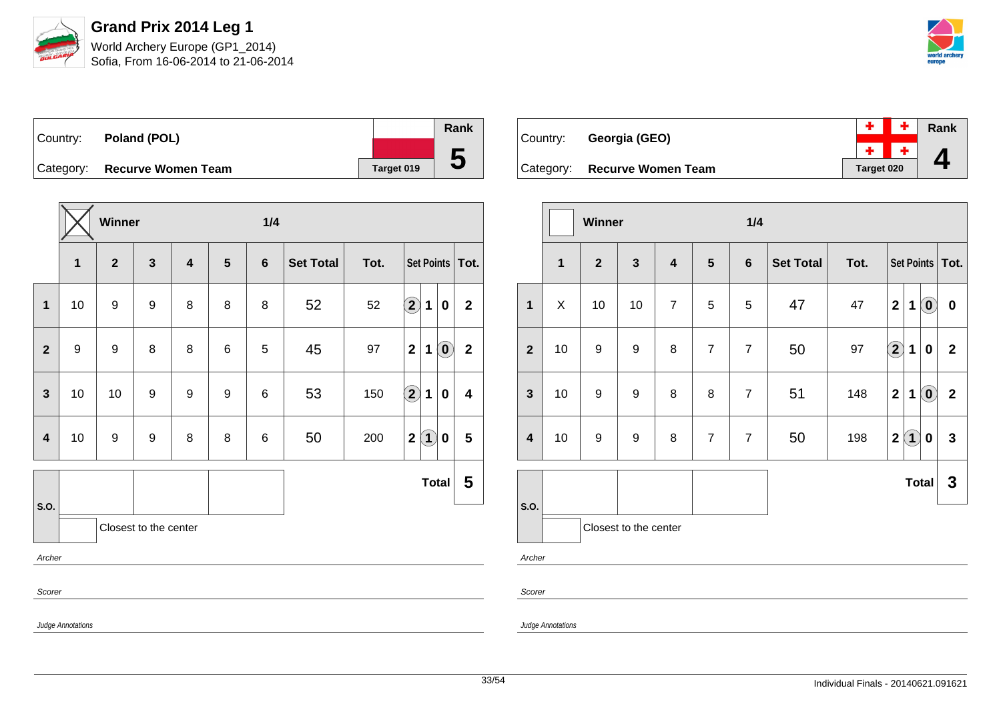

Sofia, From 16-06-2014 to 21-06-2014



| Country: | Poland (POL)                 |            | Rank |
|----------|------------------------------|------------|------|
|          |                              |            |      |
|          | Category: Recurve Women Team | Target 019 | b    |

|                         |                   | Winner           |                       |                         |                | 1/4            |                  |      |                                                 |              |
|-------------------------|-------------------|------------------|-----------------------|-------------------------|----------------|----------------|------------------|------|-------------------------------------------------|--------------|
|                         | $\mathbf 1$       | $\mathbf{2}$     | $\mathbf{3}$          | $\overline{\mathbf{4}}$ | $5\phantom{1}$ | $6\phantom{1}$ | <b>Set Total</b> | Tot. | Set Points   Tot.                               |              |
| 1                       | 10                | $\boldsymbol{9}$ | $\boldsymbol{9}$      | 8                       | 8              | 8              | 52               | 52   | $\bf \overline{2}$<br>1<br>0                    | $\mathbf{2}$ |
| $\mathbf{2}$            | $\boldsymbol{9}$  | 9                | 8                     | 8                       | 6              | 5              | 45               | 97   | $\mathbf{2}$<br>$\left( \mathbf{0}\right)$<br>1 | $\mathbf{2}$ |
| $\overline{3}$          | 10                | 10               | 9                     | 9                       | 9              | 6              | 53               | 150  | $\Large{\textbf{2}}$<br>1<br>0                  | 4            |
| $\overline{\mathbf{4}}$ | 10                | $\boldsymbol{9}$ | $\boldsymbol{9}$      | 8                       | 8              | 6              | 50               | 200  | $\mathbf{2}$<br>$\bf(1)$<br>0                   | 5            |
|                         |                   |                  |                       |                         |                |                |                  |      | <b>Total</b>                                    | 5            |
| S.O.                    |                   |                  | Closest to the center |                         |                |                |                  |      |                                                 |              |
| Archer                  |                   |                  |                       |                         |                |                |                  |      |                                                 |              |
| Scorer                  |                   |                  |                       |                         |                |                |                  |      |                                                 |              |
|                         | Judge Annotations |                  |                       |                         |                |                |                  |      |                                                 |              |

| Country: | Georgia (GEO)                |            | $+$ $+$ $\overline{ }$ Rank |
|----------|------------------------------|------------|-----------------------------|
|          |                              |            | $+$ $+$ $\Lambda$           |
|          | Category: Recurve Women Team | Target 020 |                             |

|                         |                                                  | Winner                |                  |                         |                | 1/4            |                  |      |                      |             |                            |                   |
|-------------------------|--------------------------------------------------|-----------------------|------------------|-------------------------|----------------|----------------|------------------|------|----------------------|-------------|----------------------------|-------------------|
|                         | $\overline{1}$<br>$\mathbf{3}$<br>$\overline{2}$ |                       |                  | $\overline{\mathbf{4}}$ | $5\phantom{1}$ | $6\phantom{1}$ | <b>Set Total</b> | Tot. |                      |             |                            | Set Points   Tot. |
| $\mathbf{1}$            | X                                                | 10                    | 10               | $\overline{7}$          | 5              | 5              | 47               | 47   | $\overline{2}$       | $\mathbf 1$ | $\left( \mathbf{0}\right)$ | $\pmb{0}$         |
| $\overline{2}$          | 10                                               | $\boldsymbol{9}$      | 9                | 8                       | $\overline{7}$ | $\overline{7}$ | 50               | 97   | $\Large{\textbf{2}}$ | 1           | 0                          | $\overline{2}$    |
| $\mathbf{3}$            | 10                                               | 9                     | $\boldsymbol{9}$ | 8                       | 8              | $\overline{7}$ | 51               | 148  | $\overline{2}$       | $\mathbf 1$ | $\left( \mathbf{0}\right)$ | $\mathbf{2}$      |
| $\overline{\mathbf{4}}$ | 10                                               | $\boldsymbol{9}$      | $\boldsymbol{9}$ | $\bf 8$                 | $\overline{7}$ | $\overline{7}$ | 50               | 198  | $\mathbf{2}$         | $\hat{1}$   | $\bf{0}$                   | $\mathbf{3}$      |
|                         |                                                  |                       |                  |                         |                |                |                  |      |                      |             | <b>Total</b>               | 3                 |
| S.O.                    |                                                  | Closest to the center |                  |                         |                |                |                  |      |                      |             |                            |                   |
| Archer                  |                                                  |                       |                  |                         |                |                |                  |      |                      |             |                            |                   |
| Scorer                  |                                                  |                       |                  |                         |                |                |                  |      |                      |             |                            |                   |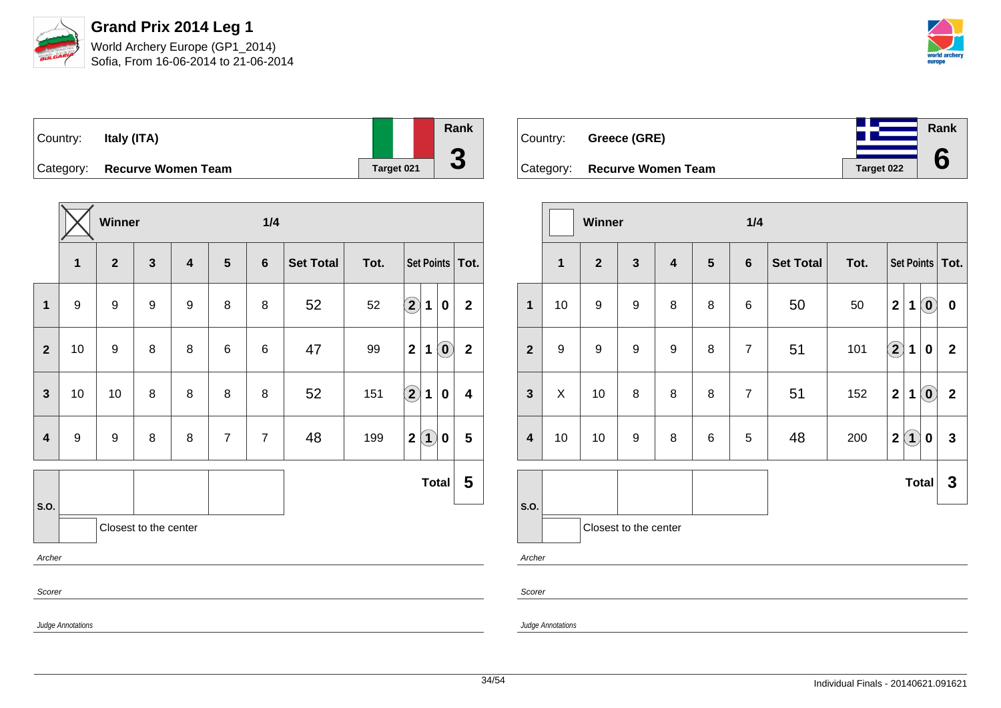

Sofia, From 16-06-2014 to 21-06-2014



**Rank**

**6**

| Country:  | Italy (ITA)               |                   | Rank               |
|-----------|---------------------------|-------------------|--------------------|
|           |                           |                   |                    |
| Category: | <b>Recurve Women Team</b> | <b>Target 021</b> | $\mathbf{\bullet}$ |

|                |                   | Winner           |                       |                         |                | 1/4            |                  |      |                                                       |                         |  |  |
|----------------|-------------------|------------------|-----------------------|-------------------------|----------------|----------------|------------------|------|-------------------------------------------------------|-------------------------|--|--|
|                | $\mathbf{1}$      | $\mathbf{2}$     | $\mathbf{3}$          | $\overline{\mathbf{4}}$ | 5              | $6\phantom{1}$ | <b>Set Total</b> | Tot. | Set Points   Tot.                                     |                         |  |  |
| $\mathbf{1}$   | 9                 | $\boldsymbol{9}$ | $\boldsymbol{9}$      | 9                       | 8              | 8              | 52               | 52   | $\Large{\textbf{2}}$<br>1<br>0                        | $\overline{2}$          |  |  |
| $\overline{2}$ | 10                | 9                | 8                     | 8                       | 6              | 6              | 47               | 99   | $\mathbf 2$<br>$\left( \mathbf{0}\right)$<br>1        | $\overline{2}$          |  |  |
| $\mathbf{3}$   | 10                | 10               | 8                     | 8                       | 8              | 8              | 52               | 151  | $\left( \mathbf{2}\right)$<br>$\mathbf 1$<br>$\bf{0}$ | $\overline{\mathbf{4}}$ |  |  |
| $\overline{4}$ | $\boldsymbol{9}$  | 9                | 8                     | 8                       | $\overline{7}$ | $\overline{7}$ | 48               | 199  | $\bf(1)$<br>$\mathbf{2}$<br>0                         | $5\phantom{.0}$         |  |  |
|                |                   |                  |                       |                         |                |                |                  |      | Total                                                 | 5                       |  |  |
| S.O.           |                   |                  | Closest to the center |                         |                |                |                  |      |                                                       |                         |  |  |
| Archer         |                   |                  |                       |                         |                |                |                  |      |                                                       |                         |  |  |
| Scorer         |                   |                  |                       |                         |                |                |                  |      |                                                       |                         |  |  |
|                | Judge Annotations |                  |                       |                         |                |                |                  |      |                                                       |                         |  |  |

| Country: Greece (GRE)        |            |
|------------------------------|------------|
| Category: Recurve Women Team | Target 022 |

|                  |                  | Winner           |                       |                         |                 | 1/4            |                          |     |                    |     |                            |                   |
|------------------|------------------|------------------|-----------------------|-------------------------|-----------------|----------------|--------------------------|-----|--------------------|-----|----------------------------|-------------------|
|                  | $\mathbf{1}$     | $\overline{2}$   | $\mathbf{3}$          | $\overline{\mathbf{4}}$ | $5\phantom{.0}$ | $6\phantom{1}$ | Tot.<br><b>Set Total</b> |     |                    |     |                            | Set Points   Tot. |
| $\mathbf{1}$     | 10               | $\boldsymbol{9}$ | $\boldsymbol{9}$      | 8                       | 8               | 6              | 50                       | 50  | $\mathbf 2$        | 1   | $\left( \mathbf{0}\right)$ | $\pmb{0}$         |
| $\boldsymbol{2}$ | $\boldsymbol{9}$ | $\boldsymbol{9}$ | $\boldsymbol{9}$      | 9                       | 8               | $\overline{7}$ | 51                       | 101 | $\bf \overline{2}$ | 1   | 0                          | $\mathbf 2$       |
| $\mathbf{3}$     | X                | 10               | 8                     | 8                       | 8               | $\overline{7}$ | 51                       | 152 | $\boldsymbol{2}$   | 1   | $\left( \mathbf{0}\right)$ | $\mathbf 2$       |
| 4                | 10               | 10               | $\boldsymbol{9}$      | 8                       | 6               | 5              | 48                       | 200 | $\mathbf 2$        | (1) | 0                          | $\mathbf{3}$      |
|                  |                  |                  |                       |                         |                 |                |                          |     |                    |     | <b>Total</b>               | $\mathbf{3}$      |
| S.O.             |                  |                  | Closest to the center |                         |                 |                |                          |     |                    |     |                            |                   |
| Archer           |                  |                  |                       |                         |                 |                |                          |     |                    |     |                            |                   |
| Scorer           |                  |                  |                       |                         |                 |                |                          |     |                    |     |                            |                   |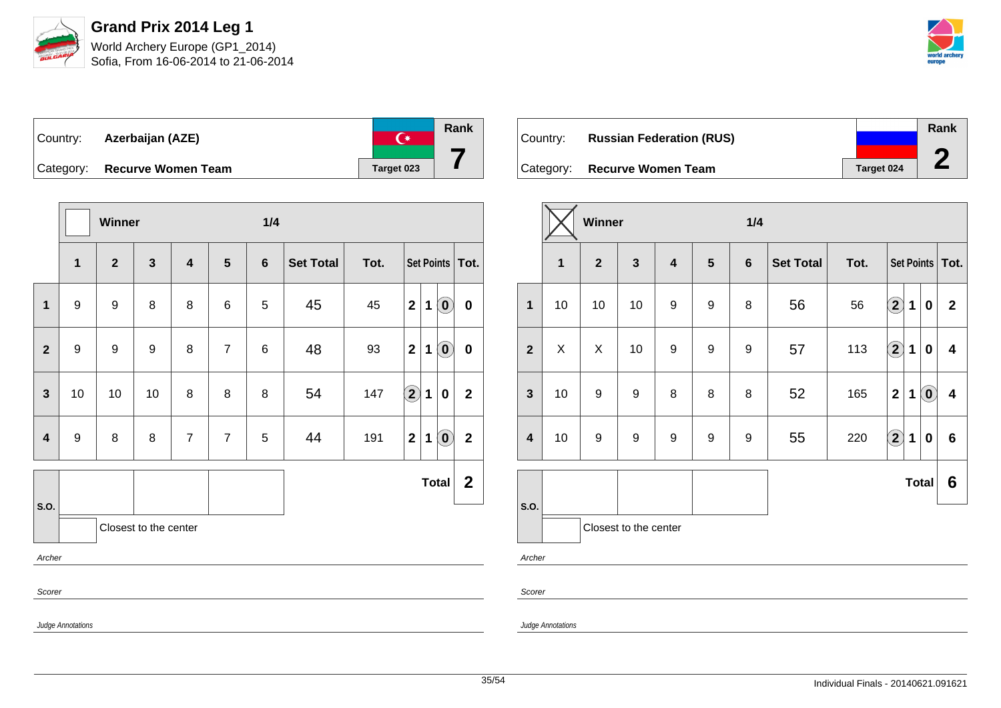

| ∣Country: | Azerbaijan (AZE)          |            |
|-----------|---------------------------|------------|
| Category: | <b>Recurve Women Team</b> | Target 023 |

|                         |                   | Winner                  |                       |                         |                | 1/4             |                  |      |                      |             |                                                |                   |
|-------------------------|-------------------|-------------------------|-----------------------|-------------------------|----------------|-----------------|------------------|------|----------------------|-------------|------------------------------------------------|-------------------|
|                         | $\mathbf{1}$      | $\overline{\mathbf{2}}$ | $\mathbf{3}$          | $\overline{\mathbf{4}}$ | $5\phantom{1}$ | $6\phantom{1}$  | <b>Set Total</b> | Tot. |                      |             |                                                | Set Points   Tot. |
| 1                       | 9                 | 9                       | 8                     | 8                       | 6              | 5               | 45               | 45   | $\mathbf 2$          | $\mathbf 1$ | $\odot$                                        | $\pmb{0}$         |
| $\overline{2}$          | $\boldsymbol{9}$  | $\boldsymbol{9}$        | 9                     | 8                       | $\overline{7}$ | $6\phantom{1}6$ | 48               | 93   | $\mathbf{2}$         | 1           | $\left( \mathbf{0}\right)$                     | $\pmb{0}$         |
| $\mathbf{3}$            | 10                | 10                      | 10                    | 8                       | 8              | 8               | 54               | 147  | $\Large{\textbf{2}}$ | $\mathbf 1$ | $\pmb{0}$                                      | $\mathbf 2$       |
| $\overline{\mathbf{4}}$ | $\boldsymbol{9}$  | 8                       | 8                     | $\overline{7}$          | $\overline{7}$ | 5               | 44               | 191  | $\mathbf 2$          | 1           | $\left  \begin{matrix} 0 \end{matrix} \right $ | $\mathbf 2$       |
|                         |                   |                         |                       |                         |                |                 |                  |      |                      |             | <b>Total</b>                                   | $\mathbf{2}$      |
| S.O.                    |                   |                         | Closest to the center |                         |                |                 |                  |      |                      |             |                                                |                   |
| Archer                  |                   |                         |                       |                         |                |                 |                  |      |                      |             |                                                |                   |
| Scorer                  |                   |                         |                       |                         |                |                 |                  |      |                      |             |                                                |                   |
|                         | Judge Annotations |                         |                       |                         |                |                 |                  |      |                      |             |                                                |                   |

| Country:  | <b>Russian Federation (RUS)</b> |            | Rank |
|-----------|---------------------------------|------------|------|
|           |                                 |            |      |
| Category: | <b>Recurve Women Team</b>       | Target 024 |      |

|                         |                                                | Winner           |                       |                                           |                  | 1/4              |                  |      |                                                                      |                |  |  |  |
|-------------------------|------------------------------------------------|------------------|-----------------------|-------------------------------------------|------------------|------------------|------------------|------|----------------------------------------------------------------------|----------------|--|--|--|
|                         | $\mathbf{3}$<br>$\overline{2}$<br>$\mathbf{1}$ |                  |                       | $\overline{\mathbf{4}}$<br>$5\phantom{1}$ |                  | 6                | <b>Set Total</b> | Tot. | Set Points   Tot.                                                    |                |  |  |  |
| 1                       | 10                                             | 10               | 10                    | $\boldsymbol{9}$                          | 9                | 8                | 56               | 56   | $\Large 2$<br>1<br>0                                                 | $\mathbf{2}$   |  |  |  |
| $\mathbf{2}$            | X                                              | X                | 10                    | $\boldsymbol{9}$                          | 9                | 9                | 57               | 113  | $\bf \overline{2}$<br>1<br>0                                         | 4              |  |  |  |
| $\mathbf{3}$            | 10                                             | $\boldsymbol{9}$ | 9                     | 8                                         | 8                | 8                | 52               | 165  | $\overline{\mathbf{2}}$<br>$\left( \mathbf{0}\right)$<br>$\mathbf 1$ | 4              |  |  |  |
| $\overline{\mathbf{4}}$ | 10                                             | 9                | 9                     | $\boldsymbol{9}$                          | $\boldsymbol{9}$ | $\boldsymbol{9}$ | 55               | 220  | $\Large 2$<br>1<br>$\bf{0}$                                          | $6\phantom{1}$ |  |  |  |
|                         |                                                |                  |                       |                                           |                  |                  |                  |      | <b>Total</b>                                                         | 6              |  |  |  |
| S.O.                    |                                                |                  | Closest to the center |                                           |                  |                  |                  |      |                                                                      |                |  |  |  |
| Archer                  |                                                |                  |                       |                                           |                  |                  |                  |      |                                                                      |                |  |  |  |

Judge Annotations

Scorer

**Rank**

**7**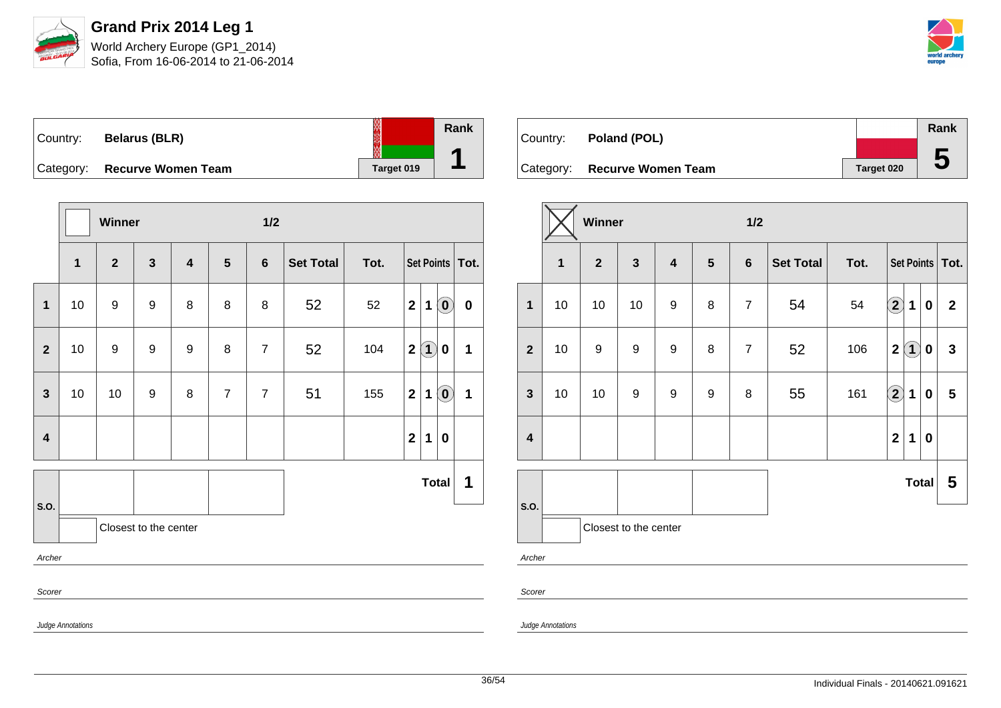

Sofia, From 16-06-2014 to 21-06-2014



| Country: | <b>Belarus (BLR)</b>         |            | Rank |
|----------|------------------------------|------------|------|
|          | Category: Recurve Women Team | Target 019 |      |

|                         |                   | Winner                                                                                                                  |                       |   |                | 1/2            |    |     |                   |                   |                            |   |
|-------------------------|-------------------|-------------------------------------------------------------------------------------------------------------------------|-----------------------|---|----------------|----------------|----|-----|-------------------|-------------------|----------------------------|---|
|                         | $\mathbf{1}$      | $\mathbf{3}$<br>$\mathbf{2}$<br>$5\phantom{1}$<br>$6\phantom{1}$<br><b>Set Total</b><br>Tot.<br>$\overline{\mathbf{4}}$ |                       |   |                |                |    |     | Set Points   Tot. |                   |                            |   |
| 1                       | 10                | 9                                                                                                                       | $\boldsymbol{9}$      | 8 | 8              | 8              | 52 | 52  | $\mathbf{2}$      | 1                 | $\left( \mathbf{0}\right)$ | 0 |
| $\overline{2}$          | 10                | 9                                                                                                                       | $\boldsymbol{9}$      | 9 | 8              | $\overline{7}$ | 52 | 104 | $\overline{2}$    | $\left( 1\right)$ | 0                          | 1 |
| $\mathbf{3}$            | $10$              | 10                                                                                                                      | 9                     | 8 | $\overline{7}$ | $\overline{7}$ | 51 | 155 | $\mathbf{2}$      | 1                 | $\left( \mathbf{0}\right)$ | 1 |
| $\overline{\mathbf{4}}$ |                   |                                                                                                                         |                       |   |                |                |    |     | $\mathbf{2}$      | 1                 | $\pmb{0}$                  |   |
|                         |                   |                                                                                                                         |                       |   |                |                |    |     |                   |                   | <b>Total</b>               | 1 |
| S.O.                    |                   |                                                                                                                         | Closest to the center |   |                |                |    |     |                   |                   |                            |   |
| Archer                  |                   |                                                                                                                         |                       |   |                |                |    |     |                   |                   |                            |   |
|                         | Scorer            |                                                                                                                         |                       |   |                |                |    |     |                   |                   |                            |   |
|                         | Judge Annotations |                                                                                                                         |                       |   |                |                |    |     |                   |                   |                            |   |

| Country: <b>Poland (POL)</b> |            | Rank        |
|------------------------------|------------|-------------|
|                              |            |             |
| Category: Recurve Women Team | Target 020 | $\mathbf 5$ |

|                         |                                                                           | <b>Winner</b> |                       |                  |                | 1/2            |                  |      |                         |                   |              |                   |
|-------------------------|---------------------------------------------------------------------------|---------------|-----------------------|------------------|----------------|----------------|------------------|------|-------------------------|-------------------|--------------|-------------------|
|                         | $\overline{2}$<br>$\mathbf{3}$<br>$\mathbf{1}$<br>$\overline{\mathbf{4}}$ |               |                       |                  | $5\phantom{1}$ | $6\phantom{1}$ | <b>Set Total</b> | Tot. |                         |                   |              | Set Points   Tot. |
| $\mathbf{1}$            | 10                                                                        | 10            | 10                    | $\boldsymbol{9}$ | 8              | $\overline{7}$ | 54               | 54   | $\left( 2\right)$       | $\overline{1}$    | $\bf{0}$     | $\overline{2}$    |
| $\overline{2}$          | 10                                                                        | 9             | $\boldsymbol{9}$      | 9                | 8              | $\overline{7}$ | 52               | 106  | $\overline{\mathbf{2}}$ | $\left( 1\right)$ | $\mathbf 0$  | $\mathbf{3}$      |
| $\mathbf{3}$            | 10                                                                        | 10            | $\boldsymbol{9}$      | 9                | 9              | 8              | 55               | 161  | $\left( \bf{2}\right)$  | $\mathbf 1$       | $\bf{0}$     | $5\phantom{.0}$   |
| $\overline{\mathbf{4}}$ |                                                                           |               |                       |                  |                |                |                  |      | $\overline{2}$          | 1                 | $\bf{0}$     |                   |
|                         |                                                                           |               |                       |                  |                |                |                  |      |                         |                   | <b>Total</b> | 5                 |
| S.O.                    |                                                                           |               | Closest to the center |                  |                |                |                  |      |                         |                   |              |                   |
| Archer                  |                                                                           |               |                       |                  |                |                |                  |      |                         |                   |              |                   |

Scorer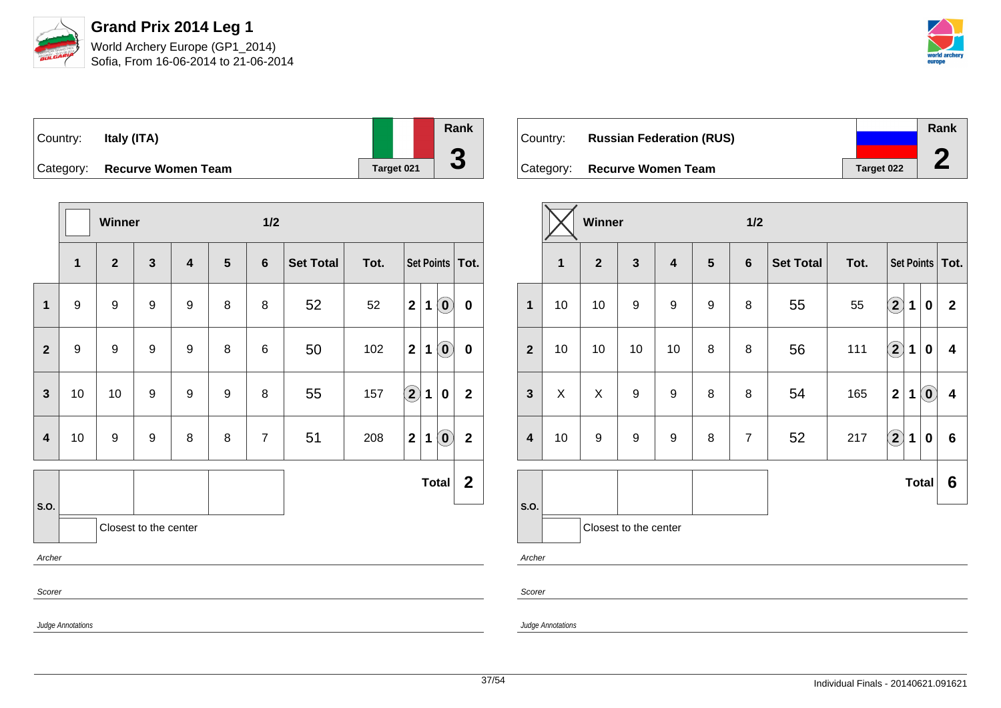

| Country:  | Italy (ITA)               |            | Rank |
|-----------|---------------------------|------------|------|
|           |                           |            |      |
| Category: | <b>Recurve Women Team</b> | Target 021 | u    |

|                |                   | Winner                  |                       |                         |                | 1/2            |                  |      |                      |              |                             |                   |
|----------------|-------------------|-------------------------|-----------------------|-------------------------|----------------|----------------|------------------|------|----------------------|--------------|-----------------------------|-------------------|
|                | $\mathbf{1}$      | $\overline{\mathbf{2}}$ | $\mathbf{3}$          | $\overline{\mathbf{4}}$ | $5\phantom{1}$ | $6\phantom{1}$ | <b>Set Total</b> | Tot. |                      |              |                             | Set Points   Tot. |
| 1              | $\boldsymbol{9}$  | $\boldsymbol{9}$        | $\boldsymbol{9}$      | $\boldsymbol{9}$        | 8              | 8              | 52               | 52   | $\mathbf{2}$         | $\mathbf{1}$ | $\left( \mathbf{0}\right)$  | $\pmb{0}$         |
| $\mathbf{2}$   | $\boldsymbol{9}$  | $\boldsymbol{9}$        | $\boldsymbol{9}$      | 9                       | 8              | 6              | 50               | 102  | $\mathbf{2}$         | 1            | $\left( \textbf{0} \right)$ | $\pmb{0}$         |
| $\overline{3}$ | 10                | 10                      | $\boldsymbol{9}$      | $\boldsymbol{9}$        | 9              | 8              | 55               | 157  | $\Large{\textbf{2}}$ | $\mathbf{1}$ | $\bf{0}$                    | $\mathbf{2}$      |
| $\overline{4}$ | $10$              | $\boldsymbol{9}$        | $\boldsymbol{9}$      | 8                       | 8              | $\overline{7}$ | 51               | 208  | $\mathbf 2$          | 1            | $\left( \textbf{0}\right)$  | $\mathbf{2}$      |
|                |                   |                         |                       |                         |                |                |                  |      |                      |              | <b>Total</b>                | $\mathbf{2}$      |
| S.O.           |                   |                         | Closest to the center |                         |                |                |                  |      |                      |              |                             |                   |
| Archer         |                   |                         |                       |                         |                |                |                  |      |                      |              |                             |                   |
| Scorer         |                   |                         |                       |                         |                |                |                  |      |                      |              |                             |                   |
|                | Judge Annotations |                         |                       |                         |                |                |                  |      |                      |              |                             |                   |

| ∣Country: ⊥ | <b>Russian Federation (RUS)</b> |            | Rank |
|-------------|---------------------------------|------------|------|
|             |                                 |            |      |
|             | Category: Recurve Women Team    | Target 022 | ∠    |

|                         |              | Winner           |                       |                         |                | $1/2$          |                  |      |                                                   |                |  |
|-------------------------|--------------|------------------|-----------------------|-------------------------|----------------|----------------|------------------|------|---------------------------------------------------|----------------|--|
|                         | $\mathbf{1}$ | $\overline{2}$   | $\mathbf{3}$          | $\overline{\mathbf{4}}$ | $5\phantom{1}$ | $6\phantom{1}$ | <b>Set Total</b> | Tot. | Set Points   Tot.                                 |                |  |
| $\mathbf{1}$            | 10           | 10               | $\boldsymbol{9}$      | $\boldsymbol{9}$        | 9              | 8              | 55               | 55   | $\bf(2)$<br>1<br>$\bf{0}$                         | $\mathbf{2}$   |  |
| $\overline{2}$          | 10           | 10               | 10                    | 10                      | 8              | 8              | 56               | 111  | $\bigcirc \!\! 2$<br>1<br>0                       | 4              |  |
| $\mathbf{3}$            | X            | X                | $\boldsymbol{9}$      | 9                       | 8              | 8              | 54               | 165  | $\left( \mathbf{0}\right)$<br>$\overline{2}$<br>1 | 4              |  |
| $\overline{\mathbf{4}}$ | 10           | $\boldsymbol{9}$ | $\boldsymbol{9}$      | $\boldsymbol{9}$        | 8              | $\overline{7}$ | 52               | 217  | $\left( \mathbf{2}\right)$<br>1<br>0              | $6\phantom{1}$ |  |
| S.O.                    |              |                  |                       |                         |                |                |                  |      | <b>Total</b>                                      | 6              |  |
|                         |              |                  | Closest to the center |                         |                |                |                  |      |                                                   |                |  |
| Archer                  |              |                  |                       |                         |                |                |                  |      |                                                   |                |  |

Scorer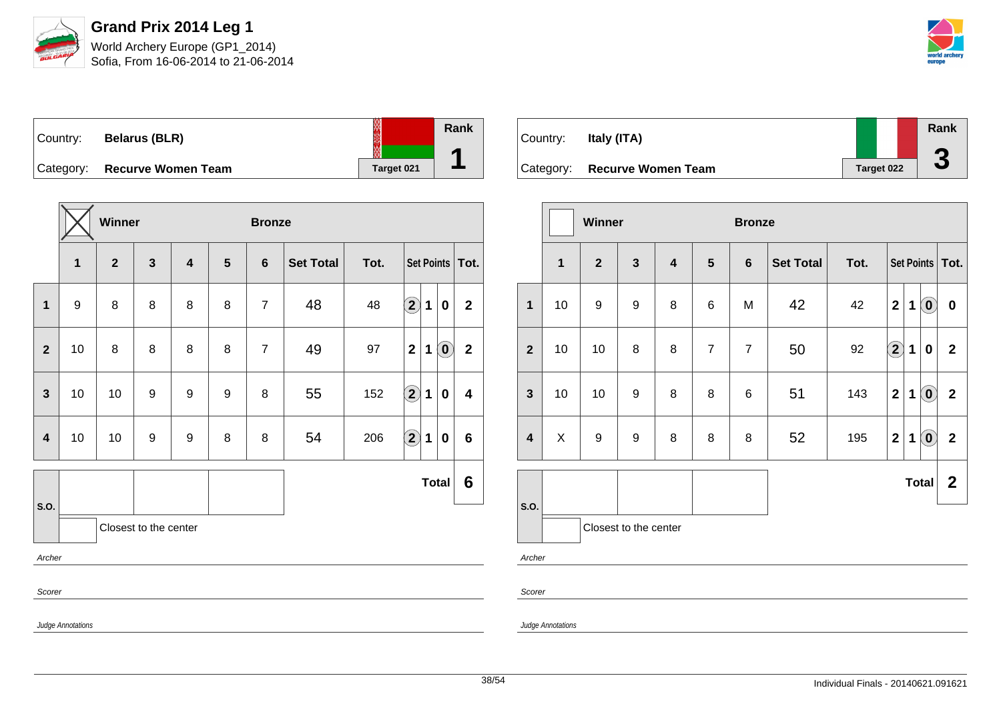

Sofia, From 16-06-2014 to 21-06-2014



| Country: | <b>Belarus (BLR)</b>         |            | Rank |
|----------|------------------------------|------------|------|
|          | Category: Recurve Women Team | Target 021 |      |

|                         |                   | Winner                  |                       |                         |   | <b>Bronze</b>  |                  |      |                    |                   |                            |                         |
|-------------------------|-------------------|-------------------------|-----------------------|-------------------------|---|----------------|------------------|------|--------------------|-------------------|----------------------------|-------------------------|
|                         | 1                 | $\overline{\mathbf{2}}$ | $\mathbf{3}$          | $\overline{\mathbf{4}}$ | 5 | $6\phantom{1}$ | <b>Set Total</b> | Tot. |                    | Set Points   Tot. |                            |                         |
| 1                       | $\boldsymbol{9}$  | 8                       | 8                     | 8                       | 8 | $\overline{7}$ | 48               | 48   | $\bf \overline{2}$ | 1                 | $\boldsymbol{0}$           | $\mathbf{2}$            |
| $\overline{2}$          | 10                | 8                       | $\bf 8$               | 8                       | 8 | $\overline{7}$ | 49               | 97   | $\mathbf{2}$       | $\mathbf 1$       | $\left( \mathbf{0}\right)$ | $\overline{2}$          |
| $\mathbf{3}$            | 10                | 10                      | 9                     | 9                       | 9 | 8              | 55               | 152  | $\bigcirc$         | $\mathbf{1}$      | $\bf{0}$                   | $\overline{\mathbf{4}}$ |
| $\overline{\mathbf{4}}$ | 10                | 10                      | $\boldsymbol{9}$      | 9                       | 8 | 8              | 54               | 206  | $\bigcirc$         | 1                 | $\pmb{0}$                  | $6\phantom{a}$          |
|                         |                   |                         |                       |                         |   |                |                  |      |                    |                   | <b>Total</b>               | 6                       |
| S.O.                    |                   |                         | Closest to the center |                         |   |                |                  |      |                    |                   |                            |                         |
| Archer                  |                   |                         |                       |                         |   |                |                  |      |                    |                   |                            |                         |
| Scorer                  |                   |                         |                       |                         |   |                |                  |      |                    |                   |                            |                         |
|                         | Judge Annotations |                         |                       |                         |   |                |                  |      |                    |                   |                            |                         |

| Country:  | Italy (ITA)               |                   | Rank<br>Ą |
|-----------|---------------------------|-------------------|-----------|
| Category: | <b>Recurve Women Team</b> | <b>Target 022</b> | J         |

|                         |              | Winner           |                       |                         |                | <b>Bronze</b>  |                  |      |                        |             |                            |                |
|-------------------------|--------------|------------------|-----------------------|-------------------------|----------------|----------------|------------------|------|------------------------|-------------|----------------------------|----------------|
|                         | $\mathbf{1}$ | $\overline{2}$   | $\mathbf{3}$          | $\overline{\mathbf{4}}$ | $5\phantom{1}$ | $6\phantom{1}$ | <b>Set Total</b> | Tot. | Set Points   Tot.      |             |                            |                |
| $\mathbf{1}$            | 10           | 9                | 9                     | 8                       | 6              | M              | 42               | 42   | $\overline{2}$         | 1           | $(\mathbf{0})$             | $\mathbf 0$    |
| $\mathbf{2}$            | 10           | 10               | 8                     | 8                       | $\overline{7}$ | $\overline{7}$ | 50               | 92   | $\left( \bf{2}\right)$ | $\mathbf 1$ | $\bf{0}$                   | $\overline{2}$ |
| $\mathbf{3}$            | 10           | 10               | 9                     | 8                       | 8              | 6              | 51               | 143  | $\overline{2}$         | 1           | $\left( \mathbf{0}\right)$ | $\mathbf{2}$   |
| $\overline{\mathbf{4}}$ | $\mathsf{X}$ | $\boldsymbol{9}$ | $\boldsymbol{9}$      | 8                       | 8              | 8              | 52               | 195  | $\mathbf{2}$           | 1           | $\left( \mathbf{0}\right)$ | $\mathbf{2}$   |
|                         |              |                  |                       |                         |                |                |                  |      |                        |             | <b>Total</b>               | $\mathbf{2}$   |
| S.O.                    |              |                  | Closest to the center |                         |                |                |                  |      |                        |             |                            |                |
| Archer                  |              |                  |                       |                         |                |                |                  |      |                        |             |                            |                |
| Scorer                  |              |                  |                       |                         |                |                |                  |      |                        |             |                            |                |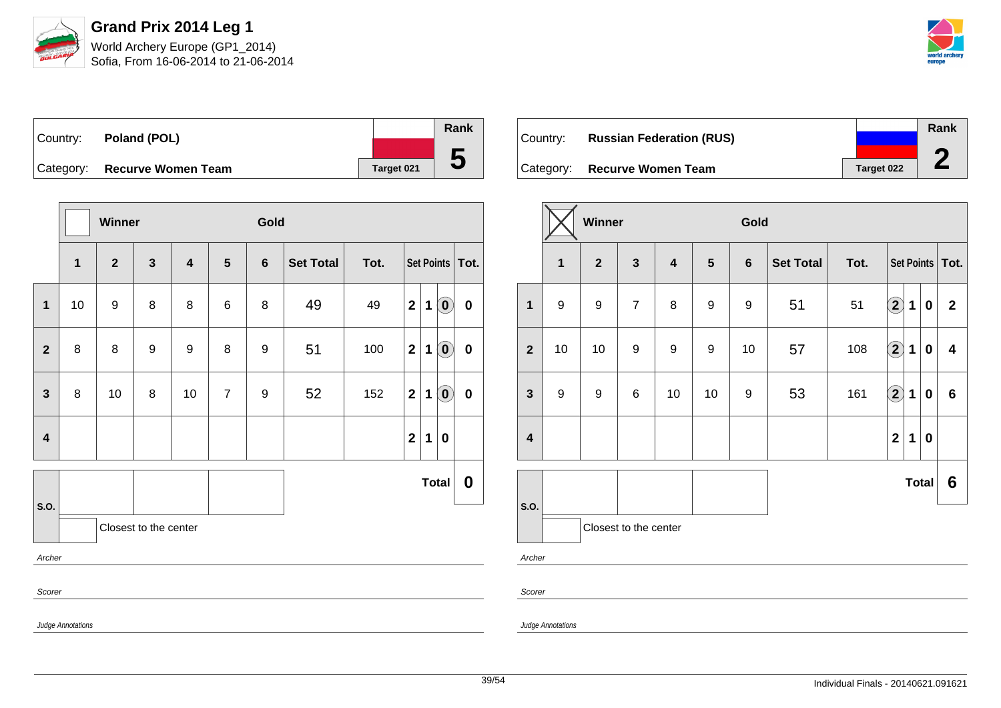

Sofia, From 16-06-2014 to 21-06-2014



| Country: | Poland (POL)                 |                   | Rank     |
|----------|------------------------------|-------------------|----------|
|          |                              |                   |          |
|          | Category: Recurve Women Team | <b>Target 021</b> | $\bf{5}$ |

|                         |                   | Winner           |                       |                         |                | Gold             |                  |      |              |             |                            |                   |
|-------------------------|-------------------|------------------|-----------------------|-------------------------|----------------|------------------|------------------|------|--------------|-------------|----------------------------|-------------------|
|                         | 1                 | $\mathbf{2}$     | $\mathbf{3}$          | $\overline{\mathbf{4}}$ | $5\phantom{1}$ | $6\phantom{1}$   | <b>Set Total</b> | Tot. |              |             |                            | Set Points   Tot. |
| 1                       | 10                | $\boldsymbol{9}$ | 8                     | 8                       | 6              | 8                | 49               | 49   | $\mathbf{2}$ | 1           | $\left( \mathbf{0}\right)$ | 0                 |
| $\overline{2}$          | 8                 | 8                | 9                     | 9                       | 8              | 9                | 51               | 100  | $\mathbf{2}$ | 1           | $\left( \mathbf{0}\right)$ | $\pmb{0}$         |
| $\mathbf{3}$            | 8                 | 10               | 8                     | 10                      | $\overline{7}$ | $\boldsymbol{9}$ | 52               | 152  | $\mathbf{2}$ | 1           | $\left( \mathbf{0}\right)$ | $\pmb{0}$         |
| $\overline{\mathbf{4}}$ |                   |                  |                       |                         |                |                  |                  |      | $\mathbf{2}$ | $\mathbf 1$ | $\boldsymbol{0}$           |                   |
|                         |                   |                  |                       |                         |                |                  |                  |      |              |             | <b>Total</b>               | 0                 |
| S.O.                    |                   |                  | Closest to the center |                         |                |                  |                  |      |              |             |                            |                   |
| Archer                  |                   |                  |                       |                         |                |                  |                  |      |              |             |                            |                   |
| Scorer                  |                   |                  |                       |                         |                |                  |                  |      |              |             |                            |                   |
|                         | Judge Annotations |                  |                       |                         |                |                  |                  |      |              |             |                            |                   |

| Country:  | <b>Russian Federation (RUS)</b> |            | Rank |
|-----------|---------------------------------|------------|------|
|           |                                 |            |      |
| Category: | <b>Recurve Women Team</b>       | Target 022 |      |

|                         |                       | <b>Winner</b>  |                  |                         |                  | Gold           |                  |      |                    |             |          |                         |
|-------------------------|-----------------------|----------------|------------------|-------------------------|------------------|----------------|------------------|------|--------------------|-------------|----------|-------------------------|
|                         | $\mathbf{1}$          | $\overline{2}$ | $\mathbf{3}$     | $\overline{\mathbf{4}}$ | $5\phantom{1}$   | $6\phantom{a}$ | <b>Set Total</b> | Tot. | Set Points   Tot.  |             |          |                         |
| $\mathbf{1}$            | 9                     | 9              | $\overline{7}$   | 8                       | $\boldsymbol{9}$ | 9              | 51               | 51   | $\mathbf{2}$       | 1           | $\bf{0}$ | $\overline{2}$          |
| $\overline{2}$          | 10                    | 10             | $\boldsymbol{9}$ | 9                       | 9                | 10             | 57               | 108  | $\bigcirc \!\! 2$  | $\mathbf 1$ | $\bf{0}$ | $\overline{\mathbf{4}}$ |
| $\mathbf{3}$            | 9                     | 9              | $\,6$            | 10                      | 10               | 9              | 53               | 161  | $\hat{\mathbf{2}}$ | 1           | $\bf{0}$ | $6\phantom{a}$          |
| $\overline{\mathbf{4}}$ |                       |                |                  |                         |                  |                |                  |      | $\overline{2}$     | 1           | $\bf{0}$ |                         |
| S.O.                    |                       | <b>Total</b>   |                  |                         |                  |                | 6                |      |                    |             |          |                         |
|                         | Closest to the center |                |                  |                         |                  |                |                  |      |                    |             |          |                         |
| Archer                  |                       |                |                  |                         |                  |                |                  |      |                    |             |          |                         |

Scorer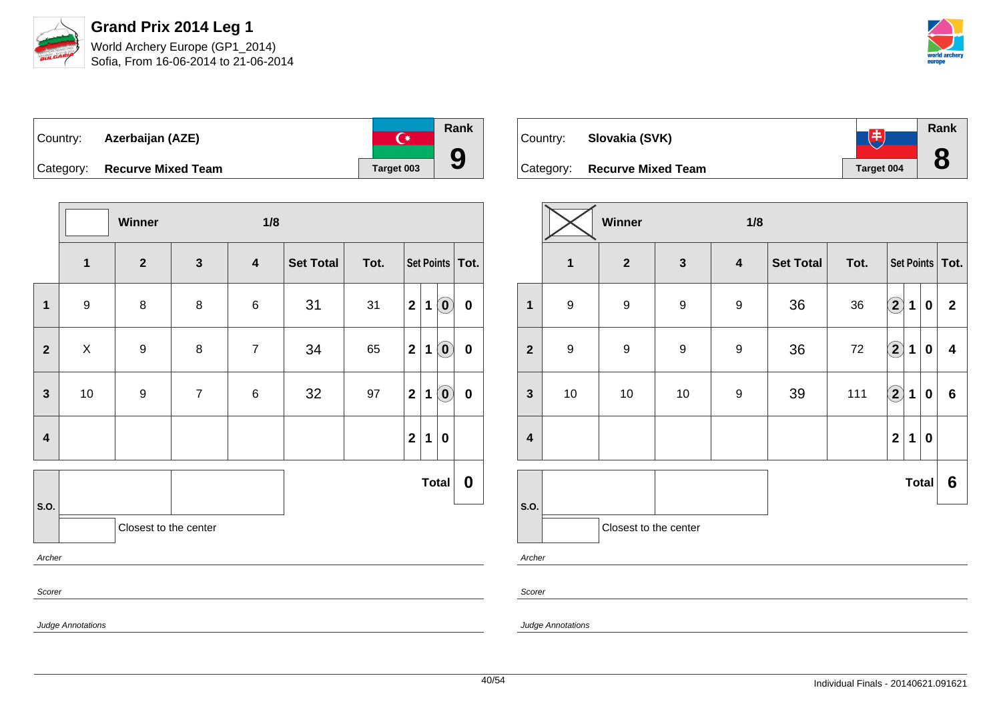



| ∣Country: | Azerbaijan (AZE)             | ∩∗         | Rank |
|-----------|------------------------------|------------|------|
|           | Category: Recurve Mixed Team | Target 003 |      |

|                         |                       | Winner           |                  | 1/8                     |           |      |                |             |                            |                   |
|-------------------------|-----------------------|------------------|------------------|-------------------------|-----------|------|----------------|-------------|----------------------------|-------------------|
|                         | $\mathbf 1$           | $\boldsymbol{2}$ | $\mathbf{3}$     | $\overline{\mathbf{4}}$ | Set Total | Tot. |                |             |                            | Set Points   Tot. |
| $\mathbf{1}$            | $\boldsymbol{9}$      | $\bf 8$          | 8                | 6                       | 31        | 31   | $\mathbf{2}$   | 1           | $\left( \mathbf{0}\right)$ | $\pmb{0}$         |
| $\overline{2}$          | $\pmb{\times}$        | $\boldsymbol{9}$ | $\bf 8$          | $\overline{7}$          | 34        | 65   | $\mathbf{2}$   | $\mathbf 1$ | $\left( \mathbf{0}\right)$ | $\pmb{0}$         |
| $\mathbf{3}$            | 10                    | $\boldsymbol{9}$ | $\boldsymbol{7}$ | $\,6$                   | 32        | 97   | $\mathbf{2}$   | $\mathbf 1$ | $\left( \mathbf{0}\right)$ | $\pmb{0}$         |
| $\overline{\mathbf{4}}$ |                       |                  |                  |                         |           |      | $\overline{2}$ | 1           | $\pmb{0}$                  |                   |
|                         |                       |                  |                  |                         |           |      |                |             | <b>Total</b>               | $\boldsymbol{0}$  |
| S.O.                    | Closest to the center |                  |                  |                         |           |      |                |             |                            |                   |
| Archer                  |                       |                  |                  |                         |           |      |                |             |                            |                   |
| Scorer                  |                       |                  |                  |                         |           |      |                |             |                            |                   |



| $\mathbf{1}$<br>$\mathbf{2}$                        | $\mathbf{3}$     | $\overline{\mathbf{4}}$ | <b>Set Total</b> | Tot. | Set Points   Tot.       |              |                  |                |
|-----------------------------------------------------|------------------|-------------------------|------------------|------|-------------------------|--------------|------------------|----------------|
| $\boldsymbol{9}$<br>$\boldsymbol{9}$<br>$\mathbf 1$ | $\boldsymbol{9}$ | $\boldsymbol{9}$        | 36               | 36   | $\Large 2$              | $\mathbf 1$  | $\pmb{0}$        | $\overline{2}$ |
| $\boldsymbol{9}$<br>9<br>$\overline{\mathbf{2}}$    | $\boldsymbol{9}$ | $\boldsymbol{9}$        | 36               | 72   | $\boxed{2}$             | $\mathbf{1}$ | $\boldsymbol{0}$ | 4              |
| 3<br>$10$<br>10                                     | $10$             | 9                       | 39               | 111  | $\Large{\textbf{2}}$    | $\mathbf 1$  | $\bf{0}$         | $\bf 6$        |
| $\overline{\mathbf{4}}$                             |                  |                         |                  |      | $\overline{\mathbf{2}}$ | $\mathbf 1$  | $\mathbf 0$      |                |
|                                                     |                  |                         |                  |      |                         |              | <b>Total</b>     | 6              |
| S.O.<br>Closest to the center                       |                  |                         |                  |      |                         |              |                  |                |

Archer

Scorer

Judge Annotations

Judge Annotations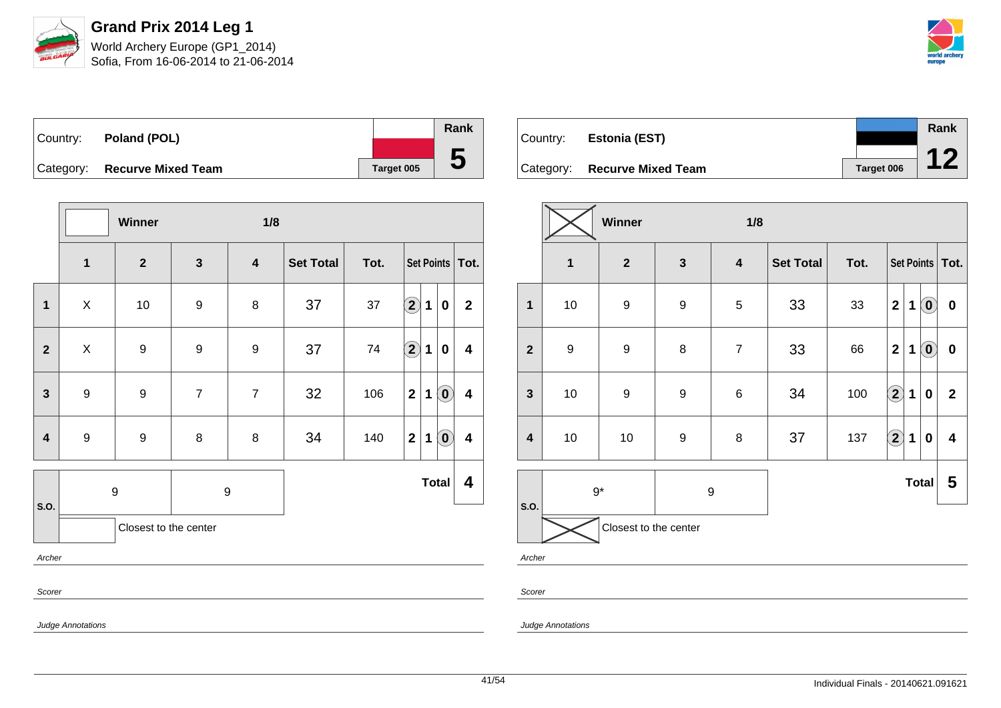

Sofia, From 16-06-2014 to 21-06-2014



| Country:  | Poland (POL)              |            | Rank |
|-----------|---------------------------|------------|------|
|           |                           |            |      |
| Category: | <b>Recurve Mixed Team</b> | Target 005 | C    |

|                         |                       | Winner           |                  | 1/8                     |                  |      |                    |   |                            |                         |
|-------------------------|-----------------------|------------------|------------------|-------------------------|------------------|------|--------------------|---|----------------------------|-------------------------|
|                         | $\mathbf{1}$          | $\mathbf{2}$     | $\mathbf{3}$     | $\overline{\mathbf{4}}$ | <b>Set Total</b> | Tot. |                    |   | Set Points   Tot.          |                         |
| $\mathbf{1}$            | X                     | $10$             | $\boldsymbol{9}$ | 8                       | 37               | 37   | $\bf \overline{2}$ | 1 | $\pmb{0}$                  | $\mathbf 2$             |
| $\mathbf{2}$            | X                     | 9                | 9                | 9                       | 37               | 74   | $\bigcirc$         | 1 | $\mathbf 0$                | 4                       |
| $\mathbf{3}$            | $\boldsymbol{9}$      | $\boldsymbol{9}$ | $\overline{7}$   | $\overline{7}$          | 32               | 106  | $\mathbf{2}$       | 1 | $\left( \mathbf{0}\right)$ | 4                       |
| $\overline{\mathbf{4}}$ | $\boldsymbol{9}$      | $\boldsymbol{9}$ | $\bf 8$          | 8                       | 34               | 140  | $\mathbf{2}$       | 1 | $\left( \mathbf{0}\right)$ | $\overline{\mathbf{4}}$ |
|                         |                       | 9                | 9                |                         |                  |      |                    |   | <b>Total</b>               | 4                       |
| S.O.                    | Closest to the center |                  |                  |                         |                  |      |                    |   |                            |                         |
| Archer                  |                       |                  |                  |                         |                  |      |                    |   |                            |                         |
| Scorer                  |                       |                  |                  |                         |                  |      |                    |   |                            |                         |

| Country:  | <b>Estonia (EST)</b>      |            | Rank |
|-----------|---------------------------|------------|------|
|           |                           |            |      |
| Category: | <b>Recurve Mixed Team</b> | Target 006 |      |

|                         |                  | Winner                |                  | 1/8                     |                  |      |                    |              |                            |              |
|-------------------------|------------------|-----------------------|------------------|-------------------------|------------------|------|--------------------|--------------|----------------------------|--------------|
|                         | $\mathbf{1}$     | $\mathbf{2}$          | $\mathbf{3}$     | $\overline{\mathbf{4}}$ | <b>Set Total</b> | Tot. | Set Points   Tot.  |              |                            |              |
| $\mathbf{1}$            | $10$             | 9                     | $\boldsymbol{9}$ | $\sqrt{5}$              | 33               | 33   | $\mathbf 2$        | 1            | $\left( \mathbf{0}\right)$ | $\pmb{0}$    |
| $\overline{2}$          | $\boldsymbol{9}$ | $\boldsymbol{9}$      | 8                | $\overline{7}$          | 33               | 66   | $\mathbf 2$        | 1            | $\left( \mathbf{0}\right)$ | $\pmb{0}$    |
| $\mathbf{3}$            | $10$             | 9                     | $\boldsymbol{9}$ | $\,6$                   | 34               | 100  | $\hat{\mathbf{2}}$ | 1            | $\bf{0}$                   | $\mathbf{2}$ |
| $\overline{\mathbf{4}}$ | $10$             | $10$                  | $\boldsymbol{9}$ | 8                       | 37               | 137  | $\boxed{2}$        | 1            | $\bf{0}$                   | 4            |
|                         |                  | $9*$<br>9             |                  |                         |                  |      |                    | <b>Total</b> | 5                          |              |
| S.O.                    |                  | Closest to the center |                  |                         |                  |      |                    |              |                            |              |

Archer

Scorer

Judge Annotations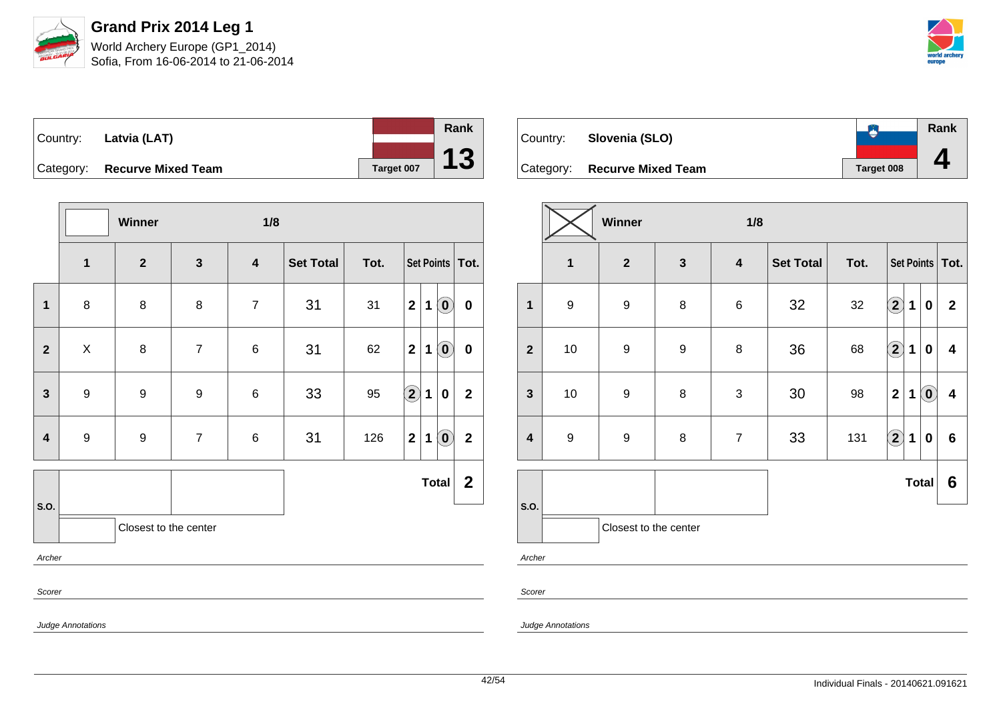



| $\vert$ Country: Latvia (LAT) |            |
|-------------------------------|------------|
| Category: Recurve Mixed Team  | Target 007 |

|                         |                          | Winner                |                  | 1/8              |                  |      |                            |             |                            |                  |
|-------------------------|--------------------------|-----------------------|------------------|------------------|------------------|------|----------------------------|-------------|----------------------------|------------------|
|                         | 1                        | $\mathbf{2}$          | $\mathbf{3}$     | 4                | <b>Set Total</b> | Tot. | Set Points   Tot.          |             |                            |                  |
| $\mathbf{1}$            | 8                        | $\bf 8$               | $\bf 8$          | $\boldsymbol{7}$ | 31               | 31   | $\mathbf{2}$               | $\mathbf 1$ | $\left( \mathbf{0}\right)$ | $\mathbf 0$      |
| $\mathbf{2}$            | X                        | $\bf 8$               | $\overline{7}$   | $\,6$            | 31               | 62   | $\mathbf{2}$               | 1           | $\left( \mathbf{0}\right)$ | $\pmb{0}$        |
| $\mathbf{3}$            | $\boldsymbol{9}$         | 9                     | $\boldsymbol{9}$ | 6                | 33               | 95   | $\left( \mathbf{2}\right)$ | $\mathbf 1$ | 0                          | $\mathbf{2}$     |
| $\overline{\mathbf{4}}$ | $\boldsymbol{9}$         | $\boldsymbol{9}$      | $\overline{7}$   | $\,6$            | 31               | 126  | 2 <sup>1</sup>             | $\mathbf 1$ | $\textcircled{\small{0}}$  | $\mathbf{2}$     |
|                         |                          |                       |                  |                  |                  |      |                            |             | <b>Total</b>               | $\boldsymbol{2}$ |
| S.O.                    |                          | Closest to the center |                  |                  |                  |      |                            |             |                            |                  |
| Archer                  |                          |                       |                  |                  |                  |      |                            |             |                            |                  |
| Scorer                  |                          |                       |                  |                  |                  |      |                            |             |                            |                  |
|                         | <b>Judge Annotations</b> |                       |                  |                  |                  |      |                            |             |                            |                  |

| Country: | Slovenia (SLO)               |            | <b>Rank</b> |
|----------|------------------------------|------------|-------------|
|          | Category: Recurve Mixed Team | Target 008 |             |

|                         |                  | Winner                |                  | 1/8              |                  |      |                        |             |                            |                         |
|-------------------------|------------------|-----------------------|------------------|------------------|------------------|------|------------------------|-------------|----------------------------|-------------------------|
|                         | 1                | $\mathbf 2$           | $\mathbf{3}$     | $\boldsymbol{4}$ | <b>Set Total</b> | Tot. | Set Points   Tot.      |             |                            |                         |
| 1                       | $\boldsymbol{9}$ | 9                     | 8                | $\,6$            | 32               | 32   | $\left( \bf{2}\right)$ | $\mathbf 1$ | $\mathbf 0$                | $\mathbf{2}$            |
| $\mathbf{2}$            | $10$             | 9                     | $\boldsymbol{9}$ | 8                | 36               | 68   | $\Large 2$             | $\mathbf 1$ | $\mathbf 0$                | 4                       |
| $\mathbf{3}$            | 10               | 9                     | 8                | 3                | 30               | 98   | $\mathbf 2$            | 1           | $\left( \mathbf{0}\right)$ | $\overline{\mathbf{4}}$ |
| $\overline{\mathbf{4}}$ | $\boldsymbol{9}$ | $\boldsymbol{9}$      | $\bf 8$          | $\overline{7}$   | 33               | 131  | $\Large 2$             | $\mathbf 1$ | $\pmb{0}$                  | $\bf 6$                 |
|                         |                  |                       |                  |                  |                  |      |                        |             | <b>Total</b>               | 6                       |
| S.O.                    |                  | Closest to the center |                  |                  |                  |      |                        |             |                            |                         |
| Archer                  |                  |                       |                  |                  |                  |      |                        |             |                            |                         |
| Scorer                  |                  |                       |                  |                  |                  |      |                        |             |                            |                         |

Judge Annotations

**Rank**

**13**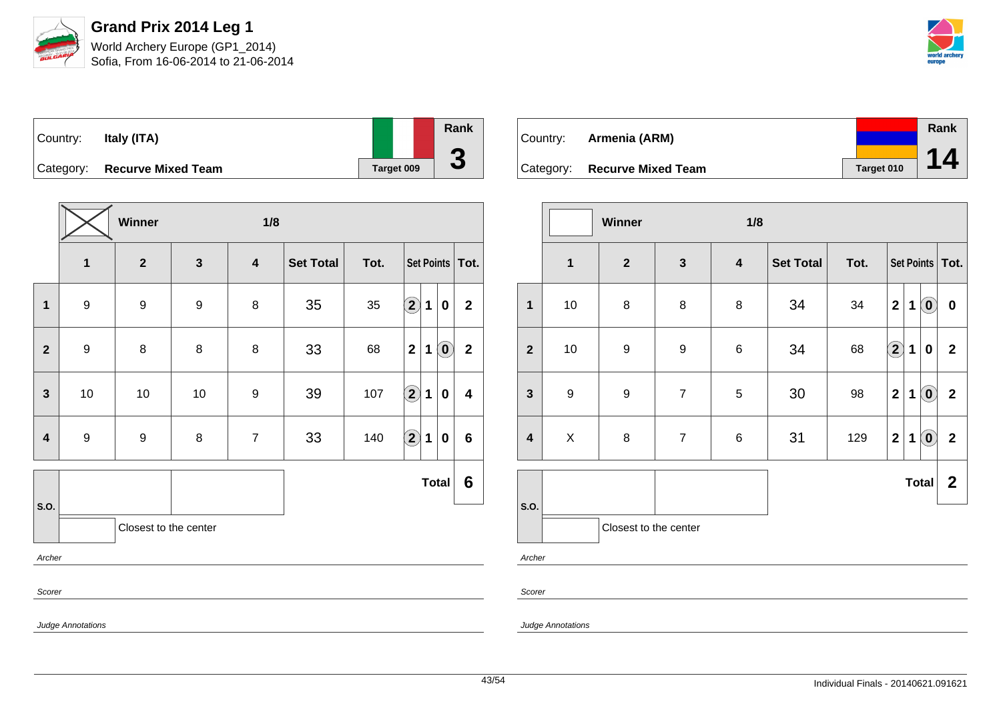

| $\vert$ Country: | Italy (ITA)                  |            | Rank                     |
|------------------|------------------------------|------------|--------------------------|
|                  | Category: Recurve Mixed Team | Target 009 | $\overline{\phantom{a}}$ |

|                               |                                                | Winner                  |              | 1/8                     |           |      |                      |             |                            |                         |  |  |
|-------------------------------|------------------------------------------------|-------------------------|--------------|-------------------------|-----------|------|----------------------|-------------|----------------------------|-------------------------|--|--|
|                               | $\mathbf{1}$                                   | $\overline{\mathbf{2}}$ | $\mathbf{3}$ | $\overline{\mathbf{4}}$ | Set Total | Tot. |                      |             | Set Points   Tot.          |                         |  |  |
| $\mathbf{1}$                  | $\boldsymbol{9}$                               | 9                       | 9            | 8                       | 35        | 35   | $\bigcirc \!\! \! 2$ | $\mathbf 1$ | $\bf{0}$                   | $\overline{2}$          |  |  |
| $\mathbf{2}$                  | $\boldsymbol{9}$                               | 8                       | $\bf 8$      | 8                       | 33        | 68   | $\mathbf{2}$         | $\mathbf 1$ | $\left( \mathbf{0}\right)$ | $\mathbf{2}$            |  |  |
| $\mathbf{3}$                  | 10                                             | 10                      | $10$         | 9                       | 39        | 107  | $\bigcirc \!\! 2$    | $\mathbf 1$ | 0                          | $\overline{\mathbf{4}}$ |  |  |
| 4                             | $\boldsymbol{9}$                               | $\boldsymbol{9}$        | $\bf 8$      | $\overline{7}$          | 33        | 140  | $\bigcirc \!\! 2$    | $\mathbf 1$ | 0                          | $6\phantom{1}$          |  |  |
|                               |                                                |                         |              |                         |           |      |                      |             | <b>Total</b>               | 6                       |  |  |
| S.O.<br>Closest to the center |                                                |                         |              |                         |           |      |                      |             |                            |                         |  |  |
| Archer                        |                                                |                         |              |                         |           |      |                      |             |                            |                         |  |  |
| Scorer                        |                                                |                         |              |                         |           |      |                      |             |                            |                         |  |  |
|                               | $\mathbf{a}$ and $\mathbf{a}$ and $\mathbf{a}$ |                         |              |                         |           |      |                      |             |                            |                         |  |  |

| Country: | Armenia (ARM)                |            | Rank |
|----------|------------------------------|------------|------|
|          |                              |            | 14   |
|          | Category: Recurve Mixed Team | Target 010 |      |

|                         |                  | <b>Winner</b>         |                  | 1/8                     |                  |      |                   |   |                            |                         |
|-------------------------|------------------|-----------------------|------------------|-------------------------|------------------|------|-------------------|---|----------------------------|-------------------------|
|                         | $\mathbf{1}$     | $\boldsymbol{2}$      | $\mathbf{3}$     | $\overline{\mathbf{4}}$ | <b>Set Total</b> | Tot. | Set Points   Tot. |   |                            |                         |
| $\mathbf{1}$            | 10               | $\bf 8$               | 8                | $\bf 8$                 | 34               | 34   | $\mathbf{2}$      | 1 | $\left( \mathbf{0}\right)$ | $\pmb{0}$               |
| $\overline{\mathbf{2}}$ | 10               | $\boldsymbol{9}$      | $\boldsymbol{9}$ | $\,6$                   | 34               | 68   | $\mathbf{2}$      | 1 | $\boldsymbol{0}$           | $\overline{2}$          |
| $\mathbf{3}$            | $\boldsymbol{9}$ | $\boldsymbol{9}$      | $\overline{7}$   | $\sqrt{5}$              | 30               | 98   | $\mathbf{2}$      | 1 | $\left( \mathbf{0}\right)$ | $\overline{\mathbf{2}}$ |
| $\overline{\mathbf{4}}$ | $\mathsf{X}$     | $\bf 8$               | $\overline{7}$   | $\,6$                   | 31               | 129  | $\mathbf 2$       | 1 | $\left( \mathbf{0}\right)$ | $\overline{\mathbf{2}}$ |
|                         |                  |                       |                  |                         |                  |      |                   |   | <b>Total</b>               | $\mathbf{2}$            |
| S.O.                    |                  | Closest to the center |                  |                         |                  |      |                   |   |                            |                         |
| Archer                  |                  |                       |                  |                         |                  |      |                   |   |                            |                         |

Scorer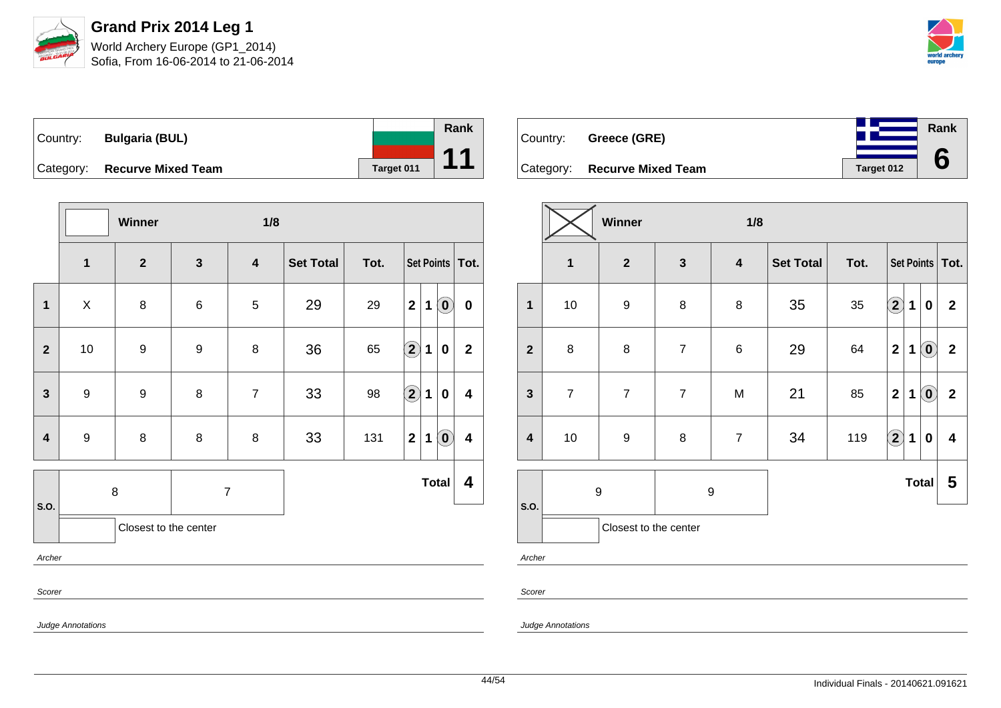

| Country:  | <b>Bulgaria (BUL)</b>     |            | <b>Rank</b> |
|-----------|---------------------------|------------|-------------|
|           |                           |            |             |
| Category: | <b>Recurve Mixed Team</b> | Target 011 |             |

|                |                  | Winner                |              | 1/8              |                  |      |                   |             |                            |              |
|----------------|------------------|-----------------------|--------------|------------------|------------------|------|-------------------|-------------|----------------------------|--------------|
|                | $\mathbf{1}$     | $\boldsymbol{2}$      | $\mathbf{3}$ | $\boldsymbol{4}$ | <b>Set Total</b> | Tot. | Set Points   Tot. |             |                            |              |
| $\mathbf{1}$   | X                | 8                     | 6            | $\sqrt{5}$       | 29               | 29   | $\mathbf{2}$      | $\mathbf 1$ | $\left( \mathbf{0}\right)$ | $\pmb{0}$    |
| $\overline{2}$ | $10$             | $\boldsymbol{9}$      | 9            | 8                | 36               | 65   | $\bigcirc \!\! 2$ | 1           | 0                          | $\mathbf{2}$ |
| $\mathbf{3}$   | $\boldsymbol{9}$ | $\boldsymbol{9}$      | 8            | $\overline{7}$   | 33               | 98   | $\bigcirc$        | 1           | 0                          | 4            |
| 4              | $\boldsymbol{9}$ | $\bf 8$               | $\bf 8$      | 8                | 33               | 131  | $\mathbf 2$       | 1           | $\left( \mathbf{0}\right)$ | 4            |
| S.O.           |                  | 8                     |              | $\overline{7}$   |                  |      |                   |             | <b>Total</b>               | 4            |
|                |                  | Closest to the center |              |                  |                  |      |                   |             |                            |              |
| Archer         |                  |                       |              |                  |                  |      |                   |             |                            |              |
| Scorer         |                  |                       |              |                  |                  |      |                   |             |                            |              |
|                |                  |                       |              |                  |                  |      |                   |             |                            |              |

Country: **Greece (GRE)** Category: **Recurve Mixed Team Target 012 Rank 6**

|                         | Winner<br>1/8           |                       |                |                         |                  |      |              |              |                            |                   |  |
|-------------------------|-------------------------|-----------------------|----------------|-------------------------|------------------|------|--------------|--------------|----------------------------|-------------------|--|
|                         | $\overline{\mathbf{1}}$ | $\mathbf{2}$          | $\mathbf{3}$   | $\overline{\mathbf{4}}$ | <b>Set Total</b> | Tot. |              |              |                            | Set Points   Tot. |  |
| $\mathbf{1}$            | $10$                    | $\boldsymbol{9}$      | 8              | 8                       | 35               | 35   | $\boxed{2}$  | 1            | $\bf{0}$                   | $\mathbf{2}$      |  |
| $\overline{2}$          | 8                       | $\bf 8$               | $\overline{7}$ | $\,6\,$                 | 29               | 64   | $\mathbf{2}$ | 1            | $\odot$                    | $\boldsymbol{2}$  |  |
| $\mathbf{3}$            | $\overline{7}$          | $\overline{7}$        | $\overline{7}$ | M                       | 21               | 85   | $\mathbf 2$  | 1            | $\left( \mathbf{0}\right)$ | $\mathbf 2$       |  |
| $\overline{\mathbf{4}}$ | 10                      | $\boldsymbol{9}$      | $\bf 8$        | $\overline{7}$          | 34               | 119  | $\Omega$     | $\mathbf 1$  | $\bf{0}$                   | 4                 |  |
|                         |                         | 9                     | 9              |                         |                  |      |              | <b>Total</b> |                            | 5                 |  |
| S.O.                    |                         | Closest to the center |                |                         |                  |      |              |              |                            |                   |  |

Archer

Scorer

Judge Annotations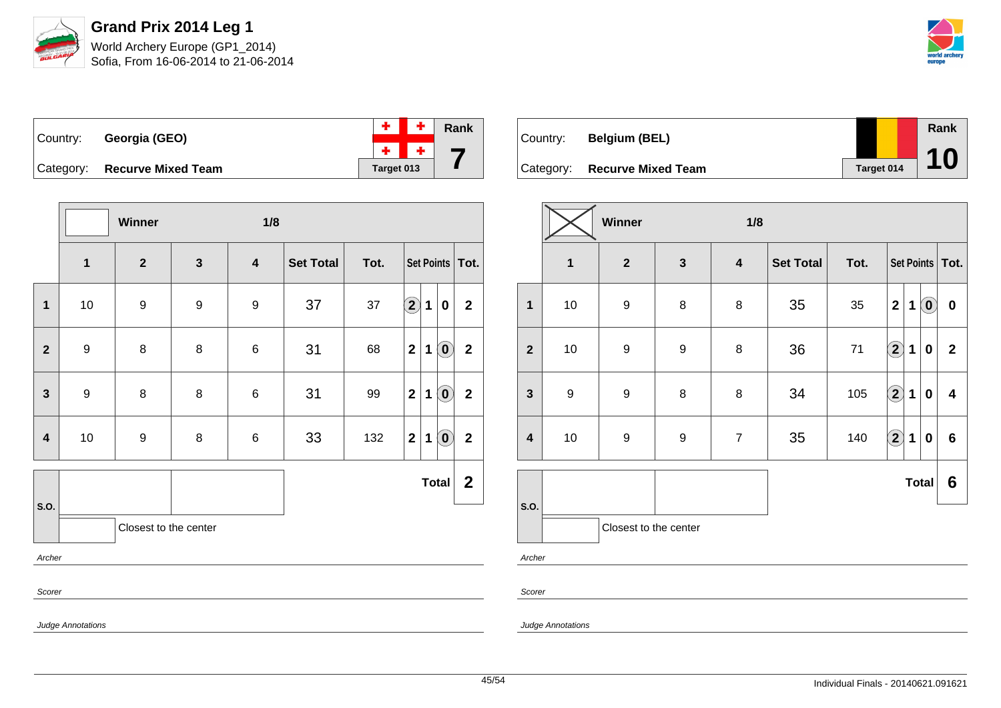



|                              |            | $+$ $+$ $\overline{ }$ Rank |
|------------------------------|------------|-----------------------------|
| Country: Georgia (GEO)       |            | $+$ $+$ $-$                 |
| Category: Recurve Mixed Team | Target 013 |                             |

|                         |                          | Winner                |                  | 1/8                     |                  |      |                             |                                                |                  |  |  |
|-------------------------|--------------------------|-----------------------|------------------|-------------------------|------------------|------|-----------------------------|------------------------------------------------|------------------|--|--|
|                         | $\overline{\mathbf{1}}$  | $\mathbf{2}$          | $\mathbf{3}$     | $\overline{\mathbf{4}}$ | <b>Set Total</b> | Tot. | Set Points   Tot.           |                                                |                  |  |  |
| $\mathbf 1$             | 10                       | $\boldsymbol{9}$      | $\boldsymbol{9}$ | $\boldsymbol{9}$        | 37               | 37   | $\bigcirc \!\! 2$<br>1      | $\pmb{0}$                                      | $\mathbf 2$      |  |  |
| $\mathbf{2}$            | $\boldsymbol{9}$         | 8                     | 8                | $\,6$                   | 31               | 68   | $\mathbf{2}$<br>1           | $\left( \begin{matrix} 0 \end{matrix} \right)$ | $\mathbf{2}$     |  |  |
| $\mathbf{3}$            | $\boldsymbol{9}$         | 8                     | 8                | $\,6$                   | 31               | 99   | $\mathbf{2}$<br>1           | $\left( \mathbf{0}\right)$                     | $\mathbf{2}$     |  |  |
| $\overline{\mathbf{4}}$ | 10                       | $\boldsymbol{9}$      | 8                | 6                       | 33               | 132  | $\mathbf{2}$<br>$\mathbf 1$ | $\left( \mathbf{0}\right)$                     | $\mathbf{2}$     |  |  |
|                         |                          |                       |                  |                         |                  |      |                             | <b>Total</b>                                   | $\boldsymbol{2}$ |  |  |
| S.O.                    |                          | Closest to the center |                  |                         |                  |      |                             |                                                |                  |  |  |
| Archer                  |                          |                       |                  |                         |                  |      |                             |                                                |                  |  |  |
|                         | Scorer                   |                       |                  |                         |                  |      |                             |                                                |                  |  |  |
|                         | <b>Judge Annotations</b> |                       |                  |                         |                  |      |                             |                                                |                  |  |  |

| Country: | <b>Belgium (BEL)</b>         |            | Rank |
|----------|------------------------------|------------|------|
|          |                              |            |      |
|          | Category: Recurve Mixed Team | Target 014 | 10   |

|                         |                  | Winner<br>1/8         |                  |                         |                  |      |                            |   |                            |                   |
|-------------------------|------------------|-----------------------|------------------|-------------------------|------------------|------|----------------------------|---|----------------------------|-------------------|
|                         | $\mathbf{1}$     | $\mathbf{2}$          | $\mathbf{3}$     | $\overline{\mathbf{4}}$ | <b>Set Total</b> | Tot. |                            |   |                            | Set Points   Tot. |
| $\mathbf{1}$            | 10               | $\boldsymbol{9}$      | $\bf 8$          | 8                       | 35               | 35   | $\mathbf{2}$               | 1 | $\left( \mathbf{0}\right)$ | $\bf{0}$          |
| $\overline{2}$          | 10               | $\boldsymbol{9}$      | $\boldsymbol{9}$ | $\bf 8$                 | 36               | $71$ | $\left( \mathbf{2}\right)$ | 1 | 0                          | $\mathbf{2}$      |
| $\mathbf{3}$            | $\boldsymbol{9}$ | $\boldsymbol{9}$      | 8                | 8                       | 34               | 105  | $\Large{\textbf{2}}$       | 1 | $\bf{0}$                   | 4                 |
| $\overline{\mathbf{4}}$ | 10               | $\boldsymbol{9}$      | $\boldsymbol{9}$ | $\overline{7}$          | 35               | 140  | $\overline{2}$             | 1 | $\bf{0}$                   | 6                 |
|                         |                  |                       |                  |                         |                  |      |                            |   | <b>Total</b>               | 6                 |
| S.O.                    |                  | Closest to the center |                  |                         |                  |      |                            |   |                            |                   |
| Archer                  |                  |                       |                  |                         |                  |      |                            |   |                            |                   |

Scorer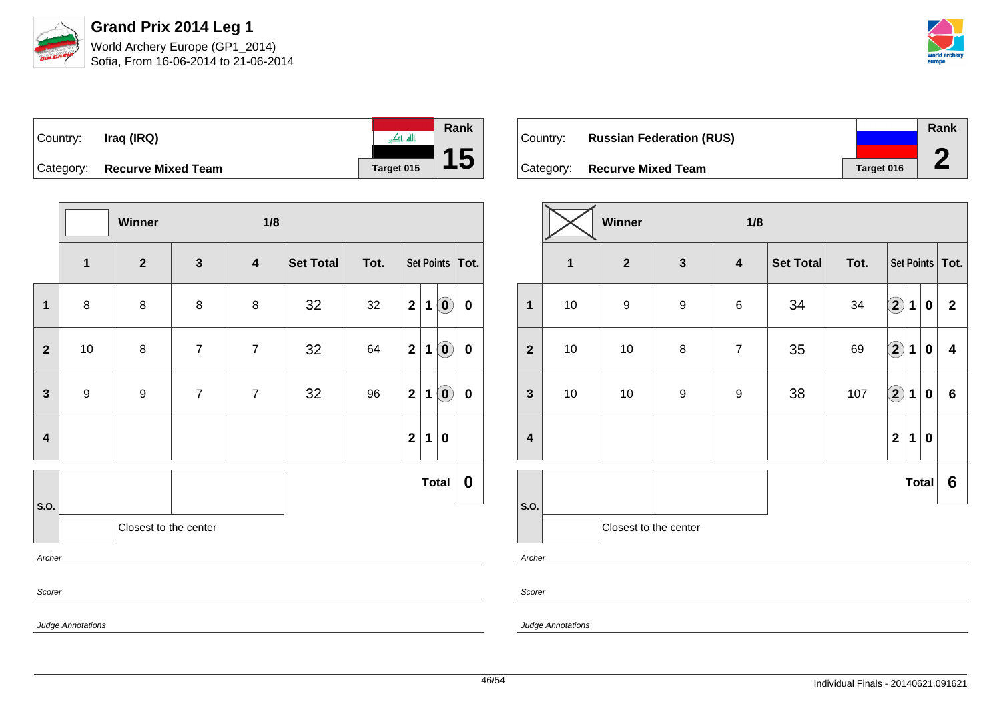



| Country: | Iraq (IRQ)                   | पए पा             | Rank |
|----------|------------------------------|-------------------|------|
|          |                              |                   |      |
|          | Category: Recurve Mixed Team | <b>Target 015</b> |      |

|                         |                  | Winner                |                | 1/8                     |           |      |                   |             |                            |                  |
|-------------------------|------------------|-----------------------|----------------|-------------------------|-----------|------|-------------------|-------------|----------------------------|------------------|
|                         | $\mathbf 1$      | $\mathbf{2}$          | $\mathbf{3}$   | $\overline{\mathbf{4}}$ | Set Total | Tot. | Set Points   Tot. |             |                            |                  |
| $\mathbf{1}$            | $\bf 8$          | 8                     | 8              | 8                       | 32        | 32   | $\overline{2}$    | 1           | $\left( \mathbf{0}\right)$ | $\pmb{0}$        |
| $\mathbf{2}$            | $10$             | 8                     | $\overline{7}$ | $\overline{7}$          | 32        | 64   | $\overline{2}$    | $\mathbf 1$ | $\left( \mathbf{0}\right)$ | $\pmb{0}$        |
| $\mathbf{3}$            | $\boldsymbol{9}$ | $\boldsymbol{9}$      | $\overline{7}$ | $\overline{7}$          | 32        | 96   | $\overline{2}$    | 1           | $\left( \mathbf{0}\right)$ | $\pmb{0}$        |
| $\overline{\mathbf{4}}$ |                  |                       |                |                         |           |      | $\mathbf{2}$      | $\mathbf 1$ | $\boldsymbol{0}$           |                  |
|                         |                  |                       |                |                         |           |      |                   |             | <b>Total</b>               | $\boldsymbol{0}$ |
| S.O.                    |                  | Closest to the center |                |                         |           |      |                   |             |                            |                  |
| Archer                  |                  |                       |                |                         |           |      |                   |             |                            |                  |
| Scorer                  |                  |                       |                |                         |           |      |                   |             |                            |                  |

| Country: | <b>Russian Federation (RUS)</b> |            | Rank |
|----------|---------------------------------|------------|------|
|          | Category: Recurve Mixed Team    | Target 016 |      |

|                         | Winner<br>1/8 |                       |                  |                         |                  |      |                            |             |                  |                 |
|-------------------------|---------------|-----------------------|------------------|-------------------------|------------------|------|----------------------------|-------------|------------------|-----------------|
|                         | $\mathbf{1}$  | $\boldsymbol{2}$      | $\mathbf{3}$     | $\overline{\mathbf{4}}$ | <b>Set Total</b> | Tot. | Set Points   Tot.          |             |                  |                 |
| $\mathbf{1}$            | $10$          | 9                     | $\boldsymbol{9}$ | $\,6$                   | 34               | 34   | $\left( \mathbf{2}\right)$ | 1           | 0                | $\mathbf{2}$    |
| $\overline{2}$          | $10$          | 10                    | 8                | $\overline{7}$          | 35               | 69   | $\bigcirc$                 | 1           | $\boldsymbol{0}$ | 4               |
| $\mathbf{3}$            | $10$          | 10                    | $\boldsymbol{9}$ | $\boldsymbol{9}$        | 38               | 107  | $\bigcirc \!\! 2$          | $\mathbf 1$ | $\boldsymbol{0}$ | 6               |
| $\overline{\mathbf{4}}$ |               |                       |                  |                         |                  |      | $\overline{\mathbf{2}}$    | $\mathbf 1$ | $\pmb{0}$        |                 |
|                         |               |                       |                  |                         |                  |      |                            |             | <b>Total</b>     | $6\phantom{1}6$ |
| S.O.                    |               | Closest to the center |                  |                         |                  |      |                            |             |                  |                 |
| Archer                  |               |                       |                  |                         |                  |      |                            |             |                  |                 |

Scorer

Judge Annotations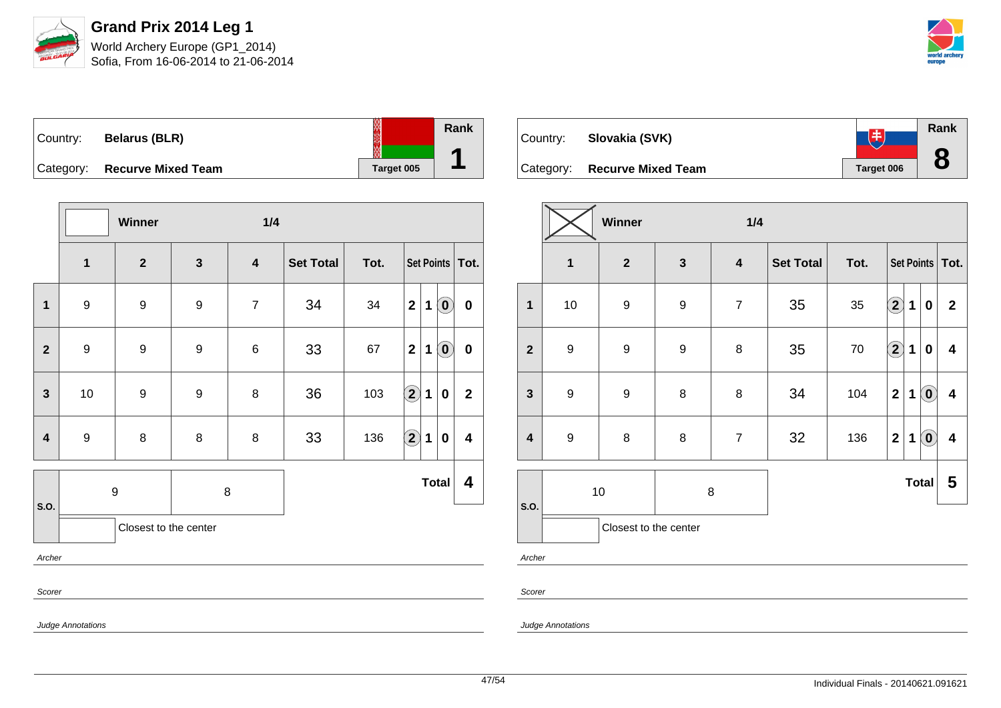

| Country:  | <b>Belarus (BLR)</b>      |            | Rank |
|-----------|---------------------------|------------|------|
|           |                           |            |      |
| Category: | <b>Recurve Mixed Team</b> | Target 005 |      |

|              |                         | Winner                |   | 1/4                     |                  |      |                           |                                                             |  |  |
|--------------|-------------------------|-----------------------|---|-------------------------|------------------|------|---------------------------|-------------------------------------------------------------|--|--|
|              | $\overline{\mathbf{1}}$ | $\overline{2}$        | 3 | $\overline{\mathbf{4}}$ | <b>Set Total</b> | Tot. |                           | Set Points   Tot.                                           |  |  |
| $\mathbf{1}$ | $\boldsymbol{9}$        | $\boldsymbol{9}$      | 9 | $\overline{7}$          | 34               | 34   | $\mathbf{2}$<br>1         | $\left( \mathbf{0}\right)$<br>$\pmb{0}$                     |  |  |
| $\mathbf{2}$ | $\boldsymbol{9}$        | $\boldsymbol{9}$      | 9 | $\,6$                   | 33               | 67   | $\mathbf{2}$<br>1         | $\left( \begin{matrix} 0 \end{matrix} \right)$<br>$\pmb{0}$ |  |  |
| $\mathbf{3}$ | $10\,$                  | $\boldsymbol{9}$      | 9 | 8                       | 36               | 103  | $\bigcirc \!\! 2$<br>1    | $\mathbf{2}$<br>0                                           |  |  |
| 4            | $\boldsymbol{9}$        | $\bf 8$               | 8 | 8                       | 33               | 136  | $\bigcirc \!\! \! 2$<br>1 | $\overline{\mathbf{4}}$<br>0                                |  |  |
| S.O.         | $\boldsymbol{9}$        |                       |   | 8                       |                  |      | <b>Total</b>              | 4                                                           |  |  |
|              |                         | Closest to the center |   |                         |                  |      |                           |                                                             |  |  |
|              | Archer                  |                       |   |                         |                  |      |                           |                                                             |  |  |
| Scorer       |                         |                       |   |                         |                  |      |                           |                                                             |  |  |

| Country:  | Slovakia (SVK)            | 中          | Rank |
|-----------|---------------------------|------------|------|
| Category: | <b>Recurve Mixed Team</b> | Target 006 | О    |

|                         |                  | Winner                |                  | 1/4                     |                  |        |                            |   |                            |                         |
|-------------------------|------------------|-----------------------|------------------|-------------------------|------------------|--------|----------------------------|---|----------------------------|-------------------------|
|                         | $\mathbf{1}$     | $\boldsymbol{2}$      | $\mathbf{3}$     | $\overline{\mathbf{4}}$ | <b>Set Total</b> | Tot.   | Set Points   Tot.          |   |                            |                         |
| $\mathbf{1}$            | $10$             | $\boldsymbol{9}$      | 9                | $\overline{7}$          | 35               | 35     | $\left( \mathbf{2}\right)$ | 1 | $\bf{0}$                   | $\overline{2}$          |
| $\overline{2}$          | $\boldsymbol{9}$ | $\boldsymbol{9}$      | $\boldsymbol{9}$ | $\, 8$                  | 35               | $70\,$ | $\bigcirc$                 | 1 | $\bf{0}$                   | 4                       |
| $\mathbf{3}$            | $\boldsymbol{9}$ | $\boldsymbol{9}$      | 8                | $\, 8$                  | 34               | 104    | $\overline{2}$             | 1 | $\left( \mathbf{0}\right)$ | $\overline{\mathbf{4}}$ |
| $\overline{\mathbf{4}}$ | $9$              | $\bf 8$               | 8                | $\overline{7}$          | 32               | 136    | $\mathbf{2}$               | 1 | $\left( \mathbf{0}\right)$ | $\overline{\mathbf{4}}$ |
|                         | 10<br>8          |                       |                  |                         |                  |        | <b>Total</b>               | 5 |                            |                         |
| S.O.                    |                  | Closest to the center |                  |                         |                  |        |                            |   |                            |                         |

Archer

Scorer

Judge Annotations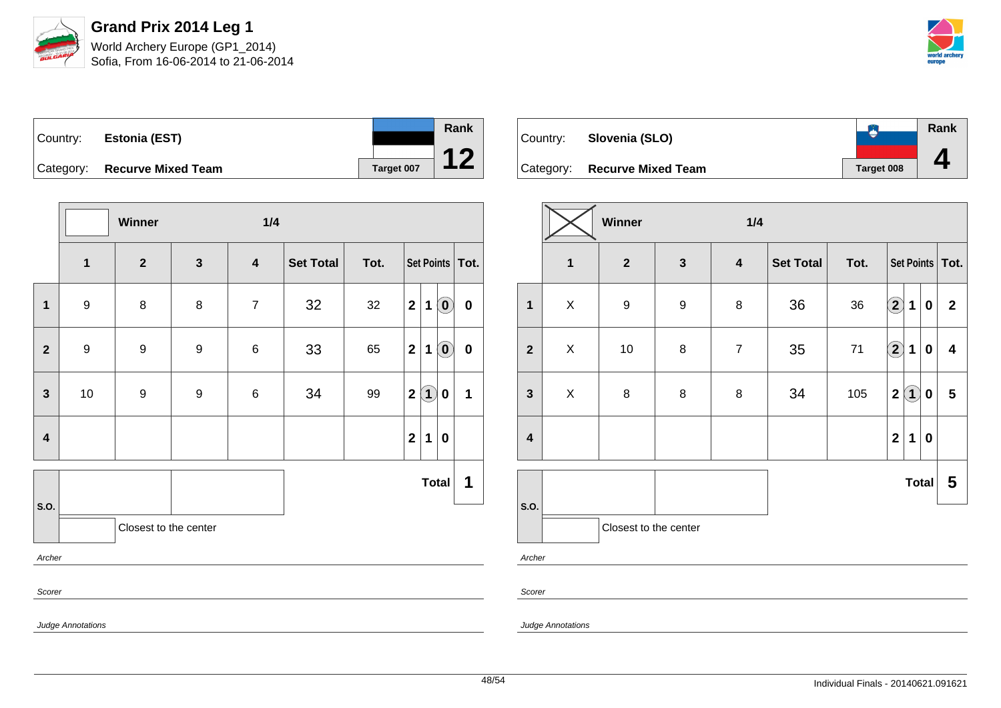

| Country: | <b>Estonia (EST)</b>         |            |
|----------|------------------------------|------------|
|          | Category: Recurve Mixed Team | Target 007 |

|                         |                          | Winner                |              | 1/4                     |           |      |                |              |                                                         |          |
|-------------------------|--------------------------|-----------------------|--------------|-------------------------|-----------|------|----------------|--------------|---------------------------------------------------------|----------|
|                         | $\mathbf 1$              | $\mathbf{2}$          | $\mathbf{3}$ | $\overline{\mathbf{4}}$ | Set Total | Tot. |                |              | Set Points   Tot.                                       |          |
| $\mathbf 1$             | $\boldsymbol{9}$         | 8                     | 8            | $\overline{7}$          | 32        | 32   | $\overline{2}$ | $\mathbf 1$  | $\left( \begin{matrix} \textbf{0} \end{matrix} \right)$ | $\bf{0}$ |
| $\overline{2}$          | $\boldsymbol{9}$         | 9                     | 9            | $\,6$                   | 33        | 65   | $\mathbf{2}$   | $\mathbf{1}$ | $\left( \mathbf{0}\right)$                              | $\bf{0}$ |
| $\mathbf{3}$            | 10                       | $\boldsymbol{9}$      | 9            | 6                       | 34        | 99   | $\mathbf{2}$   | $\bf(1)$     | $\bf{0}$                                                | 1        |
| $\overline{\mathbf{4}}$ |                          |                       |              |                         |           |      | $\overline{2}$ | $\mathbf 1$  | $\bf{0}$                                                |          |
|                         |                          |                       |              |                         |           |      |                |              | <b>Total</b>                                            | 1        |
| S.O.                    |                          | Closest to the center |              |                         |           |      |                |              |                                                         |          |
| Archer                  |                          |                       |              |                         |           |      |                |              |                                                         |          |
| Scorer                  |                          |                       |              |                         |           |      |                |              |                                                         |          |
|                         | <b>Judge Annotations</b> |                       |              |                         |           |      |                |              |                                                         |          |

| Country: | Slovenia (SLO)               |            | Rank |
|----------|------------------------------|------------|------|
|          |                              |            |      |
|          | Category: Recurve Mixed Team | Target 008 |      |

|                         | Winner<br>1/4  |                       |                  |                  |                  |      |                      |             |              |                         |
|-------------------------|----------------|-----------------------|------------------|------------------|------------------|------|----------------------|-------------|--------------|-------------------------|
|                         | $\mathbf{1}$   | $\mathbf{2}$          | $\mathbf{3}$     | $\boldsymbol{4}$ | <b>Set Total</b> | Tot. | Set Points   Tot.    |             |              |                         |
| $\mathbf 1$             | X              | 9                     | $\boldsymbol{9}$ | 8                | 36               | 36   | $\bigcirc$           | $\mathbf 1$ | $\bf{0}$     | $\mathbf{2}$            |
| $\overline{2}$          | $\pmb{\times}$ | 10                    | $\bf 8$          | $\overline{7}$   | 35               | 71   | $\Large{\textbf{2}}$ | 1           | $\mathbf 0$  | $\overline{\mathbf{4}}$ |
| $\mathbf{3}$            | X              | $\bf 8$               | 8                | 8                | 34               | 105  | $\mathbf 2$          | $\bf(1)$    | $\pmb{0}$    | 5                       |
| $\overline{\mathbf{4}}$ |                |                       |                  |                  |                  |      | $\mathbf 2$          | 1           | $\pmb{0}$    |                         |
|                         |                |                       |                  |                  |                  |      |                      |             | <b>Total</b> | 5                       |
| S.O.<br>Archer          |                | Closest to the center |                  |                  |                  |      |                      |             |              |                         |

Scorer

Judge Annotations

**Rank**

**12**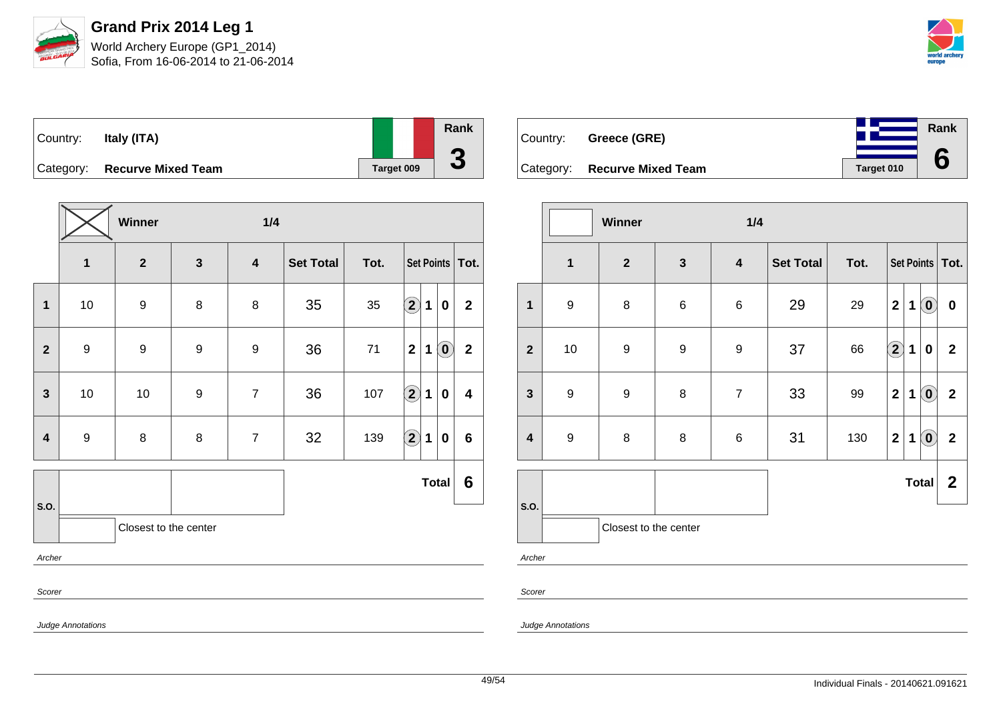

**Rank**

**6**

| Country: | Italy (ITA)                  |            | Rank                     |
|----------|------------------------------|------------|--------------------------|
|          |                              |            |                          |
|          | Category: Recurve Mixed Team | Target 009 | $\overline{\phantom{a}}$ |

|               |                  | Winner                  |              | 1/4                     |                  |      |                   |                                           |                |  |  |
|---------------|------------------|-------------------------|--------------|-------------------------|------------------|------|-------------------|-------------------------------------------|----------------|--|--|
|               | $\mathbf 1$      | $\overline{\mathbf{2}}$ | $\mathbf{3}$ | $\overline{\mathbf{4}}$ | <b>Set Total</b> | Tot. |                   | Set Points   Tot.                         |                |  |  |
| $\mathbf{1}$  | 10               | 9                       | 8            | 8                       | 35               | 35   | $\bf{(2)}$        | $\mathbf 1$<br>$\bf{0}$                   | $\overline{2}$ |  |  |
| $\mathbf{2}$  | $\boldsymbol{9}$ | 9                       | 9            | 9                       | 36               | 71   | $\mathbf{2}$      | $\left( \mathbf{0}\right)$<br>$\mathbf 1$ | $\mathbf{2}$   |  |  |
| $\mathbf{3}$  | 10               | $10$                    | 9            | $\overline{7}$          | 36               | 107  | $\bigcirc \!\! 2$ | 1<br>0                                    | 4              |  |  |
| 4             | $\boldsymbol{9}$ | 8                       | 8            | $\overline{7}$          | 32               | 139  | $\bigcirc \!\! 2$ | $\mathbf 1$<br>0                          | 6              |  |  |
|               |                  |                         |              |                         |                  |      |                   | <b>Total</b>                              | 6              |  |  |
| S.O.          |                  | Closest to the center   |              |                         |                  |      |                   |                                           |                |  |  |
| Archer        |                  |                         |              |                         |                  |      |                   |                                           |                |  |  |
| Scorer        |                  |                         |              |                         |                  |      |                   |                                           |                |  |  |
| $\sim$ $\sim$ |                  |                         |              |                         |                  |      |                   |                                           |                |  |  |

| Country: Greece (GRE)        |            |
|------------------------------|------------|
| Category: Recurve Mixed Team | Target 010 |

|                         |                         | Winner                |                  | 1/4                     |                  |      |                         |             |                            |                  |  |
|-------------------------|-------------------------|-----------------------|------------------|-------------------------|------------------|------|-------------------------|-------------|----------------------------|------------------|--|
|                         | $\overline{\mathbf{1}}$ | $\overline{2}$        | $\mathbf{3}$     | $\overline{\mathbf{4}}$ | <b>Set Total</b> | Tot. | Set Points   Tot.       |             |                            |                  |  |
| 1                       | $\boldsymbol{9}$        | $\,8\,$               | $\,6\,$          | 6                       | 29               | 29   | $\overline{\mathbf{2}}$ | 1           | $\left( \mathbf{0}\right)$ | $\boldsymbol{0}$ |  |
| $\mathbf{2}$            | 10                      | $\boldsymbol{9}$      | $\boldsymbol{9}$ | $\boldsymbol{9}$        | 37               | 66   | $\bf{(2)}$              | 1           | $\bf{0}$                   | $\mathbf 2$      |  |
| $\mathbf{3}$            | $\boldsymbol{9}$        | $\boldsymbol{9}$      | 8                | $\overline{7}$          | 33               | 99   | $\mathbf{2}$            | $\mathbf 1$ | $\left( \mathbf{0}\right)$ | $\mathbf{2}$     |  |
| $\overline{\mathbf{4}}$ | $\boldsymbol{9}$        | 8                     | $\bf 8$          | 6                       | 31               | 130  | $\mathbf 2$             | 1           | $\left( \mathbf{0}\right)$ | $\mathbf{2}$     |  |
|                         |                         |                       |                  |                         |                  |      |                         |             | <b>Total</b>               | $\boldsymbol{2}$ |  |
| S.O.                    |                         | Closest to the center |                  |                         |                  |      |                         |             |                            |                  |  |
| Archer                  |                         |                       |                  |                         |                  |      |                         |             |                            |                  |  |

Scorer

Judge Annotations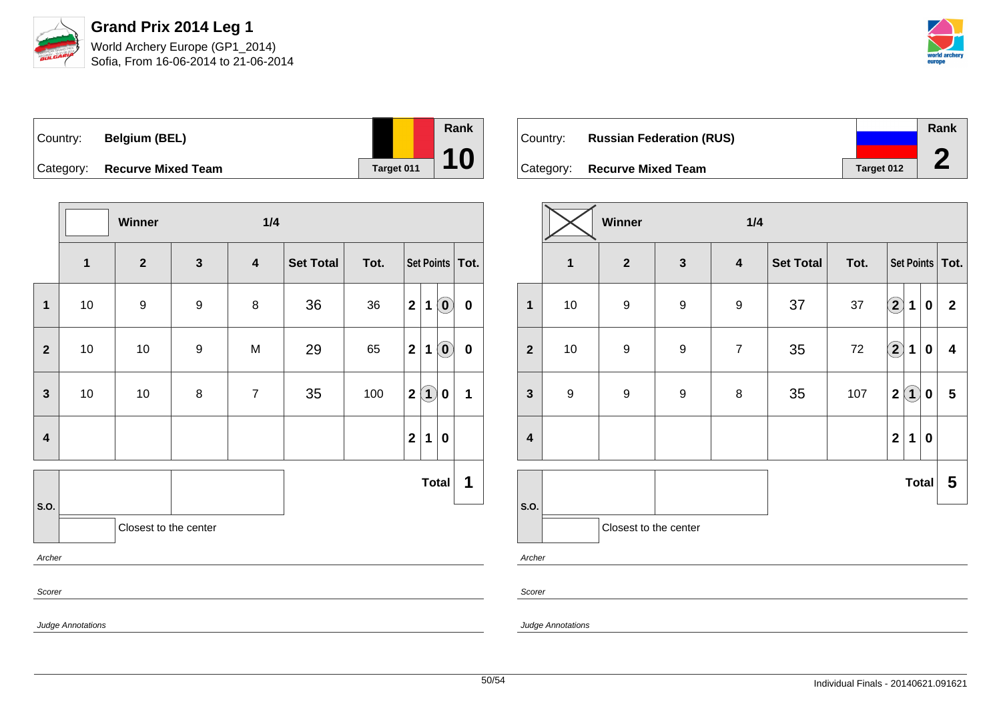

| Country: I | <b>Belgium (BEL)</b>         |            | Rank |
|------------|------------------------------|------------|------|
|            | Category: Recurve Mixed Team | Target 011 | 10   |

|                         |              | Winner                |                  | 1/4              |           |      |                   |             |                                                         |           |  |
|-------------------------|--------------|-----------------------|------------------|------------------|-----------|------|-------------------|-------------|---------------------------------------------------------|-----------|--|
|                         | $\mathbf{1}$ | $\boldsymbol{2}$      | $\mathbf{3}$     | $\boldsymbol{4}$ | Set Total | Tot. | Set Points   Tot. |             |                                                         |           |  |
| $\mathbf 1$             | 10           | $\boldsymbol{9}$      | $\boldsymbol{9}$ | 8                | 36        | 36   | $\overline{2}$    | $\mathbf 1$ | $\left( \begin{matrix} \textbf{0} \end{matrix} \right)$ | $\pmb{0}$ |  |
| $\overline{2}$          | $10\,$       | $10$                  | $\boldsymbol{9}$ | M                | 29        | 65   | $\mathbf{2}$      | $\mathbf 1$ | $\left( \begin{matrix} \textbf{0} \end{matrix} \right)$ | $\pmb{0}$ |  |
| $\mathbf{3}$            | $10$         | $10$                  | 8                | $\overline{7}$   | 35        | 100  |                   | 2(1)        | 0                                                       | 1         |  |
| $\overline{\mathbf{4}}$ |              |                       |                  |                  |           |      | $\mathbf{2}$      | 1           | $\boldsymbol{0}$                                        |           |  |
|                         |              |                       |                  |                  |           |      |                   |             | <b>Total</b>                                            | 1         |  |
| S.O.                    |              | Closest to the center |                  |                  |           |      |                   |             |                                                         |           |  |
| Archer                  |              |                       |                  |                  |           |      |                   |             |                                                         |           |  |
| Scorer                  |              |                       |                  |                  |           |      |                   |             |                                                         |           |  |

| Country: | <b>Russian Federation (RUS)</b> |            | Rank   |
|----------|---------------------------------|------------|--------|
|          |                                 |            |        |
|          | Category: Recurve Mixed Team    | Target 012 | $\sim$ |

|                         | Winner<br>1/4    |                       |                  |                         |                  |      |                         |                   |              |                         |
|-------------------------|------------------|-----------------------|------------------|-------------------------|------------------|------|-------------------------|-------------------|--------------|-------------------------|
|                         | $\mathbf 1$      | $\mathbf{2}$          | $\mathbf{3}$     | $\overline{\mathbf{4}}$ | <b>Set Total</b> | Tot. | Set Points   Tot.       |                   |              |                         |
| $\mathbf{1}$            | $10$             | 9                     | $\boldsymbol{9}$ | $\boldsymbol{9}$        | 37               | 37   | $\bf{(2)}$              | 1                 | $\pmb{0}$    | $\mathbf 2$             |
| $\overline{2}$          | $10$             | $\boldsymbol{9}$      | $\boldsymbol{9}$ | $\overline{7}$          | 35               | 72   | $\Large{\textbf{2}}$    | 1                 | $\mathbf 0$  | $\overline{\mathbf{4}}$ |
| $\mathbf{3}$            | $\boldsymbol{9}$ | 9                     | $\boldsymbol{9}$ | 8                       | 35               | 107  | $\overline{\mathbf{2}}$ | $\left( 1\right)$ | 0            | $\overline{\mathbf{5}}$ |
| $\overline{\mathbf{4}}$ |                  |                       |                  |                         |                  |      | $\overline{\mathbf{2}}$ | 1                 | $\pmb{0}$    |                         |
|                         |                  |                       |                  |                         |                  |      |                         |                   | <b>Total</b> | 5                       |
| S.O.                    |                  | Closest to the center |                  |                         |                  |      |                         |                   |              |                         |

Archer

Scorer

Judge Annotations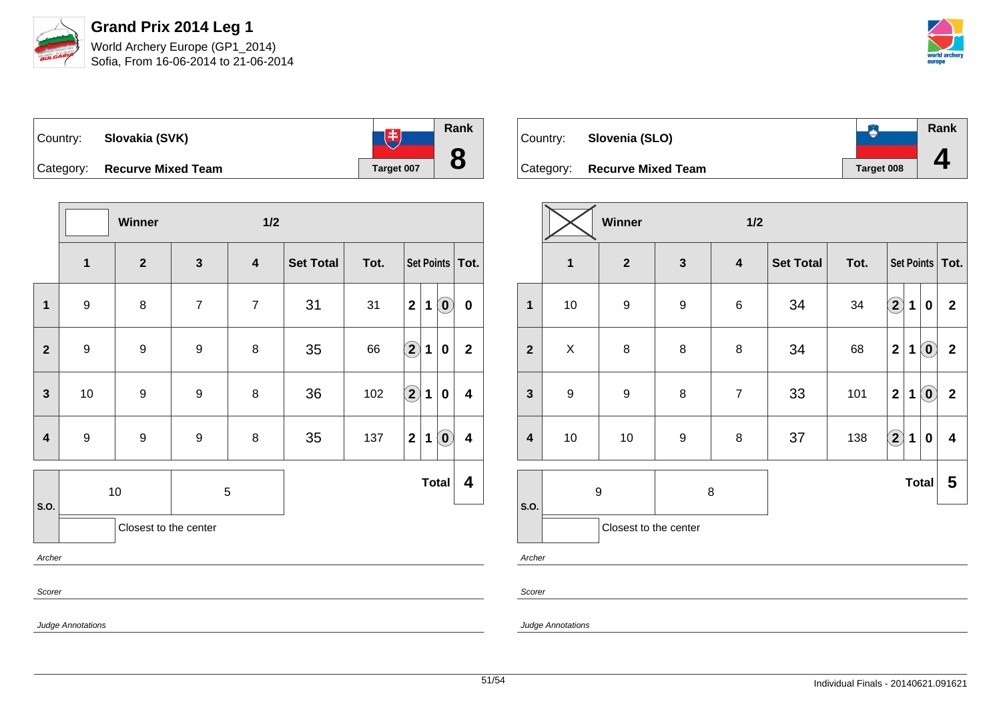



| Country:  | Slovakia (SVK)            |            | Rank |
|-----------|---------------------------|------------|------|
| Category: | <b>Recurve Mixed Team</b> | Target 007 |      |

|                |                                                                 | Winner                |                | 1/2                     |                  |      |                            |   |                            |                  |
|----------------|-----------------------------------------------------------------|-----------------------|----------------|-------------------------|------------------|------|----------------------------|---|----------------------------|------------------|
|                | $\mathbf 1$                                                     | $\mathbf{2}$          | $\mathbf{3}$   | $\overline{\mathbf{4}}$ | <b>Set Total</b> | Tot. | Set Points   Tot.          |   |                            |                  |
| $\mathbf{1}$   | $\boldsymbol{9}$                                                | 8                     | $\overline{7}$ | $\overline{7}$          | 31               | 31   | $\mathbf{2}$               | 1 | $\overline{\mathbf{0}}$    | $\boldsymbol{0}$ |
| $\overline{2}$ | $\boldsymbol{9}$                                                | $\boldsymbol{9}$      | 9              | 8                       | 35               | 66   | $\left( \mathbf{2}\right)$ | 1 | $\pmb{0}$                  | $\mathbf{2}$     |
| $\mathbf{3}$   | $10$                                                            | $\boldsymbol{9}$      | 9              | $\bf 8$                 | 36               | 102  | $\Large 2$                 | 1 | $\bf{0}$                   | 4                |
| 4              | $\boldsymbol{9}$                                                | $\boldsymbol{9}$      | 9              | $\bf 8$                 | 35               | 137  | $\mathbf{2}$               | 1 | $\left( \mathbf{0}\right)$ | 4                |
| S.O.           |                                                                 | $10$                  |                | $\sqrt{5}$              |                  |      |                            |   | <b>Total</b>               | 4                |
|                |                                                                 | Closest to the center |                |                         |                  |      |                            |   |                            |                  |
| Archer         |                                                                 |                       |                |                         |                  |      |                            |   |                            |                  |
| Scorer         |                                                                 |                       |                |                         |                  |      |                            |   |                            |                  |
|                | $\mathbf{a}$ and $\mathbf{a}$ and $\mathbf{a}$ and $\mathbf{a}$ |                       |                |                         |                  |      |                            |   |                            |                  |

| Country: | Slovenia (SLO)               |                   | Rank |
|----------|------------------------------|-------------------|------|
|          |                              |                   |      |
|          | Category: Recurve Mixed Team | <b>Target 008</b> |      |

|                         |                         | Winner                |                  | 1/2                     |                  |      |                   |   |                            |                         |  |  |  |  |  |
|-------------------------|-------------------------|-----------------------|------------------|-------------------------|------------------|------|-------------------|---|----------------------------|-------------------------|--|--|--|--|--|
|                         | $\overline{\mathbf{1}}$ | $\mathbf{2}$          | $\mathbf{3}$     | $\overline{\mathbf{4}}$ | <b>Set Total</b> | Tot. | Set Points   Tot. |   |                            |                         |  |  |  |  |  |
| $\mathbf{1}$            | $10$                    | $\boldsymbol{9}$      | $\boldsymbol{9}$ | $\,6$                   | 34               | 34   | $\boxed{2}$       | 1 | 0                          | $\mathbf{2}$            |  |  |  |  |  |
| $\overline{2}$          | X                       | $\bf 8$               | 8                | 8                       | 34               | 68   | $\mathbf{2}$      | 1 | $\left( \mathbf{0}\right)$ | $\mathbf 2$             |  |  |  |  |  |
| $\mathbf{3}$            | $\boldsymbol{9}$        | $\boldsymbol{9}$      | $\bf 8$          | $\overline{7}$          | 33               | 101  | $\mathbf{2}$      | 1 | $\left( \mathbf{0}\right)$ | $\mathbf 2$             |  |  |  |  |  |
| $\overline{\mathbf{4}}$ | 10                      | 10                    | $\boldsymbol{9}$ | 8                       | 37               | 138  | $\left( 2\right)$ | 1 | $\bf{0}$                   | $\overline{\mathbf{4}}$ |  |  |  |  |  |
| S.O.                    | $\boldsymbol{9}$        |                       | 8                |                         |                  |      |                   |   | <b>Total</b>               | 5                       |  |  |  |  |  |
|                         |                         | Closest to the center |                  |                         |                  |      |                   |   |                            |                         |  |  |  |  |  |

Archer

Scorer

Judge Annotations

Judge Annotations

51/54 Individual Finals - 20140621.091621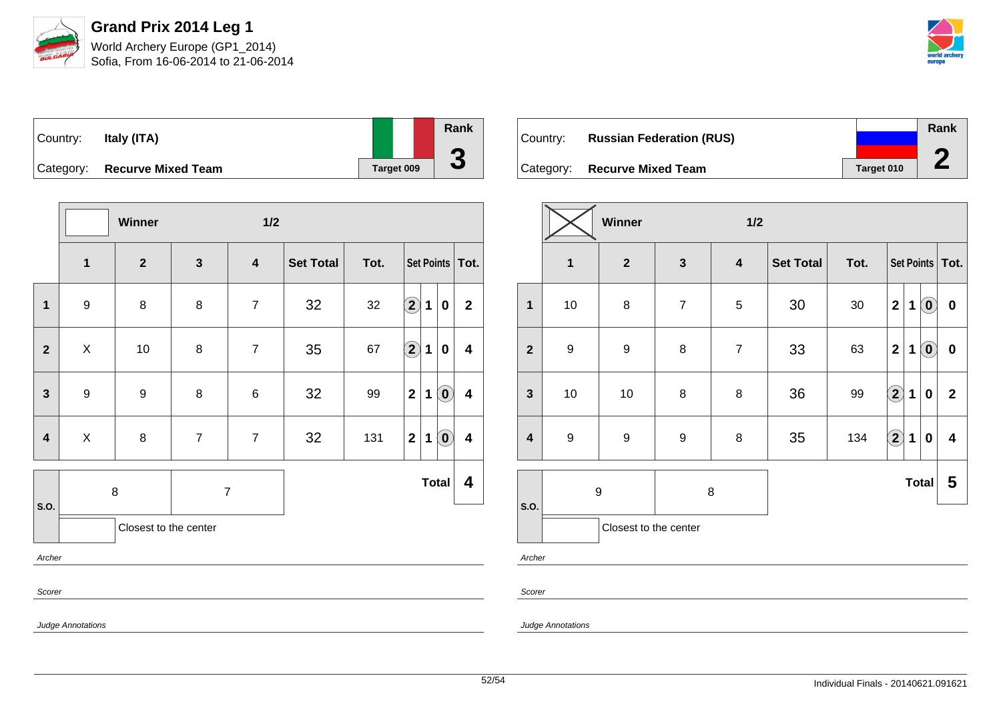

Judge Annotations

**Grand Prix 2014 Leg 1** World Archery Europe (GP1\_2014) Sofia, From 16-06-2014 to 21-06-2014



| $\vert$ Country: | Italy (ITA)                  |            | Rank                     |
|------------------|------------------------------|------------|--------------------------|
|                  |                              |            |                          |
|                  | Category: Recurve Mixed Team | Target 009 | $\overline{\phantom{a}}$ |

|                | Winner<br>1/2           |                       |                |                |                  |      |                        |             |                            |                         |  |
|----------------|-------------------------|-----------------------|----------------|----------------|------------------|------|------------------------|-------------|----------------------------|-------------------------|--|
|                | $\overline{\mathbf{1}}$ | $\overline{2}$        | $\mathbf{3}$   | 4              | <b>Set Total</b> | Tot. | Set Points   Tot.      |             |                            |                         |  |
| $\mathbf{1}$   | $\boldsymbol{9}$        | 8                     | 8              | $\overline{7}$ | 32               | 32   | $\left( \bf{2}\right)$ | 1           | $\mathbf 0$                | $\mathbf{2}$            |  |
| $\overline{2}$ | X                       | 10                    | 8              | $\overline{7}$ | 35               | 67   | $\bigcirc \!\! 2$      | 1           | $\mathbf 0$                | $\overline{\mathbf{4}}$ |  |
| $\mathbf{3}$   | $\boldsymbol{9}$        | $\boldsymbol{9}$      | 8              | $\,6$          | 32               | 99   | $\mathbf{2}$           | 1           | $\left( \mathbf{0}\right)$ | $\overline{\mathbf{4}}$ |  |
| 4              | $\pmb{\times}$          | 8                     | $\overline{7}$ | $\overline{7}$ | 32               | 131  | $\mathbf{2}$           | $\mathbf 1$ | $\left( \mathbf{0}\right)$ | $\overline{\mathbf{4}}$ |  |
| S.O.           |                         | $\bf 8$               | $\overline{7}$ |                |                  |      |                        |             | <b>Total</b>               | 4                       |  |
|                |                         | Closest to the center |                |                |                  |      |                        |             |                            |                         |  |
| Archer         |                         |                       |                |                |                  |      |                        |             |                            |                         |  |
|                | Scorer                  |                       |                |                |                  |      |                        |             |                            |                         |  |

| Country: | <b>Russian Federation (RUS)</b> |            | Rank |
|----------|---------------------------------|------------|------|
|          | Category: Recurve Mixed Team    | Target 010 |      |

|                         | Winner<br>1/2    |                       |                  |                         |                  |      |                            |   |                            |                         |
|-------------------------|------------------|-----------------------|------------------|-------------------------|------------------|------|----------------------------|---|----------------------------|-------------------------|
|                         | $\mathbf 1$      | $\mathbf{2}$          | $\mathbf{3}$     | $\overline{\mathbf{4}}$ | <b>Set Total</b> | Tot. |                            |   |                            | Set Points   Tot.       |
| 1                       | $10$             | 8                     | $\overline{7}$   | 5                       | 30               | 30   | $\mathbf 2$                | 1 | $\left( \mathbf{0}\right)$ | $\pmb{0}$               |
| $\overline{\mathbf{2}}$ | $\boldsymbol{9}$ | $\boldsymbol{9}$      | 8                | $\overline{7}$          | 33               | 63   | $\mathbf 2$                | 1 | $\ddot{\mathbf{0}}$        | $\pmb{0}$               |
| $\mathbf{3}$            | $10$             | 10                    | 8                | 8                       | 36               | 99   | $\Large{\textbf{2}}$       | 1 | $\bf{0}$                   | $\mathbf{2}$            |
| $\overline{\mathbf{4}}$ | $\boldsymbol{9}$ | 9                     | $\boldsymbol{9}$ | 8                       | 35               | 134  | $\left( \mathbf{2}\right)$ | 1 | $\bf{0}$                   | $\overline{\mathbf{4}}$ |
| S.O.                    | 9                |                       | 8                |                         | <b>Total</b>     |      |                            |   | 5                          |                         |
|                         |                  | Closest to the center |                  |                         |                  |      |                            |   |                            |                         |

Archer

Scorer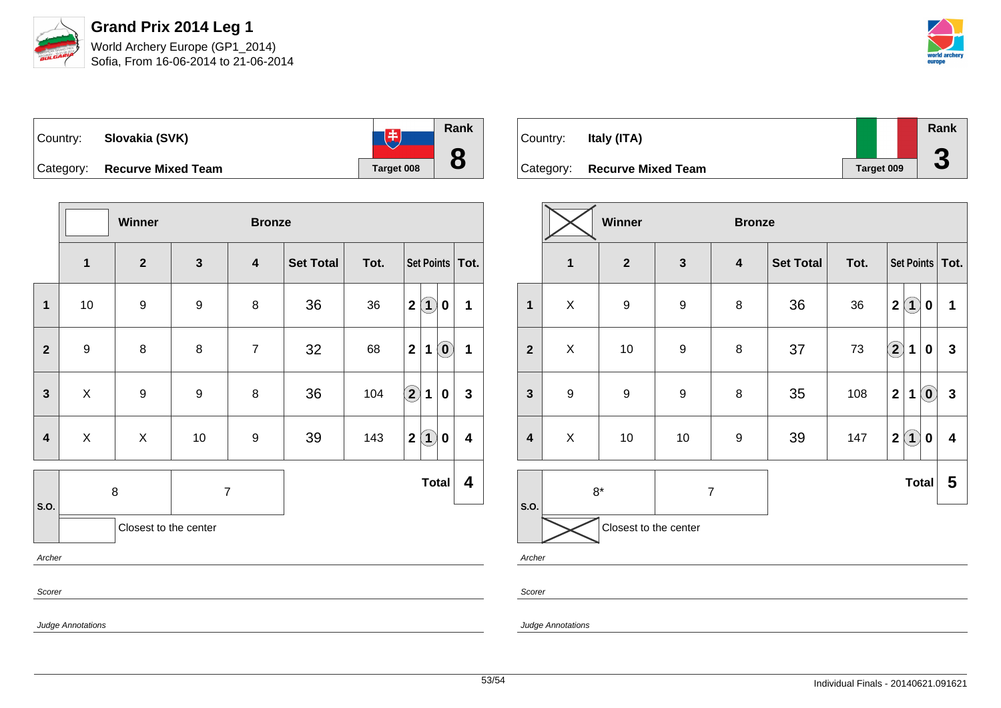



| Country: | Slovakia (SVK)               |            | Rank |
|----------|------------------------------|------------|------|
|          | Category: Recurve Mixed Team | Target 008 |      |

|                |                  | Winner<br><b>Bronze</b> |              |                         |                  |      |                                                 |             |  |  |  |  |
|----------------|------------------|-------------------------|--------------|-------------------------|------------------|------|-------------------------------------------------|-------------|--|--|--|--|
|                | $\mathbf 1$      | $\mathbf{2}$            | $\mathbf{3}$ | $\overline{\mathbf{4}}$ | <b>Set Total</b> | Tot. | Set Points   Tot.                               |             |  |  |  |  |
| $\mathbf{1}$   | $10$             | 9                       | 9            | 8                       | 36               | 36   | $\mathbf{2}$<br>$\bf(1)$<br>0                   | 1           |  |  |  |  |
| $\overline{2}$ | $\boldsymbol{9}$ | $\bf 8$                 | 8            | $\overline{7}$          | 32               | 68   | $\left( \mathbf{0}\right)$<br>$\mathbf{2}$<br>1 | $\mathbf 1$ |  |  |  |  |
| $\mathbf{3}$   | X                | 9                       | 9            | 8                       | 36               | 104  | $\Large 2$<br>1<br>0                            | $\mathbf 3$ |  |  |  |  |
| 4              | X                | X                       | 10           | 9                       | 39               | 143  | $\bf(1)$<br>$\mathbf{2}$<br>0                   | 4           |  |  |  |  |
| S.O.           |                  | 8                       |              | $\overline{7}$          |                  |      | <b>Total</b>                                    | 4           |  |  |  |  |
|                |                  | Closest to the center   |              |                         |                  |      |                                                 |             |  |  |  |  |
|                | Archer           |                         |              |                         |                  |      |                                                 |             |  |  |  |  |
|                | Scorer           |                         |              |                         |                  |      |                                                 |             |  |  |  |  |

| Country:  | Italy (ITA)               |            | Rank |
|-----------|---------------------------|------------|------|
| Category: | <b>Recurve Mixed Team</b> | Target 009 | ◡    |

|                         |                         | Winner                  |                  | <b>Bronze</b>           |                  |      |                                        |                                            |
|-------------------------|-------------------------|-------------------------|------------------|-------------------------|------------------|------|----------------------------------------|--------------------------------------------|
|                         | $\overline{\mathbf{1}}$ | $\overline{\mathbf{2}}$ | $\mathbf{3}$     | $\overline{\mathbf{4}}$ | <b>Set Total</b> | Tot. |                                        | Set Points   Tot.                          |
| $\mathbf{1}$            | X                       | $\boldsymbol{9}$        | $\boldsymbol{9}$ | 8                       | 36               | 36   | $\bf(1)$<br>$\mathbf 2$                | 1<br>0                                     |
| $\overline{\mathbf{2}}$ | X                       | 10                      | 9                | 8                       | 37               | 73   | $\Large{\textbf{2}}$<br>1              | $\mathbf{3}$<br>0                          |
| $\mathbf{3}$            | $\boldsymbol{9}$        | $\boldsymbol{9}$        | $\boldsymbol{9}$ | 8                       | 35               | 108  | $\overline{\mathbf{2}}$<br>$\mathbf 1$ | $\mathbf{3}$<br>$\left( \mathbf{0}\right)$ |
| $\overline{\mathbf{4}}$ | X                       | 10                      | $10$             | $\boldsymbol{9}$        | 39               | 147  | $\bf(1)$<br>$\overline{\mathbf{2}}$    | 4<br>0                                     |
| S.O.                    | $8*$                    |                         | $\overline{7}$   |                         |                  |      | <b>Total</b>                           | 5                                          |
| Archer                  |                         | Closest to the center   |                  |                         |                  |      |                                        |                                            |

Scorer

Judge Annotations